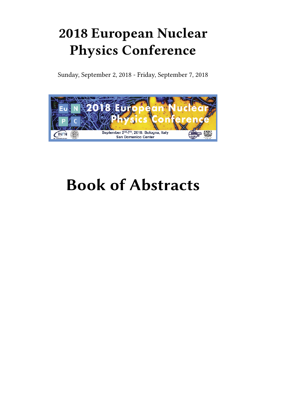## **2018 European Nuclear Physics Conference**

Sunday, September 2, 2018 - Friday, September 7, 2018



# **Book of Abstracts**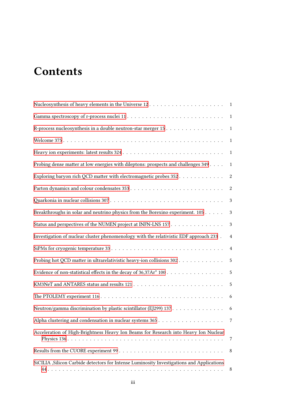## **Contents**

| R-process nucleosynthesis in a double neutron-star merger 15 1                             |                  |
|--------------------------------------------------------------------------------------------|------------------|
|                                                                                            | $\mathbf{1}$     |
|                                                                                            | $\mathbf{1}$     |
| Probing dense matter at low energies with dileptons: prospects and challenges 349          | $\mathbf{1}$     |
| Exploring baryon rich QCD matter with electromagnetic probes 352.                          | $\boldsymbol{2}$ |
|                                                                                            | $\boldsymbol{2}$ |
|                                                                                            | 3                |
| Breakthroughs in solar and neutrino physics from the Borexino experiment. 105              | $\mathbf{3}$     |
| Status and perspectives of the NUMEN project at INFN-LNS 157                               | $\mathbf{3}$     |
| Investigation of nuclear cluster phenomenology with the relativistic EDF approach 233.     | $\overline{4}$   |
|                                                                                            | $\overline{4}$   |
| Probing hot QCD matter in ultrarelativistic heavy-ion collisions 302                       | 5                |
| Evidence of non-statistical effects in the decay of 36,37Ar* 100                           | $\overline{5}$   |
|                                                                                            | 5                |
|                                                                                            | 6                |
| Neutron/gamma discrimination by plastic scintillator (EJ299) 137 6                         |                  |
|                                                                                            | 7                |
| Acceleration of High-Brightness Heavy Ion Beams for Research into Heavy Ion Nuclear        | 7                |
|                                                                                            | 8                |
| SiCILIA , Silicon Carbide detectors for Intense Luminosity Investigations and Applications | 8                |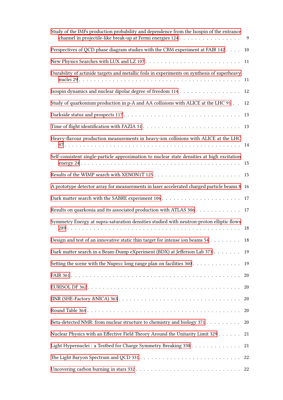| Study of the IMFs production probability and dependence from the Isospin of the entrance<br>channel in projectile-like break-up at Fermi energies 124 | 9  |
|-------------------------------------------------------------------------------------------------------------------------------------------------------|----|
| Perspectives of QCD phase diagram studies with the CBM experiment at FAIR 142                                                                         | 10 |
|                                                                                                                                                       | 11 |
| Durability of actinide targets and metallic foils in experiments on synthesis of superheavy                                                           | 11 |
|                                                                                                                                                       | 12 |
| Study of quarkonium production in p-A and AA collisions with ALICE at the LHC 91                                                                      | 12 |
|                                                                                                                                                       | 13 |
|                                                                                                                                                       |    |
| Heavy-flavour production measurements in heavy-ion collisions with ALICE at the LHC                                                                   |    |
| Self-consistent single-particle approximation to nuclear state densities at high excitation                                                           |    |
|                                                                                                                                                       | 15 |
| A prototype detector array for measurements in laser accelerated charged particle beams 8 16                                                          |    |
|                                                                                                                                                       | 17 |
| Results on quarkonia and its associated production with ATLAS 306                                                                                     | 17 |
| Symmetry Energy at supra-saturation densities studied with neutron-proton elliptic flows                                                              | 18 |
| Design and test of an innovative static thin target for intense ion beams $54.$                                                                       | 18 |
| Dark matter search in a Beam-Dump eXperiment (BDX) at Jefferson Lab 373                                                                               | 19 |
| Setting the scene with the Nupecc long range plan on facilities 360 19                                                                                |    |
|                                                                                                                                                       | 20 |
|                                                                                                                                                       | 20 |
|                                                                                                                                                       | 20 |
|                                                                                                                                                       | 20 |
| Beta-detected NMR: from nuclear structure to chemistry and biology 371                                                                                | 20 |
| Nuclear Physics with an Effective Field Theory Around the Unitarity Limit 329                                                                         | 21 |
| Light Hypernuclei : a Testbed for Charge Symmetry Breaking 330                                                                                        | 21 |
|                                                                                                                                                       |    |
|                                                                                                                                                       | 22 |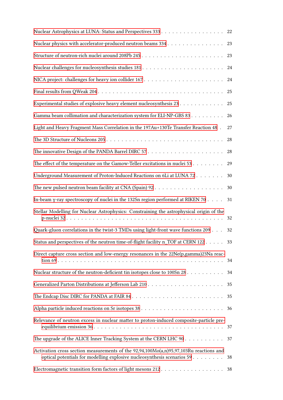|                                                                                                                                                                     | 22 |
|---------------------------------------------------------------------------------------------------------------------------------------------------------------------|----|
| Nuclear physics with accelerator-produced neutron beams 334                                                                                                         | 23 |
|                                                                                                                                                                     | 23 |
|                                                                                                                                                                     | 24 |
|                                                                                                                                                                     | 24 |
|                                                                                                                                                                     | 25 |
| Experimental studies of explosive heavy element nucleosynthesis 23                                                                                                  | 25 |
| Gamma beam collimation and characterization system for ELI-NP-GBS 83                                                                                                | 26 |
| Light and Heavy Fragment Mass Correlation in the 197Au+130Te Transfer Reaction 48.                                                                                  | 27 |
|                                                                                                                                                                     | 28 |
|                                                                                                                                                                     | 28 |
| The effect of the temperature on the Gamow-Teller excitations in nuclei $53$                                                                                        | 29 |
| Underground Measurement of Proton-Induced Reactions on 6Li at LUNA 72                                                                                               | 30 |
|                                                                                                                                                                     | 30 |
| In-beam $\gamma$ -ray spectroscopy of nuclei in the 132Sn region performed at RIKEN 70 $\dots$ .                                                                    | 31 |
| Stellar Modelling for Nuclear Astrophysics: Constraining the astrophysical origin of the                                                                            |    |
| Quark-gluon correlations in the twist-3 TMDs using light-front wave functions 209                                                                                   | 32 |
| Status and perspectives of the neutron time-of-flight facility n_TOF at CERN 122                                                                                    | 33 |
| Direct capture cross section and low-energy resonances in the 22Ne(p,gamma)23Na reac-                                                                               | 34 |
| Nuclear structure of the neutron-deficient tin isotopes close to 100Sn 28                                                                                           | 34 |
|                                                                                                                                                                     | 35 |
|                                                                                                                                                                     | 35 |
|                                                                                                                                                                     | 36 |
| Relevance of neutron excess in nuclear matter to proton-induced composite-particle pre-                                                                             |    |
| The upgrade of the ALICE Inner Tracking System at the CERN LHC 90                                                                                                   | 37 |
| Activation cross section measurements of the $92,94,100Mo(a,n)95,97,103Ru$ reactions and<br>optical potentials for modelling explosive nucleosynthesis scenarios 59 | 38 |
|                                                                                                                                                                     |    |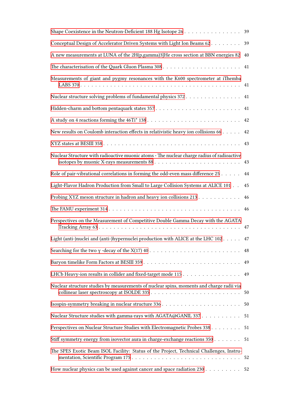| Shape Coexistence in the Neutron-Deficient 188 Hg Isotope 26 39                             |    |
|---------------------------------------------------------------------------------------------|----|
| Conceptual Design of Accelerator Driven Systems with Light Ion Beams 62                     | 39 |
| A new measurements at LUNA of the 2H(p,gamma)3}He cross section at BBN energies 82          | 40 |
|                                                                                             | 41 |
| Measurements of giant and pygmy resonances with the K600 spectrometer at iThemba            |    |
| Nuclear structure solving problems of fundamental physics 372                               | 41 |
|                                                                                             | 41 |
|                                                                                             | 42 |
| New results on Coulomb interaction effects in relativistic heavy ion collisions 66          | 42 |
|                                                                                             | 43 |
| Nuclear Structure with radioactive muonic atoms - The nuclear charge radius of radioactive  |    |
| Role of pair-vibrational correlations in forming the odd-even mass difference 25            | 44 |
| Light-Flavor Hadron Production from Small to Large Collision Systems at ALICE 101           | 45 |
| Probing XYZ meson structure in hadron and heavy ion collisions 213                          | 46 |
|                                                                                             | 46 |
| Perspectives on the Measurement of Competitive Double Gamma Decay with the AGATA            | 47 |
| Light (anti-)nuclei and (anti-)hypernuclei production with ALICE at the LHC $102 \ldots$ 47 |    |
|                                                                                             | 48 |
|                                                                                             | 49 |
| LHCb Heavy-ion results in collider and fixed-target mode 115                                | 49 |
| Nuclear structure studies by measurements of nuclear spins, moments and charge radii via    |    |
|                                                                                             | 50 |
| Nuclear Structure studies with gamma-rays with AGATA@GANIL 337 51                           |    |
| Perspectives on Nuclear Structure Studies with Electromagnetic Probes 338                   | 51 |
| Stiff symmetry energy from isovector aura in charge-exchange reactions 350                  | 51 |
| The SPES Exotic Beam ISOL Facility: Status of the Project, Technical Challenges, Instru-    |    |
| How nuclear physics can be used against cancer and space radiation 230 52                   |    |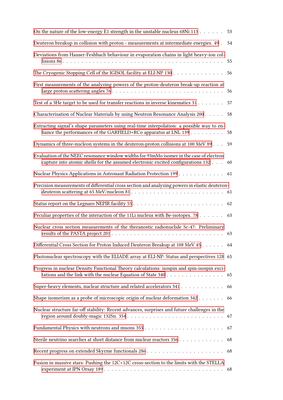| On the nature of the low-energy E1 strength in the unstable nucleus 68Ni 113                                                                                                | 53 |
|-----------------------------------------------------------------------------------------------------------------------------------------------------------------------------|----|
| Deuteron breakup in collision with proton - measurements at intermediate energies. 49.                                                                                      | 54 |
| Deviations from Hauser-Feshbach behaviour in evaporation chains in light heavy-ion col-                                                                                     | 55 |
| The Cryogenic Stopping Cell of the IGISOL facility at ELI-NP 130                                                                                                            | 56 |
| First measurements of the analyzing powers of the proton-deuteron break-up reaction at                                                                                      | 56 |
| Test of a 3He target to be used for transfer reactions in inverse kinematics 31                                                                                             | 57 |
| Characterisation of Nuclear Materials by using Neutron Resonance Analysis 200                                                                                               | 58 |
| Extracting signal's shape parameters using real-time interpolation: a possible way to en-<br>hance the performances of the GARFIELD+RCo apparatus at LNL 139 58             |    |
| Dynamics of three-nucleon systems in the deuteron-proton collisions at 100 MeV 89 59                                                                                        |    |
| Evaluation of the NEEC resonance window widths for 93mMo isomer in the case of electron<br>capture into atomic shells for the assumed electronic excited configurations 132 | 60 |
| Nuclear Physics Applications in Astronaut Radiation Protection 199 61                                                                                                       |    |
| Precision measurements of differential cross section and analyzing powers in elastic deuteron-                                                                              |    |
|                                                                                                                                                                             |    |
| Peculiar properties of the interaction of the 11Li nucleus with Be-isotopes. 78                                                                                             | 63 |
| Nuclear cross section measurements of the theranostic radionuclide Sc-47: Preliminary                                                                                       |    |
| Differential Cross Section for Proton Induced Deuteron Breakup at 108 MeV 45 64                                                                                             |    |
| Photonuclear spectroscopy with the ELIADE array at ELI-NP: Status and perspectives 128 65                                                                                   |    |
| Progress in nuclear Density Functional Theory calculations: isospin and spin-isospin exci-<br>tations and the link with the nuclear Equation of State 340 65                |    |
| Super-heavy elements, nuclear structure and related accelerators 341 66                                                                                                     |    |
| Shape isomerism as a probe of microscopic origin of nuclear deformation 342 66                                                                                              |    |
| Nuclear structure far-off stability: Recent advances, surprises and future challenges in the                                                                                | 67 |
|                                                                                                                                                                             | 67 |
| Sterile neutrino searches at short distance from nuclear reactors 356                                                                                                       | 68 |
|                                                                                                                                                                             |    |
| Fusion in massive stars: Pushing the 12C+12C cross-section to the limits with the STELLA                                                                                    |    |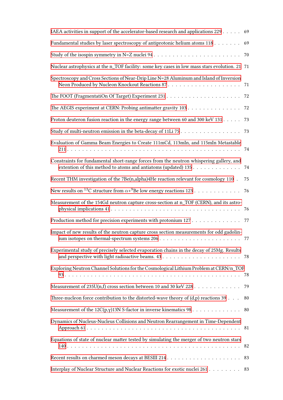| IAEA activities in support of the accelerator-based research and applications 229 69                                                                     |    |
|----------------------------------------------------------------------------------------------------------------------------------------------------------|----|
| Fundamental studies by laser spectroscopy of antiprotonic helium atoms 118                                                                               | 69 |
|                                                                                                                                                          | 70 |
| Nuclear astrophysics at the n_TOF facility: some key cases in low mass stars evolution. 21 71                                                            |    |
| Spectroscopy and Cross Sections of Near-Drip Line N=28 Aluminum and Island of Inversion                                                                  | 71 |
|                                                                                                                                                          |    |
| The AEGIS experiment at CERN: Probing antimatter gravity 103                                                                                             | 72 |
| Proton deuteron fusion reaction in the energy range between 60 and 300 keV 131                                                                           | 73 |
| Study of multi-neutron emission in the beta-decay of 11Li 75                                                                                             | 73 |
| Evaluation of Gamma Beam Energies to Create 111mCd, 113mIn, and 115mIn Metastable                                                                        | 74 |
| Constraints for fundamental short-range forces from the neutron whispering gallery, and<br>extention of this method to atoms and antiatoms (updated) 135 | 74 |
| Recent THM investigation of the 7Be(n,alpha)4He reaction relevant for cosmology 110.                                                                     | 75 |
| New results on <sup>13</sup> C structure from $\alpha + ^9$ Be low energy reactions 123                                                                  | 76 |
| Measurement of the 154Gd neutron capture cross-section at n_TOF (CERN), and its astro-                                                                   |    |
| Production method for precision experiments with protonium 127 77                                                                                        |    |
| Impact of new results of the neutron capture cross section measurements for odd gadolin-                                                                 |    |
| Experimental study of precisely selected evaporation chains in the decay of 25Mg. Results                                                                | 78 |
| Exploring Neutron Channel Solutions for the Cosmological Lithium Problem at CERN/n_TOF                                                                   | 78 |
| Measurement of 235U(n,f) cross section between 10 and 30 keV 228                                                                                         | 79 |
| Three-nucleon force contribution to the distorted-wave theory of $(d,p)$ reactions 39 $\dots$                                                            | 80 |
| Measurement of the $12C(p,y)13N$ S-factor in inverse kinematics 98                                                                                       | 80 |
| Dynamics of Nucleus-Nucleus Collisions and Neutron Rearrangement in Time-Dependent                                                                       |    |
| Equations of state of nuclear matter tested by simulating the merger of two neutron stars                                                                |    |
|                                                                                                                                                          |    |
| Interplay of Nuclear Structure and Nuclear Reactions for exotic nuclei 261                                                                               | 83 |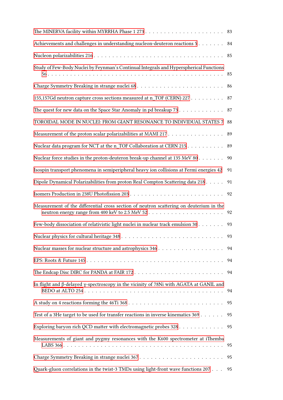| Achievements and challenges in understanding nucleon-deuteron reactions 5               | 84 |
|-----------------------------------------------------------------------------------------|----|
|                                                                                         |    |
| Study of Few-Body Nuclei by Feynman's Continual Integrals and Hyperspherical Functions  | 85 |
|                                                                                         | 86 |
| 155,157Gd neutron capture cross sections measured at n_TOF (CERN) 227                   | 87 |
| The quest for new data on the Space Star Anomaly in pd breakup 73                       | 87 |
| TOROIDAL MODE IN NUCLEI: FROM GIANT RESONANCE TO INDIVIDUAL STATES 7                    | 88 |
| Measurement of the proton scalar polarizabilities at MAMI 217                           | 89 |
| Nuclear data program for NCT at the n_TOF Collaboration at CERN 215                     | 89 |
| Nuclear force studies in the proton-deuteron break-up channel at 135 MeV 80             | 90 |
| Isospin transport phenomena in semiperipheral heavy ion collisions at Fermi energies 42 | 91 |
| Dipole Dynamical Polarizabilities from proton Real Compton Scattering data 218          | 91 |
|                                                                                         | 92 |
| Measurement of the differential cross section of neutron scattering on deuterium in the | 92 |
| Few-body dissociation of relativistic light nuclei in nuclear track emulsion 30         | 93 |
|                                                                                         |    |
|                                                                                         | 94 |
|                                                                                         | 94 |
|                                                                                         | 94 |
| In flight and β-delayed γ-spectroscopy in the vicinity of 78Ni with AGATA at GANIL and  | 94 |
|                                                                                         | 95 |
| Test of a 3He target to be used for transfer reactions in inverse kinematics 369        | 95 |
| Exploring baryon rich QCD matter with electromagnetic probes 328 95                     |    |
| Measurements of giant and pygmy resonances with the K600 spectrometer at iThemba        |    |
|                                                                                         |    |
| Quark-gluon correlations in the twist-3 TMDs using light-front wave functions 207       | 95 |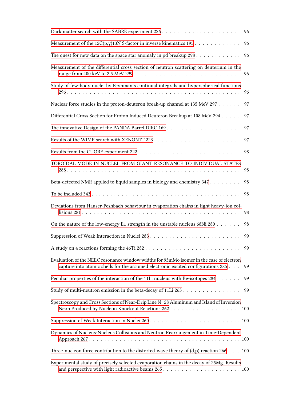|                                                                                                                                                                             | 96 |
|-----------------------------------------------------------------------------------------------------------------------------------------------------------------------------|----|
| Measurement of the 12C(p,y)13N S-factor in inverse kinematics 195                                                                                                           | 96 |
| The quest for new data on the space star anomaly in pd breakup $298$                                                                                                        | 96 |
| Measurement of the differential cross section of neutron scattering on deuterium in the                                                                                     |    |
| Study of few-body nuclei by Feynman's continual integrals and hyperspherical functions                                                                                      | 96 |
| Nuclear force studies in the proton-deuteron break-up channel at 135 MeV 297                                                                                                | 97 |
| Differential Cross Section for Proton Induced Deuteron Breakup at 108 MeV 294                                                                                               | 97 |
|                                                                                                                                                                             | 97 |
|                                                                                                                                                                             | 97 |
|                                                                                                                                                                             | 98 |
| TOROIDAL MODE IN NUCLEI: FROM GIANT RESONANCE TO INDIVIDUAL STATES                                                                                                          | 98 |
| Beta-detected NMR applied to liquid samples in biology and chemistry 347                                                                                                    | 98 |
|                                                                                                                                                                             | 98 |
| Deviations from Hauser-Feshbach behaviour in evaporation chains in light heavy-ion col-                                                                                     | 98 |
| On the nature of the low-energy E1 strength in the unstable nucleus 68Ni 280                                                                                                | 98 |
|                                                                                                                                                                             | 99 |
|                                                                                                                                                                             | 99 |
| Evaluation of the NEEC resonance window widths for 93mMo isomer in the case of electron<br>capture into atomic shells for the assumed electronic excited configurations 285 | 99 |
| Peculiar properties of the interaction of the 11Li nucleus with Be-isotopes 284                                                                                             | 99 |
| Study of multi-neutron emission in the beta-decay of 11Li 263                                                                                                               | 99 |
| Spectroscopy and Cross Sections of Near-Drip Line N=28 Aluminum and Island of Inversion                                                                                     |    |
|                                                                                                                                                                             |    |
| Dynamics of Nucleus-Nucleus Collisions and Neutron Rearrangement in Time-Dependent                                                                                          |    |
| Three-nucleon force contribution to the distorted-wave theory of $(d,p)$ reaction 266 $\dots$ 100                                                                           |    |
| Experimental study of precisely selected evaporation chains in the decay of 25Mg. Results                                                                                   |    |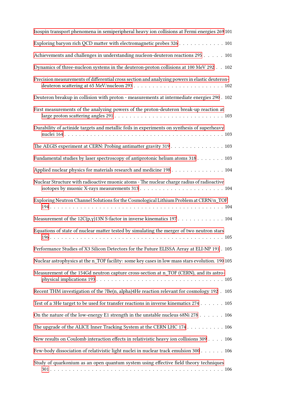| Isospin transport phenomena in semiperipheral heavy ion collisions at Fermi energies 269 101                                                                                                                            |
|-------------------------------------------------------------------------------------------------------------------------------------------------------------------------------------------------------------------------|
| Exploring baryon rich QCD matter with electromagnetic probes 326 101                                                                                                                                                    |
| Achievements and challenges in understanding nucleon-deuteron reactions 295 101                                                                                                                                         |
| Dynamics of three-nucleon systems in the deuteron-proton collisions at 100 MeV 292 102                                                                                                                                  |
| Precision measurements of differential cross section and analyzing powers in elastic deuteron-                                                                                                                          |
| Deuteron breakup in collision with proton - measurements at intermediate energies 290 . 102                                                                                                                             |
| First measurements of the analyzing powers of the proton-deuteron break-up reaction at<br>large proton scattering angles $291. \ldots \ldots \ldots \ldots \ldots \ldots \ldots \ldots \ldots \ldots \ldots \ldots 103$ |
| Durability of actinide targets and metallic foils in experiments on synthesis of superheavy                                                                                                                             |
| The AEGIS experiment at CERN: Probing antimatter gravity 319 103                                                                                                                                                        |
| Fundamental studies by laser spectroscopy of antiprotonic helium atoms 318 103                                                                                                                                          |
| Applied nuclear physics for materials research and medicine 198 104                                                                                                                                                     |
| Nuclear Structure with radioactive muonic atoms - The nuclear charge radius of radioactive                                                                                                                              |
| Exploring Neutron Channel Solutions for the Cosmological Lithium Problem at CERN/n_TOF                                                                                                                                  |
|                                                                                                                                                                                                                         |
| Equations of state of nuclear matter tested by simulating the merger of two neutron stars                                                                                                                               |
| Performance Studies of X3 Silicon Detectors for the Future ELISSA Array at ELI-NP 191 . 105                                                                                                                             |
| Nuclear astrophysics at the n_TOF facility: some key cases in low mass stars evolution. 190 105                                                                                                                         |
| Measurement of the 154Gd neutron capture cross-section at n_TOF (CERN), and its astro-                                                                                                                                  |
| Recent THM investigation of the 7Be(n, alpha)4He reaction relevant for cosmology 192 . 105                                                                                                                              |
| Test of a 3He target to be used for transfer reactions in inverse kinematics 274 105                                                                                                                                    |
| On the nature of the low-energy E1 strength in the unstable nucleus 68Ni 278 106                                                                                                                                        |
| The upgrade of the ALICE Inner Tracking System at the CERN LHC 174 106                                                                                                                                                  |
| New results on Coulomb interaction effects in relativistic heavy ion collisions 309 106                                                                                                                                 |
| Few-body dissociation of relativistic light nuclei in nuclear track emulsion 300 106                                                                                                                                    |
| Study of quarkonium as an open quantum system using effective field theory techniques                                                                                                                                   |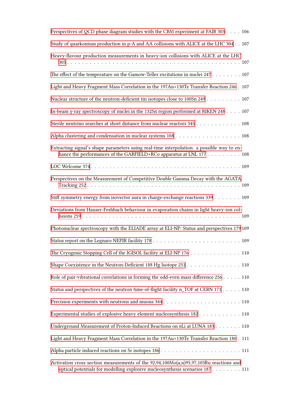| Perspectives of QCD phase diagram studies with the CBM experiment at FAIR 303 106                                                                                        |
|--------------------------------------------------------------------------------------------------------------------------------------------------------------------------|
| Study of quarkonium production in p-A and AA collisions with ALICE at the LHC 304 107                                                                                    |
| Heavy-flavour production measurements in heavy-ion collisions with ALICE at the LHC                                                                                      |
| The effect of the temperature on the Gamow-Teller excitations in nuclei 247 107                                                                                          |
| Light and Heavy Fragment Mass Correlation in the 197Au+130Te Transfer Reaction 246 . 107                                                                                 |
| Nuclear structure of the neutron-deficient tin isotopes close to 100Sn 249 107                                                                                           |
| In-beam γ-ray spectroscopy of nuclei in the 132Sn region performed at RIKEN 248 107                                                                                      |
| Sterile neutrino searches at short distance from nuclear reactors 345 108                                                                                                |
| Alpha clustering and condensation in nuclear systems 108 108                                                                                                             |
| Extracting signal's shape parameters using real-time interpolation: a possible way to en-<br>hance the performances of the GARFIELD+RCo apparatus at LNL 177 108         |
|                                                                                                                                                                          |
| Perspectives on the Measurement of Competitive Double Gamma Decay with the AGATA                                                                                         |
| Stiff symmetry energy from isovector aura in charge-exchange reactions 339 109                                                                                           |
| Deviations from Hauser-Feshbach behaviour in evaporation chains in light heavy-ion col-                                                                                  |
| Photonuclear spectroscopy with the ELIADE array at ELI-NP: Status and perspectives 179 109                                                                               |
|                                                                                                                                                                          |
| The Cryogenic Stopping Cell of the IGISOL facility at ELI-NP 176 110                                                                                                     |
| Shape Coexistence in the Neutron-Deficient 188 Hg Isotope 251 110                                                                                                        |
| Role of pair-vibrational correlations in forming the odd-even mass difference 256 110                                                                                    |
| Status and perspectives of the neutron time-of-flight facility n_TOF at CERN 171 110                                                                                     |
|                                                                                                                                                                          |
| Experimental studies of explosive heavy element nucleosynthesis 182 110                                                                                                  |
| Underground Measurement of Proton-Induced Reactions on 6Li at LUNA 183 110                                                                                               |
| Light and Heavy Fragment Mass Correlation in the 197Au+130Te Transfer Reaction 180. 111                                                                                  |
|                                                                                                                                                                          |
| Activation cross section measurements of the $92,94,100Mo(a,n)95,97,103Ru$ reactions and<br>optical potentials for modelling explosive nucleosynthesis scenarios 187 111 |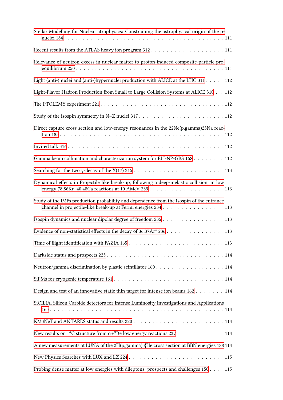| Stellar Modelling for Nuclear atrophysics: Constraining the astrophysical origin of the p-                                                                |
|-----------------------------------------------------------------------------------------------------------------------------------------------------------|
|                                                                                                                                                           |
| Relevance of neutron excess in nuclear matter to proton-induced composite-particle pre-                                                                   |
| Light (anti-)nuclei and (anti-)hypernuclei production with ALICE at the LHC 311 112                                                                       |
| Light-Flavor Hadron Production from Small to Large Collision Systems at ALICE 310 112                                                                     |
|                                                                                                                                                           |
|                                                                                                                                                           |
| Direct capture cross section and low-energy resonances in the 22Ne(p,gamma)23Na reac-                                                                     |
|                                                                                                                                                           |
| Gamma beam collimation and characterization system for ELI-NP-GBS 168 112                                                                                 |
|                                                                                                                                                           |
| Dynamical effects in Projectile like break-up, following a deep-inelastic collision, in low                                                               |
| Study of the IMFs production probability and dependence from the Isospin of the entrance<br>channel in projectile-like break-up at Fermi energies 234 113 |
| Isospin dynamics and nuclear dipolar degree of freedom 235 113                                                                                            |
| Evidence of non-statistical effects in the decay of 36,37Ar* 236 113                                                                                      |
|                                                                                                                                                           |
|                                                                                                                                                           |
| Neutron/gamma discrimination by plastic scintillator 160 114                                                                                              |
|                                                                                                                                                           |
| Design and test of an innovative static thin target for intense ion beams 162 114                                                                         |
| SiCILIA, Silicon Carbide detectors for Intense Luminosity Investigations and Applications                                                                 |
|                                                                                                                                                           |
| New results on <sup>13</sup> C structure from $\alpha$ + <sup>9</sup> Be low energy reactions 237 114                                                     |
| A new measurements at LUNA of the 2H(p,gamma)3}He cross section at BBN energies 188 114                                                                   |
|                                                                                                                                                           |
| Probing dense matter at low energies with dileptons: prospects and challenges 150 115                                                                     |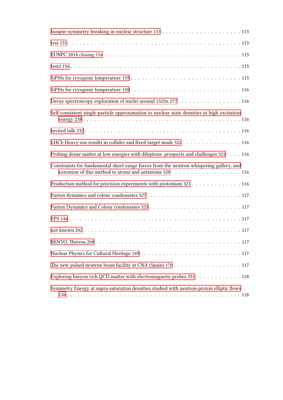| Decay spectroscopy exploration of nuclei around 132Sn 277 116                                                                                      |
|----------------------------------------------------------------------------------------------------------------------------------------------------|
| Self-consistent single-particle approximation to nuclear state densities at high excitation                                                        |
|                                                                                                                                                    |
| LHCb Heavy-ion results in collider and fixed-target mode 322 116                                                                                   |
| Probing dense matter at low energies with dileptons: prospects and challenges 323 116                                                              |
|                                                                                                                                                    |
| Constraints for fundamental short-range forces from the neutron whispering gallery, and<br>extention of this method to atoms and antiatoms 320 116 |
| Production method for precision experiments with protonium 321 116                                                                                 |
|                                                                                                                                                    |
|                                                                                                                                                    |
|                                                                                                                                                    |
|                                                                                                                                                    |
|                                                                                                                                                    |
|                                                                                                                                                    |
| The new pulsed neutron beam facility at CNA (Spain) 170 117                                                                                        |
| Exploring baryon rich QCD matter with electromagnetic probes 351 118                                                                               |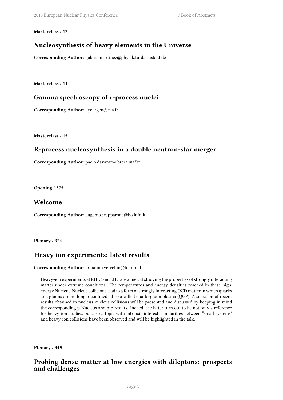#### <span id="page-14-0"></span>**Masterclass** / **12**

### **Nucleosynthesis of heavy elements in the Universe**

**Corresponding Author:** gabriel.martinez@physik.tu-darmstadt.de

<span id="page-14-1"></span>**Masterclass** / **11**

### **Gamma spectroscopy of r-process nuclei**

**Corresponding Author:** agoergen@cea.fr

<span id="page-14-2"></span>**Masterclass** / **15**

### **R-process nucleosynthesis in a double neutron-star merger**

**Corresponding Author:** paolo.davanzo@brera.inaf.it

<span id="page-14-3"></span>**Opening** / **375**

### **Welcome**

**Corresponding Author:** eugenio.scapparone@bo.infn.it

<span id="page-14-4"></span>**Plenary** / **324**

### **Heavy ion experiments: latest results**

**Corresponding Author:** ermanno.vercellin@to.infn.it

Heavy-ion experiments at RHIC and LHC are aimed at studying the properties of strongly interacting matter under extreme conditions. The temperatures and energy densities reached in these highenergy Nucleus-Nucleus collisions lead to a form of strongly interacting QCD matter in which quarks and gluons are no longer confined: the so-called quark–gluon plasma (QGP). A selection of recent results obtained in nucleus-nucleus collisions will be presented and discussed by keeping in mind the corresponding p-Nucleus and p-p results. Indeed, the latter turn out to be not only a reference for heavy-ion studies, but also a topic with intrinsic interest: similarities between "small systems" and heavy-ion collisions have been observed and will be highlighted in the talk.

<span id="page-14-5"></span>**Plenary** / **349**

### **Probing dense matter at low energies with dileptons: prospects and challenges**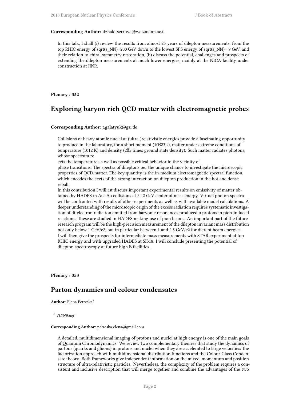#### **Corresponding Author:** itzhak.tserruya@weizmann.ac.il

In this talk, I shall (i) review the results from almost 25 years of dilepton measurements, from the top RHIC energy of sqrt(s\_NN)=200 GeV down to the lowest SPS energy of sqrt(s\_NN)= 9 GeV, and their relation to chiral symmetry restoration, (ii) discuss the potential, challenges and prospects of extending the dilepton measurements at much lower energies, mainly at the NICA facility under construction at JINR.

<span id="page-15-0"></span>**Plenary** / **352**

### **Exploring baryon rich QCD matter with electromagnetic probes**

#### **Corresponding Author:** t.galatyuk@gsi.de

Collisions of heavy atomic nuclei at (ultra-)relativistic energies provide a fascinating opportunity to produce in the laboratory, for a short moment (10 $\boxtimes$ 23 s), matter under extreme conditions of temperature (1012 K) and density (25 times ground state density). Such matter radiates photons, whose spectrum re

ects the temperature as well as possible critical behavior in the vicinity of

phase transitions. The spectra of dileptons oer the unique chance to investigate the microscopic properties of QCD matter. The key quantity is the in-medium electromagnetic spectral function, which encodes the eects of the strong interaction on dilepton production in the hot and dense reball.

In this contribution I will rst discuss important experimental results on emissivity of matter obtained by HADES in Au+Au collisions at 2.42 GeV center of mass energy. Virtual photon spectra will be confronted with results of other experiments as well as with available model calculations. A deeper understanding of the microscopic origin of the excess radiation requires systematic investigation of di-electron radiation emitted from baryonic resonances produced o protons in pion-induced reactions. These are studied in HADES making use of pion beams. An important part of the future research program will be the high-precision measurement of the dilepton invariant mass distribution not only below 1 GeV/c2, but in particular between 1 and 2.5 GeV/c2 for dierent beam energies. I will then give the prospects for intermediate mass measurements with STAR experiment at top RHIC energy and with upgraded HADES at SIS18. I will conclude presenting the potential of dilepton spectroscopy at future high B facilities.

<span id="page-15-1"></span>**Plenary** / **353**

### **Parton dynamics and colour condensates**

**Author:** Elena Petreska<sup>1</sup>

<sup>1</sup> *VU/Nikhef*

#### **Corresponding Author:** petreska.elena@gmail.com

A detailed, multidimensional imaging of protons and nuclei at high energy is one of the main goals of Quantum Chromodynamics. We review two complementary theories that study the dynamics of partons (quarks and gluons) in protons and nuclei when they are accelerated to large velocities: the factorization approach with multidimensional distribution functions and the Colour Glass Condensate theory. Both frameworks give independent information on the mixed, momentum and position structure of ultra-relativistic particles. Nevertheless, the complexity of the problem requires a consistent and inclusive description that will merge together and combine the advantages of the two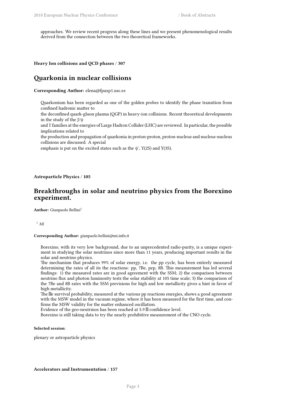approaches. We review recent progress along these lines and we present phenomenological results derived from the connection between the two theoretical frameworks.

<span id="page-16-0"></span>**Heavy Ion collisions and QCD phases** / **307**

### **Quarkonia in nuclear collisions**

**Corresponding Author:** elena@fpaxp1.usc.es

Quarkonium has been regarded as one of the golden probes to identify the phase transition from confined hadronic matter to

the deconfined quark-gluon plasma (QGP) in heavy-ion collisions. Recent theoretical developments in the study of the  $J/\psi$ 

and ϒ families at the energies of Large Hadron Collider (LHC) are reviewed. In particular, the possible implications related to

the production and propagation of quarkonia in proton-proton, proton-nucleus and nucleus-nucleus collisions are discussed. A special

emphasis is put on the excited states such as the  $\psi'$ , Y(2S) and Y(3S).

<span id="page-16-1"></span>**Astroparticle Physics** / **105**

### **Breakthroughs in solar and neutrino physics from the Borexino experiment.**

Author: Gianpaolo Bellini<sup>1</sup>

<sup>1</sup> *MI*

**Corresponding Author:** gianpaolo.bellini@mi.infn.it

Borexino, with its very low background, due to an unprecedented radio-purity, is a unique experiment in studying the solar neutrinos since more than 11 years, producing important results in the solar and neutrino physics.

The mechanism that produces 99% of solar energy, i.e. the pp cycle, has been entirely measured determining the rates of all its the reactions: pp, 7Be, pep, 8B. This measurement has led several findings: 1) the measured rates are in good agreement with the SSM; 2) the comparison between neutrino flux and photon luminosity tests the solar stability at 105 time scale; 3) the comparison of the 7Be and 8B rates with the SSM previsions for high and low metallicity gives a hint in favor of high metallicity.

The  $\&$  survival probability, measured at the various pp reactions energies, shows a good agreement with the MSW model in the vacuum regime, where it has been measured for the first time, and confirms the MSW validity for the matter enhanced oscillation.

Evidence of the geo-neutrinos has been reached at  $5.9 \, \mathbb{Z}$  confidence level.

Borexino is still taking data to try the nearly prohibitive measurement of the CNO cycle.

**Selected session**:

<span id="page-16-2"></span>plenary or astroparticle physics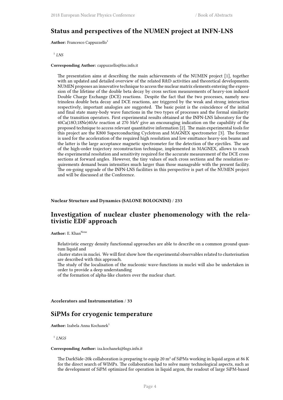### **Status and perspectives of the NUMEN project at INFN-LNS**

**Author:** Francesco Cappuzzello<sup>1</sup>

1 *LNS*

#### **Corresponding Author:** cappuzzello@lns.infn.it

The presentation aims at describing the main achievements of the NUMEN project [1], together with an updated and detailed overview of the related R&D activities and theoretical developments. NUMEN proposes an innovative technique to access the nuclear matrix elements entering the expression of the lifetime of the double beta decay by cross section measurements of heavy-ion induced Double Charge Exchange (DCE) reactions. Despite the fact that the two processes, namely neutrinoless double beta decay and DCE reactions, are triggered by the weak and strong interaction respectively, important analogies are suggested. The basic point is the coincidence of the initial and final state many-body wave functions in the two types of processes and the formal similarity of the transition operators. First experimental results obtained at the INFN-LNS laboratory for the 40Ca(18O,18Ne)40Ar reaction at 270 MeV give an encouraging indication on the capability of the proposed technique to access relevant quantitative information [2]. The main experimental tools for this project are the K800 Superconducting Cyclotron and MAGNEX spectrometer [3]. The former is used for the acceleration of the required high resolution and low emittance heavy-ion beams and the latter is the large acceptance magnetic spectrometer for the detection of the ejectiles. The use of the high-order trajectory reconstruction technique, implemented in MAGNEX, allows to reach the experimental resolution and sensitivity required for the accurate measurement of the DCE cross sections at forward angles. However, the tiny values of such cross sections and the resolution requirements demand beam intensities much larger than those manageable with the present facility. The on-going upgrade of the INFN-LNS facilities in this perspective is part of the NUMEN project and will be discussed at the Conference.

#### <span id="page-17-0"></span>**Nuclear Structure and Dynamics (SALONE BOLOGNINI)** / **233**

### **Investigation of nuclear cluster phenomenology with the relativistic EDF approach**

Author: E. Khan<sup>None</sup>

Relativistic energy density functionnal approaches are able to describe on a common ground quantum liquid and

cluster states in nuclei. We will first show how the experimental observables related to clusterisation are described with this approach.

The study of the localisation of the nucleonic wave-functions in nuclei will also be undertaken in order to provide a deep understanding

of the formation of alpha-like clusters over the nuclear chart.

<span id="page-17-1"></span>**Accelerators and Instrumentation** / **33**

### **SiPMs for cryogenic temperature**

**Author:** Izabela Anna Kochanek<sup>1</sup>

1 *LNGS*

#### **Corresponding Author:** iza.kochanek@lngs.infn.it

The DarkSide-20k collaboration is preparing to equip 20 m² of SiPMs working in liquid argon at 86 K for the direct search of WIMPs. The collaboration had to solve many technological aspects, such as the development of SiPM optimized for operation in liquid argon, the readout of large SiPM-based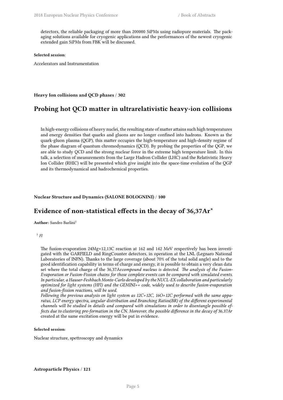detectors, the reliable packaging of more than 200000 SiPMs using radiopure materials. The packaging solutions available for cryogenic applications and the performances of the newest cryogenic extended gain SiPMs from FBK will be discussed.

#### **Selected session**:

Accelerators and Instrumentation

<span id="page-18-0"></span>**Heavy Ion collisions and QCD phases** / **302**

### **Probing hot QCD matter in ultrarelativistic heavy-ion collisions**

In high-energy collisions of heavy nuclei, the resulting state of matter attains such high temperatures and energy densities that quarks and gluons are no longer confined into hadrons. Known as the quark-gluon plasma (QGP), this matter occupies the high-temperature and high-density regime of the phase diagram of quantum chromodynamics (QCD). By probing the properties of the QGP, we are able to study QCD and the strong nuclear force in the extreme high temperature limit. In this talk, a selection of measurements from the Large Hadron Collider (LHC) and the Relativistic Heavy Ion Collider (RHIC) will be presented which give insight into the space-time evolution of the QGP and its thermodynamical and hadrochemical properties.

#### <span id="page-18-1"></span>**Nuclear Structure and Dynamics (SALONE BOLOGNINI)** / **100**

### **Evidence of non-statistical effects in the decay of 36,37Ar\***

**Author:** Sandro Barlini<sup>1</sup>

```
1
FI
```
The fusion-evaporation 24Mg+12,13C reaction at 162 and 142 MeV respectively has been investigated with the GARFIELD and RingCounter detectors, in operation at the LNL (Legnaro National Laboratories of INFN). Thanks to the large coverage (about 70% of the total solid angle) and to the good identification capability in terms of charge and energy, it is possible to obtain a very clean data set where the total charge of the 36,37Ar*compound nucleus is detected. The analysis of the Fusion-Evaporation or Fusion-Fission chains for those complete events can be compared with simulated events. In particular, a Hauser-Feshbach Monte-Carlo developed by the NUCL-EX collaboration and particularly optimized for light systems (HFl) and the GEMINI++ code, widely used to describe fusion-evaporation and fusion-fission reactions, will be used.*

*Following the previous analysis on light system as 12C+12C, 16O+12C performed with the same apparatus, LCP energy spectra, angular distribution and Branching Ratios(BR) of the different experimental channels will be studied in details and compared with simulations in order to disentangle possible effects due to clustering pre-formation in the CN. Moreover, the possible difference in the decay of 36,37Ar* created at the same excitation energy will be put in evidence.

#### **Selected session**:

<span id="page-18-2"></span>Nuclear structure, spettroscopy and dynamics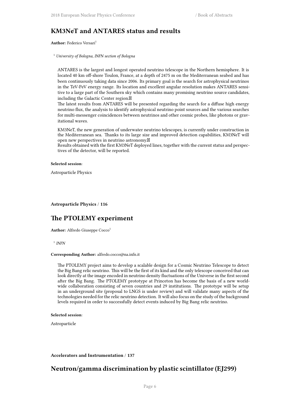### **KM3NeT and ANTARES status and results**

**Author:** Federico Versari<sup>1</sup>

<sup>1</sup> *University of Bologna, INFN section of Bologna*

ANTARES is the largest and longest operated neutrino telescope in the Northern hemisphere. It is located 40 km off-shore Toulon, France, at a depth of 2475 m on the Mediterranean seabed and has been continuously taking data since 2006. Its primary goal is the search for astrophysical neutrinos in the TeV-PeV energy range. Its location and excellent angular resolution makes ANTARES sensitive to a large part of the Southern sky which contains many promising neutrino source candidates, including the Galactic Center region.

The latest results from ANTARES will be presented regarding the search for a diffuse high energy neutrino flux, the analysis to identify astrophysical neutrino point sources and the various searches for multi-messenger coincidences between neutrinos and other cosmic probes, like photons or gravitational waves.

KM3NeT, the new generation of underwater neutrino telescopes, is currently under construction in the Mediterranean sea. Thanks to its large size and improved detection capabilities, KM3NeT will open new perspectives in neutrino astronomy.

Results obtained with the first KM3NeT deployed lines, together with the current status and perspectives of the detector, will be reported.

#### **Selected session**:

Astroparticle Physics

#### <span id="page-19-0"></span>**Astroparticle Physics** / **116**

### **The PTOLEMY experiment**

Author: Alfredo Giuseppe Cocco<sup>1</sup>

1 *INFN*

#### **Corresponding Author:** alfredo.cocco@na.infn.it

The PTOLEMY project aims to develop a scalable design for a Cosmic Neutrino Telescope to detect the Big Bang relic neutrino. This will be the first of its kind and the only telescope conceived that can look directly at the image encoded in neutrino density fluctuations of the Universe in the first second after the Big Bang. The PTOLEMY prototype at Princeton has become the basis of a new worldwide collaboration consisting of seven countries and 29 institutions. The prototype will be setup in an underground site (proposal to LNGS is under review) and will validate many aspects of the technologies needed for the relic neutrino detection. It will also focus on the study of the background levels required in order to successfully detect events induced by Big Bang relic neutrino.

#### **Selected session**:

Astroparticle

<span id="page-19-1"></span>**Accelerators and Instrumentation** / **137**

### **Neutron/gamma discrimination by plastic scintillator (EJ299)**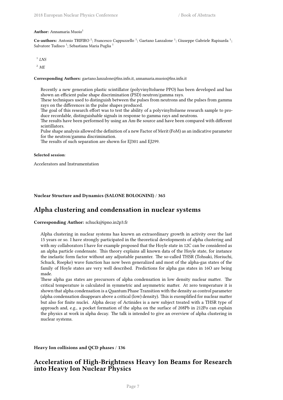#### **Author:** Annamaria Muoio<sup>1</sup>

Co-authors: Antonio TRIFIRO<sup>2</sup>; Francesco Cappuzzello<sup>1</sup>; Gaetano Lanzalone<sup>1</sup>; Giuseppe Gabriele Rapisarda<sup>1</sup>; Salvatore Tudisco <sup>1</sup>; Sebastiana Maria Puglia <sup>1</sup>

1 *LNS*

<sup>2</sup> *ME*

**Corresponding Authors:** gaetano.lanzalone@lns.infn.it, annamaria.muoio@lns.infn.it

- Recently a new generation plastic scintillator (polyvinyltoluene PPO) has been developed and has shown an efficient pulse shape discrimination (PSD) neutron/gamma rays.
- These techniques used to distinguish between the pulses from neutrons and the pulses from gamma rays on the differences in the pulse shapes produced.
- The goal of this research effort was to test the ability of a polyvinyltoluene research sample to produce recordable, distinguishable signals in response to gamma rays and neutrons.
- The results have been performed by using an Am-Be source and have been compared with different scintillators.
- Pulse shape analysis allowed the definition of a new Factor of Merit (FoM) as an indicative parameter for the neutron/gamma discrimination.
- The results of such separation are shown for EJ301 and EJ299.

#### **Selected session**:

Accelerators and Instrumentation

<span id="page-20-0"></span>**Nuclear Structure and Dynamics (SALONE BOLOGNINI)** / **365**

### **Alpha clustering and condensation in nuclear systems**

**Corresponding Author:** schuck@ipno.in2p3.fr

Alpha clustering in nuclear systems has known an extraordinary growth in activity over the last 15 years or so. I have strongly participated in the theoretical developments of alpha clustering and with my collaborators I have for example proposed that the Hoyle state in 12C can be considered as an alpha particle condensate. This theory explains all known data of the Hoyle state, for instance the inelastic form factor without any adjustable paramter. The so-called THSR (Tohsaki, Horiuchi, Schuck, Roepke) wave function has now been generalized and most of the alpha-gas states of the family of Hoyle states are very well described. Predictions for alpha gas states in 16O are being made.

These alpha gas states are precursors of alpha condensation in low density nuclear matter. The critical temperature is calculated in symmetric and asymmetric matter. At zero temperature it is shown that alpha condensation is aQuantum Phase Transition with the density as control parameter (alpha condensation disappears above a critical (low) density). This is exemplified for nuclear matter but also for finite nuclei. Alpha decay of Actinides is a new subject treated with a THSR type of approach and, e.g., a pocket formation of the alpha on the surface of 208Pb in 212Po can explain the physics at work in alpha decay. The talk is intended to give an overview of alpha clustering in nuclear systems.

<span id="page-20-1"></span>**Heavy Ion collisions and QCD phases** / **136**

### **Acceleration of High-Brightness Heavy Ion Beams for Research into Heavy Ion Nuclear Physics**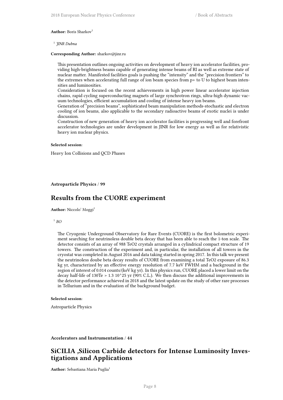#### Author: Boris Sharkov<sup>1</sup>

1 *JINR Dubna*

#### **Corresponding Author:** sharkov@jinr.ru

This presentation outlines ongoing activities on development of heavy ion accelerator facilities, providing high-brightness beams capable of generating intense beams of RI as well as extreme state of nuclear matter. Manifested facilities goals is pushing the "intensity" and the "precision frontiers" to the extremes when accelerating full range of ion beam species from p+ to U to highest beam intensities and luminosities.

Consideration is focused on the recent achievements in high power linear accelerator injection chains, rapid cycling superconducting magnets of large synchrotron rings, ultra-high dynamic vacuum technologies, efficient accumulation and cooling of intense heavy ion beams.

Generation of "precision beams", sophisticated beam manipulation methods-stochastic and electron cooling of ion beams, also applicable to the secondary radioactive beams of exotic nuclei is under discussion.

Construction of new generation of heavy ion accelerator facilities is progressing well and forefront accelerator technologies are under development in JINR for low energy as well as for relativistic heavy ion nuclear physics.

#### **Selected session**:

Heavy Ion Collisions and QCD Phases

#### <span id="page-21-0"></span>**Astroparticle Physics** / **99**

### **Results from the CUORE experiment**

**Author:** Niccolo' Moggi<sup>1</sup>

1 *BO*

The Cryogenic Underground Observatory for Rare Events (CUORE) is the first bolometric experiment searching for neutrinoless double beta decay that has been able to reach the 1-ton scale. The detector consists of an array of 988 TeO2 crystals arranged in a cylindrical compact structure of 19 towers. The construction of the experiment and, in particular, the installation of all towers in the cryostat was completed in August 2016 and data taking started in spring 2017. In this talk we present the neutrinoless doube beta decay results of CUORE from examining a total TeO2 exposure of 86.3 kg yr, characterized by an effective energy resolution of 7.7 keV FWHM and a background in the region of interest of 0.014 counts/(keV kg yr). In this physics run, CUORE placed a lower limit on the decay half-life of 130Te > 1.3 10^25 yr (90% C.L.). We then discuss the additional improvements in the detector performance achieved in 2018 and the latest update on the study of other rare processes in Tellurium and in the evaluation of the background budget.

#### **Selected session**:

Astroparticle Physics

#### <span id="page-21-1"></span>**Accelerators and Instrumentation** / **44**

### **SiCILIA ,Silicon Carbide detectors for Intense Luminosity Investigations and Applications**

**Author:** Sebastiana Maria Puglia<sup>1</sup>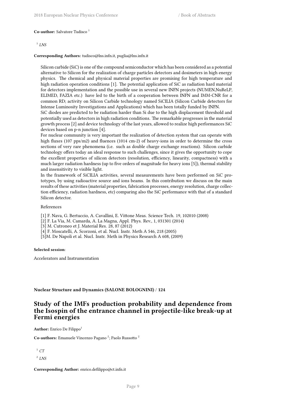#### **Co-author:** Salvatore Tudisco<sup>1</sup>

#### 1 *LNS*

#### **Corresponding Authors:** tudisco@lns.infn.it, puglia@lns.infn.it

Silicon carbide (SiC) is one of the compound semiconductor which has been considered as a potential alternative to Silicon for the realization of charge particles detectors and dosimeters in high energy physics. The chemical and physical material properties are promising for high temperature and high radiation operation conditions [1]. The potential application of SiC as radiation hard material for detectors implementation and the possible use in several new INFN projects (NUMEN,NuReLP, ELIMED, FAZIA etc.) have led to the birth of a cooperation between INFN and IMM-CNR for a common RD; activity on Silicon Carbide technology named SiCILIA (Silicon Carbide detectors for Intense Luminosity Investigations and Applications) which has been totally funded by INFN.

SiC diodes are predicted to be radiation harder than Si due to the high displacement threshold and potentially used as detectors in high radiation conditions. The remarkable progresses in the material growth process [2] and device technology of the last years, allowed to realize high performances SiC devices based on p-n junction [4].

For nuclear community is very important the realization of detection system that can operate with high fluxes (107 pps/m2) and fluences (1014 cm-2) of heavy-ions in order to determine the cross sections of very rare phenomena (i.e. such as double charge exchange reactions). Silicon carbide technology offers today an ideal response to such challenges, since it gives the opportunity to cope the excellent properties of silicon detectors (resolution, efficiency, linearity, compactness) with a much larger radiation hardness (up to five orders of magnitude for heavy ions [5]), thermal stability and insensitivity to visible light.

In the framework of SiCILIA activities, several measurements have been performed on SiC prototypes, by using radioactive source and ions beams. In this contribution we discuss on the main results of these activities (material properties, fabrication processes, energy resolution, charge collection efficiency, radiation hardness, etc) comparing also the SiC performance with that of a standard Silicon detector.

#### References

[1] F. Nava, G. Bertuccio, A. Cavallini, E. Vittone Meas. Science Tech. 19, 102010 (2008)

[2] F. La Via, M. Camarda, A. La Magna, Appl. Phys. Rev., 1, 031301 (2014)

[3] M. Cutroneo et J. Material Res. 28, 87 (2012)

[4] F. Moscatelli, A. Scorzoni, et al. Nucl. Instr. Meth A 546, 218 (2005)

[5]M. De Napoli et al. Nucl. Instr. Meth in Physics Research A 608, (2009)

#### **Selected session**:

Accelerators and Instrumentation

<span id="page-22-0"></span>**Nuclear Structure and Dynamics (SALONE BOLOGNINI)** / **124**

### **Study of the IMFs production probability and dependence from the Isospin of the entrance channel in projectile-like break-up at Fermi energies**

**Author:** Enrico De Filippo<sup>1</sup>

**Co-authors:** Emanuele Vincenzo Pagano<sup>2</sup>; Paolo Russotto<sup>2</sup>

 $^1$   $CT$ 

2 *LNS*

**Corresponding Author:** enrico.defilippo@ct.infn.it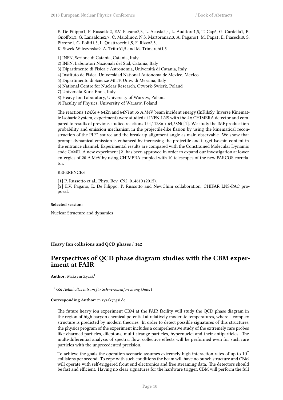E. De Filippo1, P. Russotto2, E.V. Pagano2,3, L. Acosta2,4, L. Auditore1,5, T. Cap6, G. Cardella1, B. Gnoffo1,3, G. Lanzalone2,7, C. Maiolino2, N.S. Martorana2,3, A. Pagano1, M. Papa1, E. Piasecki8, S. Pirrone1, G. Politi1,3, L. Quattrocchi1,5, F. Rizzo2,3, K. Siwek-Wilczynska9, A. Trifirò1,5 and M. Trimarchi1,5

1) INFN, Sezione di Catania, Catania, Italy

- 2) INFN, Laboratori Nazionali del Sud, Catania, Italy
- 3) Dipartimento di Fisica e Astronomia, Università di Catania, Italy
- 4) Instituto de Fisica, Universidad National Autonoma de Mexico, Mexico
- 5) Dipartimento di Scienze MITF, Univ. di Messina, Italy
- 6) National Centre for Nuclear Research, Otwork-Swierk, Poland
- 7) Università Kore, Enna, Italy
- 8) Heavy Ion Laboratory, University of Warsaw, Poland
- 9) Faculty of Physics, University of Warsaw, Poland

The reactions 124Xe + 64Zn and 64Ni at 35 A.MeV beam incident energy (InKiIsSy, Inverse Kinematic Isobaric System, experiment) were studied at INFN-LNS with the  $4\pi$  CHIMERA detector and compared to results of previous studied reactions 124,112Sn + 64,58Ni [1]. We study the IMF produc-tion probability and emission mechanism in the projectile-like fission by using the kinematical reconstruction of the PLF\* source and the break-up alignment angle as main observable. We show that prompt-dynamical emission is enhanced by increasing the projectile and target Isospin content in the entrance channel. Experimental results are compared with the Constrained Molecular Dynamic code CoMD. A new experiment [2] has been approved in order to expand our investigation at lower en-ergies of 20 A.MeV by using CHIMERA coupled with 10 telescopes of the new FARCOS correlator.

#### **REFERENCES**

[1] P. Russotto et al., Phys. Rev. C92, 014610 (2015). [2] E.V. Pagano, E. De Filippo, P. Russotto and NewChim collaboration, CHIFAR LNS-PAC proposal.

#### **Selected session**:

Nuclear Structure and dynamics

<span id="page-23-0"></span>**Heavy Ion collisions and QCD phases** / **142**

### **Perspectives of QCD phase diagram studies with the CBM experiment at FAIR**

Author: Maksym Zyzak<sup>1</sup>

<sup>1</sup> *GSI Helmholtzzentrum für Schwerionenforschung GmbH*

#### **Corresponding Author:** m.zyzak@gsi.de

The future heavy ion experiment CBM at the FAIR facility will study the QCD phase diagram in the region of high baryon chemical potential at relatively moderate temperatures, where a complex structure is predicted by modern theories. In order to detect possible signatures of this structures, the physics program of the experiment includes a comprehensive study of the extremely rare probes like charmed particles, dileptons, multi-strange particles, hypernuclei and their antiparticles. The multi-differential analysis of spectra, flow, collective effects will be performed even for such rare particles with the unprecedented precision.

To achieve the goals the operation scenario assumes extremely high interaction rates of up to  $10<sup>7</sup>$ collisions per second. To cope with such conditions the beam will have no bunch structure and CBM will operate with self-triggered front end electronics and free streaming data. The detectors should be fast and efficient. Having no clear signatures for the hardware trigger, CBM will perform the full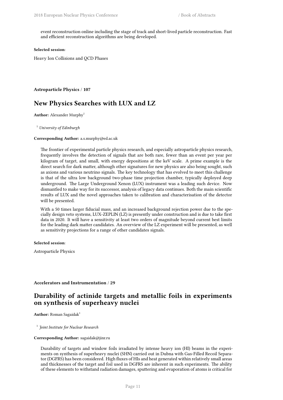event reconstruction online including the stage of track and short-lived particle reconstruction. Fast and efficient reconstruction algorithms are being developed.

#### **Selected session**:

Heavy Ion Collisions and QCD Phases

<span id="page-24-0"></span>**Astroparticle Physics** / **107**

### **New Physics Searches with LUX and LZ**

**Author:** Alexander Murphy<sup>1</sup>

<sup>1</sup> *University of Edinburgh*

#### **Corresponding Author:** a.s.murphy@ed.ac.uk

The frontier of experimental particle physics research, and especially astroparticle physics research, frequently involves the detection of signals that are both rare, fewer than an event per year per kilogram of target, and small, with energy depositions at the keV scale. A prime example is the direct search for dark matter, although other signatures for new physics are also being sought, such as axions and various neutrino signals. The key technology that has evolved to meet this challenge is that of the ultra low background two-phase time projection chamber, typically deployed deep underground. The Large Underground Xenon (LUX) instrument was a leading such device. Now dismantled to make way for its successor, analysis of legacy data continues. Both the main scientific results of LUX and the novel approaches taken to calibration and characterisation of the detector will be presented.

With a 50 times larger fiducial mass, and an increased background rejection power due to the specially design veto systems, LUX-ZEPLIN (LZ) is presently under construction and is due to take first data in 2020. It will have a sensitivity at least two orders of magnitude beyond current best limits for the leading dark matter candidates. An overview of the LZ experiment will be presented, as well as sensitivity projections for a range of other candidates signals.

#### **Selected session**:

Astroparticle Physics

#### <span id="page-24-1"></span>**Accelerators and Instrumentation** / **29**

### **Durability of actinide targets and metallic foils in experiments on synthesis of superheavy nuclei**

Author: Roman Sagaidak<sup>1</sup>

1 *Joint Institute for Nuclear Research*

#### **Corresponding Author:** sagaidak@jinr.ru

Durability of targets and window foils irradiated by intense heavy ion (HI) beams in the experiments on synthesis of superheavy nuclei (SHN) carried out in Dubna with Gas-Filled Recoil Separator (DGFRS) has been considered. High fluxes of HIs and heat generated within relatively small areas and thicknesses of the target and foil used in DGFRS are inherent in such experiments. The ability of these elements to withstand radiation damages, sputtering and evaporation of atoms is critical for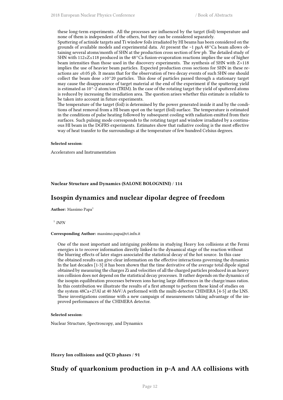these long-term experiments. All the processes are influenced by the target (foil) temperature and none of them is independent of the others, but they can be considered separately.

Sputtering of actinide targets and Ti window foils irradiated by HI beams has been considered on the grounds of available models and experimental data. At present the  $\sim$ 1 p $\mu$ A 48<sup> $\wedge$ </sup>Ca beam allows obtaining several atoms/month of SHN at the production cross section of few pb. The detailed study of SHN with 112≤Z≤118 produced in the 48^Ca fusion-evaporation reactions implies the use of higher beam intensities than those used in the discovery experiments. The synthesis of SHN with Z>118 implies the use of heavier beam particles. Expected production cross sections for SHN in these reactions are ≤0.05 pb. It means that for the observation of two decay events of such SHN one should collect the beam dose  $\geq 10^{\circ}20$  particles. This dose of particles passed through a stationary target may cause the disappearance of target material at the end of the experiment if the sputtering yield is estimated as  $10^{\degree}$ -2 atom/ion (TRIM). In the case of the rotating target the yield of sputtered atoms is reduced by increasing the irradiation area. The question arises whether this estimate is reliable to be taken into account in future experiments.

The temperature of the target (foil) is determined by the power generated inside it and by the conditions of heat removal from a HI beam spot on the target (foil) surface. The temperature is estimated in the conditions of pulse heating followed by subsequent cooling with radiation emitted from their surfaces. Such pulsing mode corresponds to the rotating target and window irradiated by a continuous HI beam in the DGFRS experiments. Estimates show that radiative cooling is the most effective way of heat transfer to the surroundings at the temperature of few hundred Celsius degrees.

#### **Selected session**:

Accelerators and Instrumentation

<span id="page-25-0"></span>**Nuclear Structure and Dynamics (SALONE BOLOGNINI)** / **114**

### **Isospin dynamics and nuclear dipolar degree of freedom**

**Author:** Massimo Papa<sup>1</sup>

1 *INFN*

#### **Corresponding Author:** massimo.papa@ct.infn.it

One of the most important and intriguing problems in studying Heavy Ion collisions at the Fermi energies is to recover information directly linked to the dynamical stage of the reaction without the blurring effects of later stages associated the statistical decay of the hot source. In this case the obtained results can give clear information on the effective interactions governing the dynamics In the last decades [1-3] it has been shown that the time derivative of the average total dipole signal obtained by measuring the charges Zi and velocities of all the charged particles produced in an heavy ion collision does not depend on the statistical decay processes. It rather depends on the dynamics of the isospin equilibration processes between ions having large differences in the charge/mass ratios. In this contribution we illustrate the results of a first attempt to perform these kind of studies on the system 48Ca+27Al at 40 MeV/A performed with the multi-detector CHIMERA [4-5] at the LNS. These investigations continue with a new campaign of measurements taking advantage of the improved performances of the CHIMERA detector.

#### **Selected session**:

Nuclear Structure, Spectroscopy, and Dynamics

<span id="page-25-1"></span>**Heavy Ion collisions and QCD phases** / **91**

### **Study of quarkonium production in p-A and AA collisions with**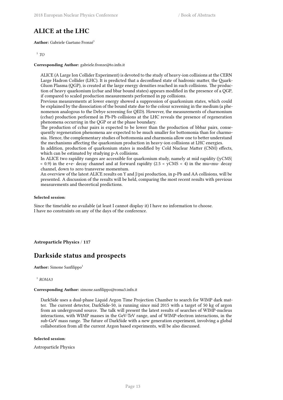### **ALICE at the LHC**

**Author:** Gabriele Gaetano Fronzé<sup>1</sup>

#### 1 *TO*

**Corresponding Author:** gabriele.fronze@to.infn.it

ALICE (A Large Ion Collider Experiment) is devoted to the study of heavy-ion collisions at the CERN Large Hadron Collider (LHC). It is predicted that a deconfined state of hadronic matter, the Quark-Gluon Plasma (QGP), is created at the large energy densities reached in such collisions. The production of heavy quarkonium (ccbar and bbar bound states) appears modified in the presence of a QGP, if compared to scaled production measurements performed in pp collisions.

Previous measurements at lower energy showed a suppression of quarkonium states, which could be explained by the dissociation of the bound state due to the colour screening in the medium (a phenomenon analogous to the Debye screening for QED). However, the measurements of charmonium (ccbar) production performed in Pb-Pb collisions at the LHC reveals the presence of regeneration phenomena occurring in the QGP or at the phase boundary.

The production of ccbar pairs is expected to be lower than the production of bbbar pairs, consequently regeneration phenomena are expected to be much smaller for bottomonia than for charmonia. Hence, the complementary studies of bottomonia and charmonia allow one to better understand the mechanisms affecting the quarkonium production in heavy-ion collisions at LHC energies.

In addition, production of quarkonium states is modified by Cold Nuclear Matter (CNM) effects, which can be estimated by studying p-A collisions.

In ALICE two rapidity ranges are accessible for quarkonium study, namely at mid rapidity (|yCMS|  $< 0.9$ ) in the e+e- decay channel and at forward rapidity (2.5  $<$  yCMS  $< 4$ ) in the mu+mu- decay channel, down to zero transverse momentum.

An overview of the latest ALICE results on Y and J/psi production, in p-Pb and AA collisions, will be presented. A discussion of the results will be held, comparing the most recent results with previous measurements and theoretical predictions.

#### **Selected session**:

Since the timetable no available (at least I cannot display it) I have no information to choose. I have no constraints on any of the days of the conference.

<span id="page-26-0"></span>**Astroparticle Physics** / **117**

### **Darkside status and prospects**

**Author:** Simone Sanfilippo<sup>1</sup>

1 *ROMA3*

#### **Corresponding Author:** simone.sanfilippo@roma3.infn.it

DarkSide uses a dual-phase Liquid Argon Time Projection Chamber to search for WIMP dark matter. The current detector, DarkSide-50, is running since mid 2015 with a target of 50 kg of argon from an underground source. The talk will present the latest results of searches of WIMP-nucleus interactions, with WIMP masses in the GeV-TeV range, and of WIMP-electron interactions, in the sub-GeV mass range. The future of DarkSide with a new generation experiment, involving a global collaboration from all the current Argon based experiments, will be also discussed.

#### **Selected session**:

<span id="page-26-1"></span>Astroparticle Physics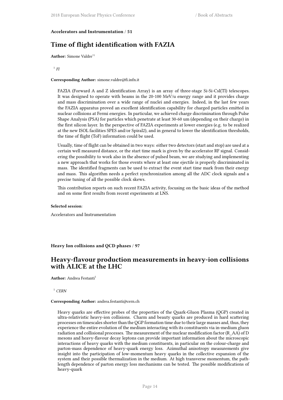#### **Accelerators and Instrumentation** / **51**

### **Time of flight identification with FAZIA**

**Author:** Simone Valdre'<sup>1</sup>

#### 1 *FI*

**Corresponding Author:** simone.valdre@fi.infn.it

FAZIA (Forward A and Z identification Array) is an array of three-stage Si-Si-CsI(Tl) telescopes. It was designed to operate with beams in the 20-100 MeV/u energy range and it provides charge and mass discrimination over a wide range of nuclei and energies. Indeed, in the last few years the FAZIA apparatus proved an excellent identification capability for charged particles emitted in nuclear collisions at Fermi energies. In particular, we achieved charge discrimination through Pulse Shape Analysis (PSA) for particles which penetrate at least 30-60 um (depending on their charge) in the first silicon layer. In the perspective of FAZIA experiments at lower energies (e.g. to be realized at the new ISOL facilities SPES and/or Spiral2), and in general to lower the identification thresholds, the time of flight (ToF) information could be used.

Usually, time of flight can be obtained in two ways: either two detectors (start and stop) are used at a certain well measured distance, or the start time mark is given by the accelerator RF signal. Considering the possibility to work also in the absence of pulsed beam, we are studying and implementing a new approach that works for those events where at least one ejectile is properly discriminated in mass. The identified fragments can be used to extract the event start time mark from their energy and mass. This algorithm needs a perfect synchronization among all the ADC clock signals and a precise tuning of all the possible clock skews.

This contribution reports on such recent FAZIA activity, focusing on the basic ideas of the method and on some first results from recent experiments at LNS.

#### **Selected session**:

Accelerators and Instrumentation

<span id="page-27-0"></span>**Heavy Ion collisions and QCD phases** / **97**

### **Heavy-flavour production measurements in heavy-ion collisions with ALICE at the LHC**

**Author:** Andrea Festanti<sup>1</sup>

<sup>1</sup> *CERN*

#### **Corresponding Author:** andrea.festanti@cern.ch

Heavy quarks are effective probes of the properties of the Quark-Gluon Plasma (QGP) created in ultra-relativistic heavy-ion collisions. Charm and beauty quarks are produced in hard scattering processes on timescales shorter than the QGP formation time due to their large masses and, thus, they experience the entire evolution of the medium interacting with its constituents via in-medium gluon radiation and collisional processes. The measurement of the nuclear modification factor (R\_AA) of D mesons and heavy-flavour decay leptons can provide important information about the microscopic interactions of heavy quarks with the medium constituents, in particular on the colour-charge and parton-mass dependence of heavy-quark energy loss. Azimuthal anisotropy measurements give insight into the participation of low-momentum heavy quarks in the collective expansion of the system and their possible thermalization in the medium. At high transverse momentum, the pathlength dependence of parton energy loss mechanisms can be tested. The possible modifications of heavy-quark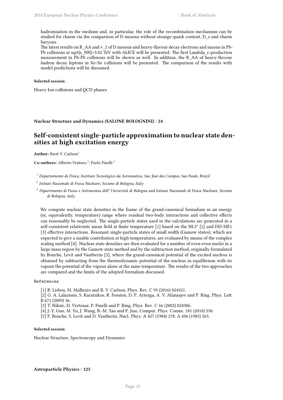hadronisation in the medium and, in particular, the role of the recombination mechanism can be studied for charm via the comparison of D mesons without strange-quark content, D\_s and charm baryons.

The latest results on R\_AA and v\_2 of D mesons and heavy-flavour decay electrons and muons in Pb-Pb collisions at sqrt{s\_NN}=5.02 TeV with ALICE will be presented. The first Lambda\_c-production measurement in Pb-Pb collisions will be shown as well. In addition, the R\_AA of heavy-flavour hadron decay leptons in Xe-Xe collisions will be presented. The comparison of the results with model predictions will be discussed.

#### **Selected session**:

Heavy Ion collisions and QCD phases

<span id="page-28-0"></span>**Nuclear Structure and Dynamics (SALONE BOLOGNINI)** / **24**

### **Self-consistent single-particle approximation to nuclear state densities at high excitation energy**

**Author:** Brett V. Carlson<sup>1</sup>

Co-authors: Alberto Ventura<sup>2</sup>; Paolo Finelli<sup>3</sup>

<sup>1</sup> *Departamento de Fisica, Instituto Tecnologico da Aeronautica, Sao José dos Campos, Sao Paulo, Brazil*

2 *Istituto Nazionale di Fisica Nucleare, Sezione di Bologna, Italy*

<sup>3</sup> *Dipartimento di Fisica e Astronomia dell' Università di Bologna and Istituto Nazionale di Fisica Nucleare, Sezione di Bologna, italy*

We compute nuclear state densities in the frame of the grand-canonical formalism in an energy (or, equivalently, temperature) range where residual two-body interactions and collective effects can reasonably be neglected. The single-particle states used in the calculations are generated in a self-consistent relativistic mean field at finite temperature [1] based on the NL3\* [2] and DD-ME1 [3] effective interactions. Resonant single-particle states of small width (Gamow states), which are expected to give a sizable contribution at high temperatures, are evaluated by means of the complex scaling method [4]. Nuclear state densities are then evaluated for a number of even-even nuclei in a large mass region by the Gamow state method and by the subtraction method, originally formulated by Bonche, Levit and Vautherin [5], where the grand-canonical potential of the excited nucleus is obtained by subtracting from the thermodynamic potential of the nucleus in equilibrium with its vapour the potential of the vapour alone at the same temperature. The results of the two approaches are compared and the limits of the adopted formalism discussed.

#### References

[1] R. Lisboa, M. Malheiro and B. V. Carlson, Phys. Rev. C 93 (2016) 024321.

[2] G. A. Lalazissis, S. Karatzikos, R. Fossion, D. P. Arteaga, A. V. Afanasjev and P. Ring, Phys. Lett. B 671 (2009) 36.

[3] T. Niksic, D. Vretenar, P. Finelli and P. Ring, Phys. Rev. C 66 (2002) 024306.

[4] J.-Y. Guo, M. Yu, J. Wang, B.-M. Yao and P. Jiao, Comput. Phys. Comm. 181 (2010) 550.

[5] P. Bonche, S. Levit and D. Vautherin, Nucl. Phys. A 427 (1984) 278, A 436 (1985) 265.

#### **Selected session**:

<span id="page-28-1"></span>Nuclear Structure, Spectroscopy and Dynamics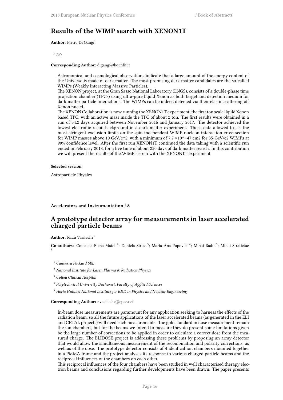### **Results of the WIMP search with XENON1T**

**Author:** Pietro Di Gangi<sup>1</sup>

1 *BO*

#### **Corresponding Author:** digangi@bo.infn.it

Astronomical and cosmological observations indicate that a large amount of the energy content of the Universe is made of dark matter. The most promising dark matter candidates are the so-called WIMPs (Weakly Interacting Massive Particles).

The XENON project, at the Gran Sasso National Laboratory (LNGS), consists of a double-phase time projection chamber (TPCs) using ultra-pure liquid Xenon as both target and detection medium for dark matter particle interactions. The WIMPs can be indeed detected via their elastic scattering off Xenon nuclei.

The XENON Collaboration is now running the XENON1T experiment, the first ton scale liquid Xenon based TPC, with an active mass inside the TPC of about 2 ton. The first results were obtained in a run of 34.2 days acquired between November 2016 and January 2017. The detector achieved the lowest electronic recoil background in a dark matter experiment. Those data allowed to set the most stringent exclusion limits on the spin-independent WIMP-nucleon interaction cross section for WIMP masses above 10 GeV/c^2, with a minimum of 7.7 ×10^−47 cm2 for 35-GeV/c2 WIMPs at 90% confidence level. After the first run XENON1T continued the data taking with a scientific run ended in February 2018, for a live time of about 250 days of dark matter search. In this contribution we will present the results of the WIMP search with the XENON1T experiment.

#### **Selected session**:

Astroparticle Physics

#### <span id="page-29-0"></span>**Accelerators and Instrumentation** / **8**

### **A prototype detector array for measurements in laser accelerated charged particle beams**

**Author:** Radu Vasilache<sup>1</sup>

Co-authors: Consuela Elena Matei<sup>2</sup>; Daniela Stroe<sup>3</sup>; Maria Ana Popovici<sup>4</sup>; Mihai Radu<sup>5</sup>; Mihai Straticiuc 5

<sup>1</sup> *Canberra Packard SRL*

- <sup>2</sup> *National Institute for Laser, Plasma & Radiation Physics*
- <sup>3</sup> *Coltea Clinical Hospital*
- 4 *Polytechnical University Bucharest, Faculty of Applied Sciences*
- <sup>5</sup> *Horia Hulubei National Institute for R&D in Physics and Nuclear Engineering*

#### **Corresponding Author:** r.vasilache@cpce.net

In-beam dose measurements are paramount for any application seeking to harness the effects of the radiation beam, so all the future applications of the laser accelerated beams (as generated in the ELI and CETAL projects) will need such measurements. The gold standard in dose measurement remain the ion chambers, but for the beams we intend to measure they do present some limitations given be the large number of corrections to be applied in order to calculate a correct dose from the measured charge. The ELIDOSE project is addressing these problems by proposing an array detector that would allow the simultaneous measurement of the recombination and polarity corrections, as well as of the dose. The prototype detector consists of 4 identical ion chambers mounted together in a PMMA frame and the project analyses its response to various charged particle beams and the reciprocal influences of the chambers on each other.

This reciprocal influences of the four chambers have been studied in well characterised therapy electron beams and conclusions regarding further developments have been drawn. The paper presents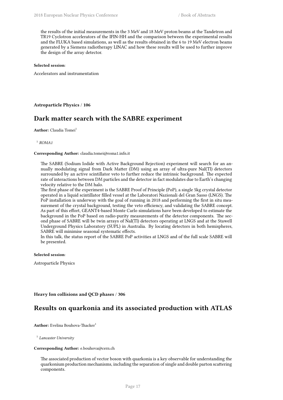the results of the initial measurements in the 3 MeV and 18 MeV proton beams at the Tandetron and TR19 Cyclotron accelerators of the IFIN-HH and the comparison between the experimental results and the FLUKA based simulations, as well as the results obtained in the 6 to 19 MeV electron beams generated by a Siemens radiotherapy LINAC and how these results will be used to further improve the design of the array detector.

#### **Selected session**:

Accelerators and instrumentation

#### <span id="page-30-0"></span>**Astroparticle Physics** / **106**

### **Dark matter search with the SABRE experiment**

**Author:** Claudia Tomei<sup>1</sup>

1 *ROMA1*

#### **Corresponding Author:** claudia.tomei@roma1.infn.it

The SABRE (Sodium Iodide with Active Background Rejection) experiment will search for an annually modulating signal from Dark Matter (DM) using an array of ultra-pure NaI(Tl) detectors surrounded by an active scintillator veto to further reduce the intrinsic background. The expected rate of interactions between DM particles and the detector in fact modulates due to Earth's changing velocity relative to the DM halo.

The first phase of the experiment is the SABRE Proof of Principle (PoP), a single 5kg crystal detector operated in a liquid scintillator filled vessel at the Laboratori Nazionali del Gran Sasso (LNGS). The PoP installation is underway with the goal of running in 2018 and performing the first in situ measurement of the crystal background, testing the veto efficiency, and validating the SABRE concept. As part of this effort, GEANT4-based Monte Carlo simulations have been developed to estimate the background in the PoP based on radio-purity measurements of the detector components. The second phase of SABRE will be twin arrays of NaI(Tl) detectors operating at LNGS and at the Stawell Underground Physics Laboratory (SUPL) in Australia. By locating detectors in both hemispheres, SABRE will minimise seasonal systematic effects.

In this talk, the status report of the SABRE PoP activities at LNGS and of the full scale SABRE will be presented.

#### **Selected session**:

Astroparticle Physics

#### <span id="page-30-1"></span>**Heavy Ion collisions and QCD phases** / **306**

### **Results on quarkonia and its associated production with ATLAS**

**Author:** Evelina Bouhova-Thacker<sup>1</sup>

1 *Lancaster University*

#### **Corresponding Author:** e.bouhova@cern.ch

The associated production of vector boson with quarkonia is a key observable for understanding the quarkonium production mechanisms, including the separation of single and double parton scattering components.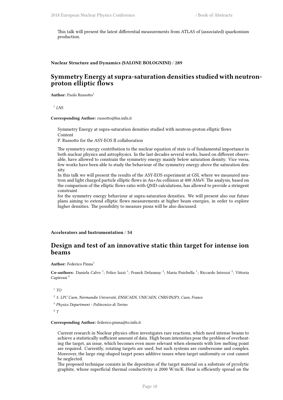This talk will present the latest differential measurements from ATLAS of (associated) quarkonium production.

<span id="page-31-0"></span>**Nuclear Structure and Dynamics (SALONE BOLOGNINI)** / **289**

### **Symmetry Energy at supra-saturation densities studied with neutronproton elliptic flows**

**Author:** Paolo Russotto<sup>1</sup>

1 *LNS*

**Corresponding Author:** russotto@lns.infn.it

Symmetry Energy at supra-saturation densities studied with neutron-proton elliptic flows Content

P. Russotto for the ASY-EOS II collaboration

The symmetry energy contribution to the nuclear equation of state is of fundamental importance in both nuclear physics and astrophysics. In the last decades several works, based on different observable, have allowed to constrain the symmetry energy mainly below saturation density. Vice versa, few works have been able to study the behaviour of the symmetry energy above the saturation density.

In this talk we will present the results of the ASY-EOS experiment at GSI, where we measured neutron and light charged particle elliptic flows in Au+Au collision at 400 AMeV. The analysis, based on the comparison of the elliptic flows ratio with QMD calculations, has allowed to provide a stringent constraint

for the symmetry energy behaviour at supra-saturation densities. We will present also our future plans aiming to extend elliptic flows measurements at higher beam energies, in order to explore higher densities. The possibility to measure pions will be also discussed.

<span id="page-31-1"></span>**Accelerators and Instrumentation** / **54**

### **Design and test of an innovative static thin target for intense ion beams**

#### **Author:** Federico Pinna<sup>1</sup>

Co-authors: Daniela Calvo<sup>1</sup>; Felice Iazzi<sup>1</sup>; Franck Delaunay<sup>2</sup>; Maria Fisichella<sup>1</sup>; Riccardo Introzzi<sup>3</sup>; Vittoria Capirossi <sup>4</sup>

1 *TO*

2 *3. LPC Caen, Normandie Université, ENSICAEN, UNICAEN, CNRS/IN2P3, Caen, France*

3 *Physics Department - Politecnico di Torino*

4 *T*

#### **Corresponding Author:** federico.pinna@to.infn.it

Current research in Nuclear physics often investigates rare reactions, which need intense beams to achieve a statistically sufficient amount of data. High beam intensities pose the problem of overheating the target, an issue, which becomes even more relevant when elements with low melting point are required. Currently, rotating targets are used, but such systems are cumbersome and complex. Moreover, the large ring-shaped target poses additive issues when target uniformity or cost cannot be neglected.

The proposed technique consists in the deposition of the target material on a substrate of pyrolytic graphite, whose superficial thermal conductivity is 2000 W/m/K. Heat is efficiently spread on the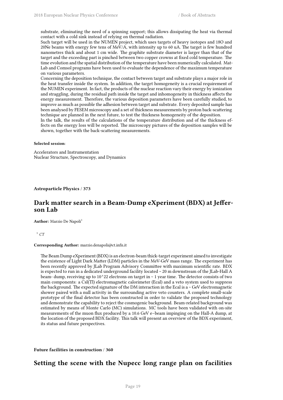substrate, eliminating the need of a spinning support; this allows dissipating the heat via thermal contact with a cold sink instead of relying on thermal radiation.

Such target will be used in the NUMEN project, which uses targets of heavy isotopes and 18O and 20Ne beams with energy few tens of MeV/A, with intensity up to 60 uA. The target is few hundred nanometres thick and about 1 cm wide. The graphite substrate diameter is larger than that of the target and the exceeding part is pinched between two copper crowns at fixed cold temperature. The time evolution and the spatial distribution of the temperature have been numerically calculated. Mat-Lab and Comsol programs have been used to evaluate the dependence of the maximum temperature on various parameters.

Concerning the deposition technique, the contact between target and substrate plays a major role in the heat transfer inside the system. In addition, the target homogeneity is a crucial requirement of the NUMEN experiment. In fact, the products of the nuclear reaction vary their energy by ionization and straggling, during the residual path inside the target and inhomogeneity in thickness affects the energy measurement. Therefore, the various deposition parameters have been carefully studied, to improve as much as possible the adhesion between target and substrate. Every deposited sample has been analysed by FESEM microscopy and a set of thickness measurements by proton back-scattering technique are planned in the next future, to test the thickness homogeneity of the deposition.

In the talk, the results of the calculations of the temperature distribution and of the thickness effects on the energy loss will be reported. The microscopy pictures of the deposition samples will be shown, together with the back-scattering measurements.

#### **Selected session**:

Accelerators and Instrumentation Nuclear Structure, Spectroscopy, and Dynamics

<span id="page-32-0"></span>**Astroparticle Physics** / **373**

### **Dark matter search in a Beam-Dump eXperiment (BDX) at Jefferson Lab**

**Author:** Marzio De Napoli<sup>1</sup>

<sup>1</sup> *CT*

#### **Corresponding Author:** marzio.denapoli@ct.infn.it

The Beam Dump eXperiment (BDX) is an electron-beam thick-target experiment aimed to investigate the existence of Light Dark Matter (LDM) particles in the MeV-GeV mass range. The experiment has been recently approved by JLab Program Advisory Committee with maximum scientific rate. BDX is expected to run in a dedicated underground facility located ~ 20 m downstream of the JLab-Hall A beam- dump, receiving up to 10^22 electrons on target in  $\sim$  1 year time. The detector consists of two main components: a CsI(Tl) electromagnetic calorimeter (Ecal) and a veto system used to suppress the background. The expected signature of the DM interaction in the Ecal is a  $\sim$  GeV electromagnetic shower paired with a null activity in the surrounding active veto counters. A complete small-scale prototype of the final detector has been constructed in order to validate the proposed technology and demonstrate the capability to reject the cosmogenic background. Beam-related background was estimated by means of Monte Carlo (MC) simulations. MC tools have been validated with on-site measurements of the muon flux produced by a 10.6 GeV e–beam impinging on the Hall-A dump, at the location of the proposed BDX facility. This talk will present an overview of the BDX experiment, its status and future perspectives.

<span id="page-32-1"></span>**Future facilities in construction** / **360**

### **Setting the scene with the Nupecc long range plan on facilities**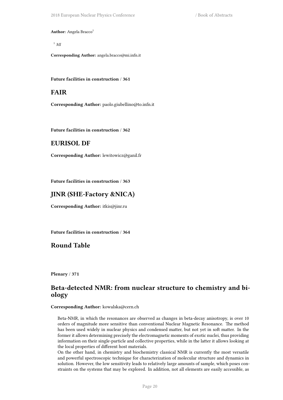**Author:** Angela Bracco<sup>1</sup>

<sup>1</sup> *MI*

**Corresponding Author:** angela.bracco@mi.infn.it

<span id="page-33-0"></span>**Future facilities in construction** / **361**

### **FAIR**

**Corresponding Author:** paolo.giubellino@to.infn.it

<span id="page-33-1"></span>**Future facilities in construction** / **362**

### **EURISOL DF**

**Corresponding Author:** lewitowicz@ganil.fr

<span id="page-33-2"></span>**Future facilities in construction** / **363**

### **JINR (SHE-Factory &NICA)**

**Corresponding Author:** itkis@jinr.ru

<span id="page-33-3"></span>**Future facilities in construction** / **364**

**Round Table**

<span id="page-33-4"></span>**Plenary** / **371**

### **Beta-detected NMR: from nuclear structure to chemistry and biology**

**Corresponding Author:** kowalska@cern.ch

Beta-NMR, in which the resonances are observed as changes in beta-decay anisotropy, is over 10 orders of magnitude more sensitive than conventional Nuclear Magnetic Resonance. The method has been used widely in nuclear physics and condensed matter, but not yet in soft matter. In the former it allows determining precisely the electromagnetic moments of exotic nuclei, thus providing information on their single-particle and collective properties, while in the latter it allows looking at the local properties of different host materials.

On the other hand, in chemistry and biochemistry classical NMR is currently the most versatile and powerful spectroscopic technique for characterization of molecular structure and dynamics in solution. However, the low sensitivity leads to relatively large amounts of sample, which poses constraints on the systems that may be explored. In addition, not all elements are easily accessible, as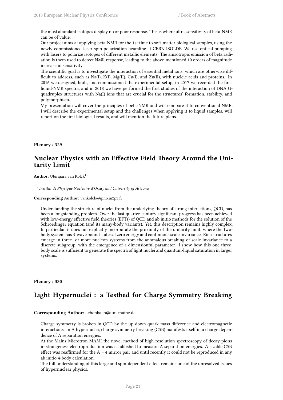the most abundant isotopes display no or poor response. This is where ultra-sensitivity of beta-NMR can be of value.

Our project aims at applying beta-NMR for the 1st time to soft-matter biological samples, using the newly commissioned laser spin-polarization beamline at CERN-ISOLDE. We use optical pumping with lasers to polarize isotopes of different metallic elements. The anisotropic emission of beta radiation is them used to detect NMR response, leading to the above-mentioned 10 orders of magnitude increase in sensitivity.

The scientific goal is to investigate the interaction of essential metal ions, which are otherwise difficult to address, such as Na(I), K(I), Mg(II), Cu(I), and Zn(II), with nucleic acids and proteins. In 2016 we designed, built, and commissioned the experimental setup, in 2017 we recorded the first liquid-NMR spectra, and in 2018 we have performed the first studies of the interaction of DNA Gquadruplex structures with Na(I) ions that are crucial for the structures' formation, stability, and polymorphism.

My presentation will cover the principles of beta-NMR and will compare it to conventional NMR. I will describe the experimental setup and the challenges when applying it to liquid samples, will report on the first biological results, and will mention the future plans.

<span id="page-34-0"></span>**Plenary** / **329**

### **Nuclear Physics with an Effective Field Theory Around the Unitarity Limit**

Author: Ubirajara van Kolck<sup>1</sup>

1 *Institut de Physique Nucleaire d'Orsay and University of Arizona*

**Corresponding Author:** vankolck@ipno.in2p3.fr

Understanding the structure of nuclei from the underlying theory of strong interactions, QCD, has been a longstanding problem. Over the last quarter-century significant progress has been achieved with low-energy effective field theories (EFTs) of QCD and ab initio methods for the solution of the Schroedinger equation (and its many-body variants). Yet, this description remains highly complex. In particular, it does not explicitly incorporate the proximity of the unitarity limit, where the twobody system has S-wave bound states at zero energy and continuous scale invariance. Rich structures emerge in three- or more-nucleon systems from the anomalous breaking of scale invariance to a discrete subgroup, with the emergence of a dimensionful parameter. I show how this one threebody scale is sufficient to generate the spectra of light nuclei and quantum-liquid saturation in larger systems.

#### <span id="page-34-1"></span>**Plenary** / **330**

### **Light Hypernuclei : a Testbed for Charge Symmetry Breaking**

#### **Corresponding Author:** achenbach@uni-mainz.de

Charge symmetry is broken in QCD by the up-down quark mass difference and electromagnetic interactions. In Λ hypernuclei, charge symmetry breaking (CSB) manifests itself in a charge dependence of Λ separation energies.

At the Mainz Microtron MAMI the novel method of high-resolution spectroscopy of decay-pions in strangeness electroproduction was established to measure  $\Lambda$  separation energies. A sizable CSB effect was reaffirmed for the  $A = 4$  mirror pair and until recently it could not be reproduced in any ab initio 4-body calculation.

The full understanding of this large and spin-dependent effect remains one of the unresolved issues of hypernuclear physics.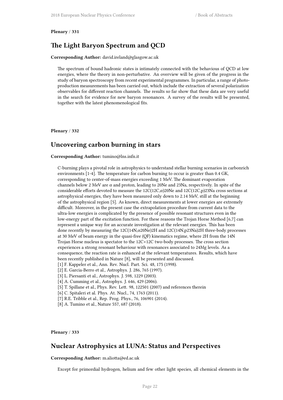#### **Plenary** / **331**

### **The Light Baryon Spectrum and QCD**

**Corresponding Author:** david.ireland@glasgow.ac.uk

The spectrum of bound hadronic states is intimately connected with the behavious of QCD at low energies, where the theory in non-perturbative. An overview will be given of the progress in the study of baryon spectroscopy from recent experimental programmes. In particular, a range of photoproduction measurements has been carried out, which include the extraction of several polarization observables for different reaction channels. The results so far show that these data are very useful in the search for evidence for new baryon resonances. A survey of the results will be presented, together with the latest phenomenological fits.

#### **Plenary** / **332**

### **Uncovering carbon burning in stars**

#### **Corresponding Author:** tumino@lns.infn.it

C-burning plays a pivotal role in astrophysics to understand stellar burning scenarios in carbonrich environments [1-4]. The temperature for carbon burning to occur is greater than 0.4 GK, corresponding to center-of-mass energies exceeding 1 MeV. The dominant evaporation channels below 2 MeV are  $\alpha$  and proton, leading to 20Ne and 23Na, respectively. In spite of the considerable efforts devoted to measure the  $12C(12C,\alpha)20Ne$  and  $12C(12C,p)23Na$  cross sections at astrophysical energies, they have been measured only down to 2.14 MeV, still at the beginning of the astrophysical region [5]. As known, direct measurements at lower energies are extremely difficult. Moreover, in the present case the extrapolation procedure from current data to the ultra-low energies is complicated by the presence of possible resonant structures even in the low-energy part of the excitation function. For these reasons the Trojan Horse Method [6,7] can represent a unique way for an accurate investigation at the relevant energies. This has been done recently by measuring the 12C(14N,α20Ne)2H and 12C(14N,p23Na)2H three-body processes at 30 MeV of beam energy in the quasi-free (QF) kinematics regime, where 2H from the 14N Trojan Horse nucleus is spectator to the 12C+12C two-body processes. The cross section experiences a strong resonant behaviour with resonances associated to 24Mg levels. As a consequence, the reaction rate is enhanced at the relevant temperatures. Results, which have been recently published in Nature [8], will be presented and discussed.

- [1] F. Kappeler et al., Ann. Rev. Nucl. Part. Sci. 48, 175 (1998).
- [2] E. Garcia-Berro et al., Astrophys. J. 286, 765 (1997).
- [3] L. Piersanti et al., Astrophys. J. 598, 1229 (2003).
- [4] A. Cumming et al., Astrophys. J. 646, 429 (2006).
- [5] T. Spillane et al., Phys. Rev. Lett. 98, 122501 (2007) and references therein
- [6] C. Spitaleri et al. Phys. At. Nucl., 74, 1763 (2011).
- [7] R.E. Tribble et al., Rep. Prog. Phys., 76, 106901 (2014).
- [8] A. Tumino et al., Nature 557, 687 (2018).

<span id="page-35-0"></span>**Plenary** / **333**

### **Nuclear Astrophysics at LUNA: Status and Perspectives**

**Corresponding Author:** m.aliotta@ed.ac.uk

Except for primordial hydrogen, helium and few other light species, all chemical elements in the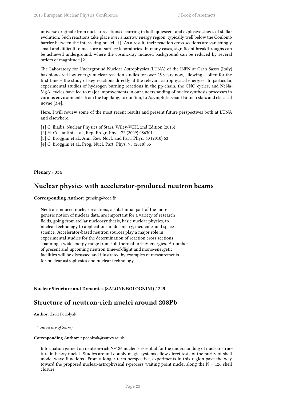universe originate from nuclear reactions occurring in both quiescent and explosive stages of stellar evolution. Such reactions take place over a narrow energy region, typically well below the Coulomb barrier between the interacting nuclei [1]. As a result, their reaction cross sections are vanishingly small and difficult to measure at surface laboratories. In many cases, significant breakthroughs can be achieved underground, where the cosmic-ray induced background can be reduced by several orders of magnitude [2].

The Laboratory for Underground Nuclear Astrophysics (LUNA) of the INFN at Gran Sasso (Italy) has pioneered low-energy nuclear reaction studies for over 25 years now, allowing – often for the first time – the study of key reactions directly at the relevant astrophysical energies. In particular, experimental studies of hydrogen burning reactions in the pp-chain, the CNO cycles, and NeNa-MgAl cycles have led to major improvements in our understanding of nucleosynthesis processes in various environments, from the Big Bang, to our Sun, to Asymptotic Giant Branch stars and classical novae [3,4].

Here, I will review some of the most recent results and present future perspectives both at LUNA and elsewhere.

- [1] C. Iliadis, Nuclear Physics of Stars, Wiley-VCH, 2nd Edition (2015)
- [2] H. Costantini et al., Rep. Progr. Phys. 72 (2009) 086301
- [3] C. Broggini et al., Ann. Rev. Nucl. and Part. Phys. 60 (2010) 53
- [4] C. Broggini et al., Prog. Nucl. Part. Phys. 98 (2018) 55

**Plenary** / **334**

## **Nuclear physics with accelerator-produced neutron beams**

### **Corresponding Author:** gunsing@cea.fr

Neutron-induced nuclear reactions, a substantial part of the more generic notion of nuclear data, are important for a variety of research fields, going from stellar nucleosynthesis, basic nuclear physics, to nuclear technology to applications in dosimetry, medicine, and space science. Accelerator-based neutron sources play a major role in experimental studies for the determination of reaction cross sections spanning a wide energy range from sub-thermal to GeV energies. A number of present and upcoming neutron time-of-flight and mono-energetic facilities will be discussed and illustrated by examples of measurements for nuclear astrophysics and nuclear technology.

**Nuclear Structure and Dynamics (SALONE BOLOGNINI)** / **245**

# **Structure of neutron-rich nuclei around 208Pb**

Author: Zsolt Podolyak<sup>1</sup>

<sup>1</sup> *University of Surrey*

#### **Corresponding Author:** z.podolyak@surrey.ac.uk

Information gained on neutron-rich N~126 nuclei is essential for the understanding of nuclear structure in heavy nuclei. Studies around doubly magic systems allow direct tests of the purity of shell model wave functions. From a longer-term perspective, experiments in this region pave the way toward the proposed nuclear-astrophysical r-process waiting point nuclei along the  $N = 126$  shell closure.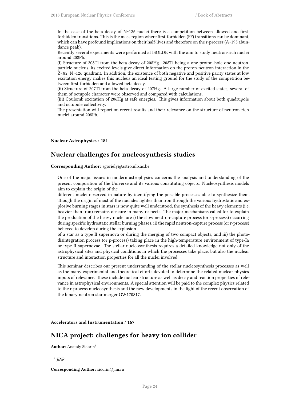In the case of the beta decay of  $N$ ~126 nuclei there is a competition between allowed and firstforbidden transitions. This is the mass region where first-forbidden (FF) transitions can be dominant, which can have profound implications on their half-lives and therefore on the r-process (A~195 abundance peak).

Recently several experiments were performed at ISOLDE with the aim to study neutron-rich nuclei around 208Pb.

(i) Structure of 208Tl from the beta decay of 208Hg. 208Tl being a one-proton-hole one-neutronparticle nucleus, its excited levels give direct information on the proton-neutron interaction in the Z<82, N>126 quadrant. In addition, the existence of both negative and positive parity states at low excitation energy makes this nucleus an ideal testing ground for the study of the competition between first-forbidden and allowed beta decay.

(ii) Structure of 207Tl from the beta decay of 207Hg. A large number of excited states, several of them of octupole character were observed and compared with calculations.

(iii) Coulomb excitation of 206Hg at safe energies. This gives information about both quadrupole and octupole collectivity.

The presentation will report on recent results and their relevance on the structure of neutron-rich nuclei around 208Pb.

**Nuclear Astrophysics** / **181**

# **Nuclear challenges for nucleosynthesis studies**

**Corresponding Author:** sgoriely@astro.ulb.ac.be

One of the major issues in modern astrophysics concerns the analysis and understanding of the present composition of the Universe and its various constituting objects. Nucleosynthesis models aim to explain the origin of the

different nuclei observed in nature by identifying the possible processes able to synthesize them. Though the origin of most of the nuclides lighter than iron through the various hydrostatic and explosive burning stages in stars is now quite well understood, the synthesis of the heavy elements (i.e. heavier than iron) remains obscure in many respects. The major mechanisms called for to explain the production of the heavy nuclei are i) the slow neutron-capture process (or s-process) occurring during specific hydrostatic stellar burning phases, ii) the rapid neutron-capture process (or r-process) believed to develop during the explosion

of a star as a type II supernova or during the merging of two compact objects, and iii) the photodisintegration process (or p-process) taking place in the high-temperature environment of type-Ia or type-II supernovae. The stellar nucleosynthesis requires a detailed knowledge not only of the astrophysical sites and physical conditions in which the processes take place, but also the nuclear structure and interaction properties for all the nuclei involved.

This seminar describes our present understanding of the stellar nucleosynthesis processes as well as the many experimental and theoretical efforts devoted to determine the related nuclear physics inputs of relevance. These include nuclear structure as well as decay and reaction properties of relevance in astrophysical environments. A special attention will be paid to the complex physics related to the r-process nucleosynthesis and the new developments in the light of the recent observation of the binary neutron star merger GW170817.

**Accelerators and Instrumentation** / **167**

# **NICA project: challenges for heavy ion collider**

**Author:** Anatoly Sidorin<sup>1</sup>

1 *JINR*

**Corresponding Author:** sidorin@jinr.ru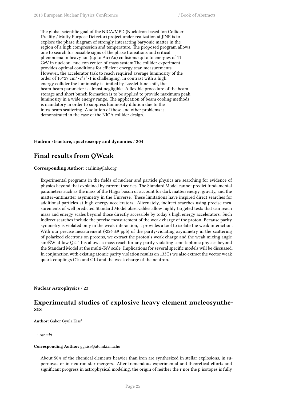The global scientific goal of the NICA/MPD (Nuclotron-based Ion Collider fAcility / Multy Purpose Detector) project under realization at JINR is to explore the phase diagram of strongly interacting baryonic matter in the region of a high compression and temperature. The proposed program allows one to search for possible signs of the phase transitions and critical phenomena in heavy ion (up to Au+Au) collisions up to to energies of 11 GeV in nucleon- nucleon center-of-mass system.The collider experiment provides optimal conditions for efficient energy scan measurements. However, the accelerator task to reach required average luminosity of the order of  $10^2$ 7 cm<sup> $\text{A}-2^*$ s $\text{A}-1$  is challenging: in contrast with a high</sup> energy collider the luminosity is limited by Lasslet tune shift, the beam-beam parameter is almost negligible. A flexible procedure of the beam storage and short bunch formation is to be applied to provide maximum peak luminosity in a wide energy range. The application of beam cooling methods is mandatory in order to suppress luminosity dilution due to the intra-beam scattering. A solution of these and other problems is demonstrated in the case of the NICA collider design.

### **Hadron structure, spectroscopy and dynamics** / **204**

# **Final results from QWeak**

### **Corresponding Author:** carlini@jlab.org

Experimental programs in the fields of nuclear and particle physics are searching for evidence of physics beyond that explained by current theories. The Standard Model cannot predict fundamental parameters such as the mass of the Higgs boson or account for dark matter/energy, gravity, and the matter–antimatter asymmetry in the Universe. These limitations have inspired direct searches for additional particles at high energy accelerators. Alternately, indirect searches using precise measurements of well predicted Standard Model observables allow highly targeted tests that can reach mass and energy scales beyond those directly accessible by today's high energy accelerators. Such indirect searches include the precise measurement of the weak charge of the proton. Because parity symmetry is violated only in the weak interaction, it provides a tool to isolate the weak interaction. With our precise measurement (-226  $\pm$ 9 ppb) of the parity-violating asymmetry in the scattering of polarized electrons on protons, we extract the proton's weak charge and the weak mixing angle sin2W at low Q2. This allows a mass reach for any parity violating semi-leptonic physics beyond the Standard Model at the multi-TeV scale. Implications for several specific models will be discussed. In conjunction with existing atomic parity violation results on 133Cs we also extract the vector weak quark couplings C1u and C1d and the weak charge of the neutron.

**Nuclear Astrophysics** / **23**

# **Experimental studies of explosive heavy element nucleosynthesis**

Author: Gabor Gyula Kiss<sup>1</sup>

<sup>1</sup> *Atomki*

#### **Corresponding Author:** ggkiss@atomki.mta.hu

About 50% of the chemical elements heavier than iron are synthesized in stellar explosions, in supernovas or in neutron star mergers. After tremendous experimental and theoretical efforts and significant progress in astrophysical modeling, the origin of neither the r nor the p isotopes is fully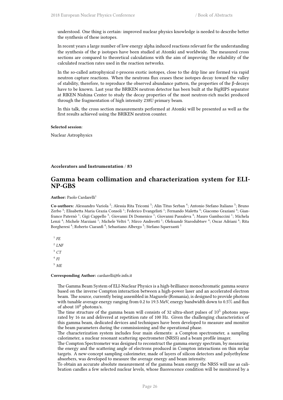understood. One thing is certain: improved nuclear physics knowledge is needed to describe better the synthesis of these isotopes.

In recent years a large number of low energy alpha induced reactions relevant for the understanding the synthesis of the p isotopes have been studied at Atomki and worldwide. The measured cross sections are compared to theoretical calculations with the aim of improving the reliability of the calculated reaction rates used in the reaction networks.

In the so-called astrophysical r-process exotic isotopes, close to the drip line are formed via rapid neutron capture reactions. When the neutrons flux ceases these isotopes decay toward the valley of stability, therefore, to reproduce the observed abundance pattern, the properties of the β-decays have to be known. Last year the BRIKEN neutron detector has been built at the BigRIPS separator at RIKEN Nishina Center to study the decay properties of the most neutron-rich nuclei produced through the fragmentation of high intensity 238U primary beam.

In this talk, the cross section measurements performed at Atomki will be presented as well as the first results achieved using the BRIKEN neutron counter.

#### **Selected session**:

Nuclear Astrophysics

#### **Accelerators and Instrumentation** / **83**

## **Gamma beam collimation and characterization system for ELI-NP-GBS**

#### **Author:** Paolo Cardarelli<sup>1</sup>

Co-authors: Alessandro Variola<sup>2</sup>; Alessia Rita Tricomi<sup>3</sup>; Alin Titus Serban<sup>4</sup>; Antonio Stefano Italiano<sup>5</sup>; Bruno Zerbo <sup>3</sup>; Elisabetta Maria Grazia Consoli <sup>1</sup>; Federico Evangelisti <sup>1</sup>; Fernando Maletta <sup>4</sup>; Giacomo Graziani <sup>4</sup>; Gianfranco Paternò <sup>1</sup>; Gigi Cappello <sup>3</sup>; Giovanni Di Domenico <sup>1</sup>; Giovanni Passaleva <sup>4</sup>; Mauro Gambaccini <sup>1</sup>; Michela Lenzi <sup>4</sup>; Michele Marziani <sup>1</sup>; Michele Veltri <sup>4</sup>; Mirco Andreotti <sup>1</sup>; Oleksandr Starodubtsev <sup>4</sup>; Oscar Adriani <sup>4</sup>; Rita Borgheresi <sup>4</sup>; Roberto Ciaranfi <sup>4</sup>; Sebastiano Albergo <sup>3</sup>; Stefano Squerzanti <sup>1</sup>

1 *FE*

2 *LNF* <sup>3</sup> *CT* 4 *FI*

<sup>5</sup> *ME*

#### **Corresponding Author:** cardarelli@fe.infn.it

The Gamma Beam System of ELI-Nuclear Physics is a high-brilliance monochromatic gamma source based on the inverse Compton interaction between a high-power laser and an accelerated electron beam. The source, currently being assembled in Magurele (Romania), is designed to provide photons with tunable average energy ranging from 0.2 to 19.5 MeV, energy bandwidth down to 0.5% and flux of about  $10^8$  photons/s.

The time structure of the gamma beam will consists of 32 ultra-short pulses of  $10^5$  photons separated by 16 ns and delivered at repetition rate of 100 Hz. Given the challenging characteristics of this gamma beam, dedicated devices and techniques have been developed to measure and monitor the beam parameters during the commissioning and the operational phase.

The characterization system includes four main elements: a Compton spectrometer, a sampling calorimeter, a nuclear resonant scattering spectrometer (NRSS) and a beam profile imager.

The Compton Spectrometer was designed to reconstruct the gamma energy spectrum, by measuring the energy and the scattering angle of electrons produced in Compton interactions on thin mylar targets. A new-concept sampling calorimeter, made of layers of silicon detectors and polyethylene absorbers, was developed to measure the average energy and beam intensity.

To obtain an accurate absolute measurement of the gamma beam energy the NRSS will use as calibration candles a few selected nuclear levels, whose fluorescence condition will be monitored by a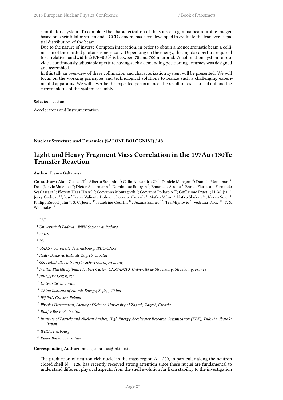scintillators system. To complete the characterization of the source, a gamma beam profile imager, based on a scintillator screen and a CCD camera, has been developed to evaluate the transverse spatial distribution of the beam.

Due to the nature of inverse Compton interaction, in order to obtain a monochromatic beam a collimation of the emitted photons is necessary. Depending on the energy, the angular aperture required for a relative bandwidth ∆E/E=0.5% is between 70 and 700 microrad. A collimation system to provide a continuously adjustable aperture having such a demanding positioning accuracy was designed and assembled.

In this talk an overview of these collimation and characterization system will be presented. We will focus on the working principles and technological solutions to realize such a challenging experimental apparatus. We will describe the expected performance, the result of tests carried out and the current status of the system assembly.

### **Selected session**:

Accelerators and Instrumentation

### **Nuclear Structure and Dynamics (SALONE BOLOGNINI)** / **48**

# **Light and Heavy Fragment Mass Correlation in the 197Au+130Te Transfer Reaction**

**Author:** Franco Galtarossa<sup>1</sup>

Co-authors: Alain Goasduff<sup>2</sup>; Alberto Stefanini<sup>1</sup>; Calin Alexandru Ur<sup>3</sup>; Daniele Mengoni<sup>4</sup>; Daniele Montanari<sup>5</sup>; Desa Jelavic Malenica <sup>6</sup>; Dieter Ackermann <sup>7</sup>; Dominique Bourgin <sup>8</sup>; Emanuele Strano <sup>4</sup>; Enrico Fioretto <sup>1</sup>; Fernando Scarlassara <sup>4</sup>; Florent Haas HAAS <sup>9</sup>; Giovanna Montagnoli <sup>4</sup>; Giovanni Pollarolo <sup>10</sup>; Guillaume Fruet <sup>8</sup>; H. M. Jia <sup>11</sup>; Jerzy Grebosz  $^{12}$ ; Jose' Javier Valiente Dobon  $^1$ ; Lorenzo Corradi  $^1$ ; Matko Milin  $^{13}$ ; Natko Skukan  $^{14}$ ; Neven Soic  $^{14}$ ; Philipp Rudolf John <sup>4</sup>; S. C. Jeong <sup>15</sup>; Sandrine Courtin <sup>16</sup>; Suzana Szilner <sup>17</sup>; Tea Mijatovic <sup>6</sup>; Vedrana Tokic <sup>14</sup>; Y. X. Watanabe <sup>15</sup>

1 *LNL*

- <sup>2</sup> *Università di Padova INFN Sezione di Padova*
- 3 *ELI-NP*
- 4 *PD*
- <sup>5</sup> *USIAS Universite de Strasbourg, IPHC-CNRS*
- 6 *Ruder Boskovic Institute Zagreb, Croatia*
- <sup>7</sup> *GSI Helmholtzzentrum für Schwerionenforschung*
- 8 *Institut Pluridisciplinaire Hubert Curien, CNRS-IN2P3, Université de Strasbourg, Strasbourg, France*
- 9 *IPHC,STRASBOURG*
- <sup>10</sup> *Universita' di Torino*
- <sup>11</sup> *China Institute of Atomic Energy, Bejing, China*
- <sup>12</sup> *IFJ PAN Cracow, Poland*
- <sup>13</sup> *Physics Department, Faculty of Science, University of Zagreb, Zagreb, Croatia*
- <sup>14</sup> *Rudjer Boskovic Institute*
- <sup>15</sup> *Institute of Particle and Nuclear Studies, High Energy Accelerator Research Organization (KEK), Tsukuba, Ibaraki, Japan*
- <sup>16</sup> *IPHC STrasbourg*
- <sup>17</sup> *Ruder Boskovic Institute*

#### **Corresponding Author:** franco.galtarossa@lnl.infn.it

The production of neutron-rich nuclei in the mass region  $A \sim 200$ , in particular along the neutron closed shell  $N = 126$ , has recently received strong attention since these nuclei are fundamental to understand different physical aspects, from the shell evolution far from stability to the investigation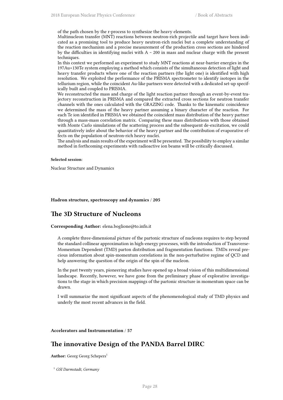of the path chosen by the r-process to synthesize the heavy elements.

Multinucleon transfer (MNT) reactions between neutron-rich projectile and target have been indicated as a promising tool to produce heavy neutron-rich nuclei but a complete understanding of the reaction mechanism and a precise measurement of the production cross sections are hindered by the difficulties in identifying nuclei with  $A \sim 200$  in mass and nuclear charge with the present techniques.

In this context we performed an experiment to study MNT reactions at near-barrier energies in the 197Au+130Te system employing a method which consists of the simultaneous detection of light and heavy transfer products where one of the reaction partners (the light one) is identified with high resolution. We exploited the performance of the PRISMA spectrometer to identify isotopes in the tellurium region, while the coincident Au-like partners were detected with a dedicated set-up specifically built and coupled to PRISMA.

We reconstructed the mass and charge of the light reaction partner through an event-by-event trajectory reconstruction in PRISMA and compared the extracted cross sections for neutron transfer channels with the ones calculated with the GRAZING code. Thanks to the kinematic coincidence we determined the mass of the heavy partner assuming a binary character of the reaction. For each Te ion identified in PRISMA we obtained the coincident mass distribution of the heavy partner through a mass-mass correlation matrix. Comparing these mass distributions with those obtained with Monte Carlo simulations of the scattering process and the subsequent de-excitation, we could quantitatively infer about the behavior of the heavy partner and the contribution of evaporative effects on the population of neutron-rich heavy nuclei.

The analysis and main results of the experiment will be presented. The possibility to employ a similar method in forthcoming experiments with radioactive ion beams will be critically discussed.

#### **Selected session**:

Nuclear Structure and Dynamics

**Hadron structure, spectroscopy and dynamics** / **205**

## **The 3D Structure of Nucleons**

**Corresponding Author:** elena.boglione@to.infn.it

A complete three-dimensional picture of the partonic structure of nucleons requires to step beyond the standard collinear approximation in high-energy processes, with the introduction of Transverse-Momentum Dependent (TMD) parton distribution and fragmentation functions. TMDs reveal precious information about spin-momentum correlations in the non-perturbative regime of QCD and help answering the question of the origin of the spin of the nucleon.

In the past twenty years, pioneering studies have opened up a broad vision of this multidimensional landscape. Recently, however, we have gone from the preliminary phase of explorative investigations to the stage in which precision mappings of the partonic structure in momentum space can be drawn.

I will summarize the most significant aspects of the phenomenological study of TMD physics and underly the most recent advances in the field.

#### **Accelerators and Instrumentation** / **57**

# **The innovative Design of the PANDA Barrel DIRC**

Author: Georg Georg Schepers<sup>1</sup>

<sup>1</sup> *GSI Darmstadt, Germany*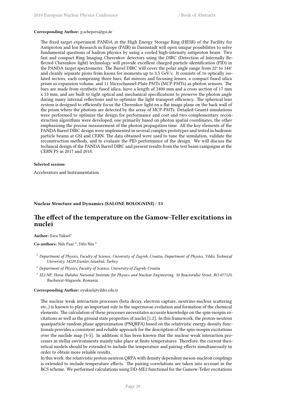#### **Corresponding Author:** g.schepers@gsi.de

The fixed target experiment PANDA at the High Energy Storage Ring (HESR) of the Facility for Antiproton and Ion Research in Europe (FAIR) in Darmstadt will open unique possibilities to solve fundamental questions of hadron physics by using a cooled high-intensity antiproton beam. Two fast and compact Ring Imaging Cherenkov detectors using the DIRC (Detection of Internally Reflected Cherenkov light) technology will provide excellent charged particle identification (PID) in the PANDA target spectrometer. The Barrel DIRC will cover the polar angle range from 22° to 144° and cleanly separate pions from kaons for momenta up to 3.5 GeV/c. It consists of 16 optically isolated sectors, each comprising three bars, flat mirrors and focusing lenses, a compact fused silica prism as expansion volume, and 11 Microchannel-Plate PMTs (MCP-PMTs) as photon sensors. The bars are made from synthetic fused silica, have a length of 2400 mm and a cross section of 17 mm x 53 mm, and are built to tight optical and mechanical specifications to preserve the photon angle during many internal reflections and to optimize the light transport efficiency. The spherical lens system is designed to efficiently focus the Cherenkov light on a flat image plane on the back wall of the prism where the photons are detected by the array of MCP-PMTs. Detailed Geant4 simulations were performed to optimize the design for performance and cost and two complementary reconstruction algorithms were developed, one primarily based on photon spatial coordinates, the other emphasizing the precise measurement of the photon propagation time. All the key elements of the PANDA Barrel DIRC design were implemented in several complex prototypes and tested in hadronic particle beams at GSI and CERN. The data obtained were used to tune the simulation, validate the reconstruction methods, and to evaluate the PID performance of the design. We will discuss the technical design of the PANDA Barrel DIRC and present results from the test beam campaigns at the CERN PS in 2017 and 2018.

### **Selected session**:

Accelerators and Instrumentation

### **Nuclear Structure and Dynamics (SALONE BOLOGNINI)** / **53**

# **The effect of the temperature on the Gamow-Teller excitations in nuclei**

Author: Esra Yüksel<sup>1</sup>

**Co-authors:** Nils Paar<sup>2</sup>; Yifei Niu<sup>3</sup>

- <sup>1</sup> *Department of Physics, Faculty of Science, University of Zagreb, Croatia, Department of Physics, Yildiz Technical University, 34220 Esenler, Istanbul, Turkey*
- <sup>2</sup> *Department of Physics, Faculty of Science, University of Zagreb, Croatia*
- 3 *ELI-NP, Horia Hulubei National Institute for Physics and Nuclear Engineering, 30 Reactorului Street, RO-077125, Bucharest-Magurele, Romania*

**Corresponding Author:** eyuksel@yildiz.edu.tr

The nuclear weak interaction processes (beta decay, electron capture, neutrino-nucleus scattering etc.,) is known to play an important role in the supernovae evolution and formation of the chemical elements. The calculation of these processes necessitates accurate knowledge on the spin-isospin excitations as well as the ground state properties of nuclei [1,2]. In this framework, the proton-neutron quasiparticle random phase approximation (PNQRPA) based on the relativistic energy density functionals provides a consistent and reliable approach for the description of the spin-isospin excitations over the nuclide map [3-5]. In addition, it has been known that the nuclear weak interaction processes in stellar environments mainly take place at finite temperatures. Therefore, the current theoretical models should be extended to include the temperature and pairing effects simultaneously in order to obtain more reliable results.

In this work, the relativistic proton-neutron QRPA with density dependent meson-nucleon couplings is extended to include temperature effects. The pairing correlations are taken into account in the BCS scheme. We performed calculations using DD-ME2 functional for the Gamow-Teller excitations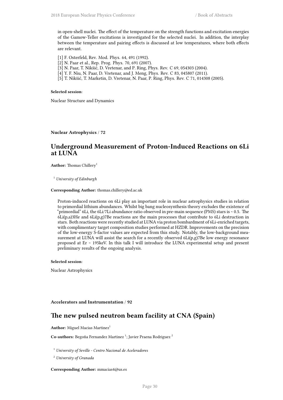in open-shell nuclei. The effect of the temperature on the strength functions and excitation energies of the Gamow-Teller excitations is investigated for the selected nuclei. In addition, the interplay between the temperature and pairing effects is discussed at low temperatures, where both effects are relevant.

- [1] F. Osterfeld, Rev. Mod. Phys. 64, 491 (1992).
- [2] N. Paar et al., Rep. Prog. Phys. 70, 691 (2007).
- [3] N. Paar, T. Nikšić, D. Vretenar, and P. Ring, Phys. Rev. C 69, 054303 (2004).
- [4] Y. F. Niu, N. Paar, D. Vretenar, and J. Meng, Phys. Rev. C 83, 045807 (2011).
- [5] T. Nikšić, T. Marketin, D. Vretenar, N. Paar, P. Ring, Phys. Rev. C 71, 014308 (2005).

#### **Selected session**:

Nuclear Structure and Dynamics

**Nuclear Astrophysics** / **72**

# **Underground Measurement of Proton-Induced Reactions on 6Li at LUNA**

**Author:** Thomas Chillery<sup>1</sup>

<sup>1</sup> *University of Edinburgh*

**Corresponding Author:** thomas.chillery@ed.ac.uk

Proton-induced reactions on 6Li play an important role in nuclear astrophysics studies in relation to primordial lithium abundances. Whilst big bang nucleosynthesis theory excludes the existence of "primordial" 6Li, the 6Li/7Li abundance ratio observed in pre-main sequence (PMS) stars is  $\sim$  0.5. The  $6Li(p,a)3He$  and  $6Li(p,g)7Be$  reactions are the main processes that contribute to 6Li destruction in stars. Both reactions were recently studied at LUNA via proton bombardment of 6Li-enriched targets, with complimentary target composition studies performed at HZDR. Improvements on the precision of the low-energy S-factor values are expected from this study. Notably, the low-background measurement at LUNA will assist the search for a recently observed 6Li(p,g)7Be low energy resonance proposed at Er ~ 195keV. In this talk I will introduce the LUNA experimental setup and present preliminary results of the ongoing analysis.

#### **Selected session**:

Nuclear Astrophysics

#### **Accelerators and Instrumentation** / **92**

# **The new pulsed neutron beam facility at CNA (Spain)**

**Author:** Miguel Macias Martinez<sup>1</sup>

Co-authors: Begoña Fernandez Martinez<sup>1</sup>; Javier Praena Rodriguez <sup>2</sup>

<sup>1</sup> *University of Seville - Centro Nacional de Aceleradores*

<sup>2</sup> *University of Granada*

**Corresponding Author:** mmacias4@us.es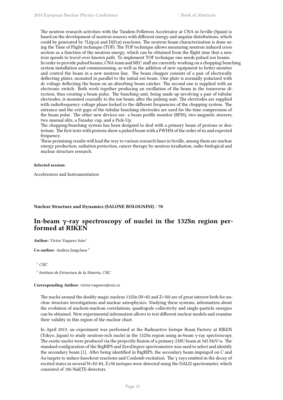The neutron research activities with the Tandem Pelletron Accelerator at CNA in Seville (Spain) is based on the development of neutron sources with different energy and angular distributions, which could be generated by  $7Li(p,n)$  and  $D(D,n)$  reactions. The neutron beam characterization is done using the Time of Flight technique (TOF). The TOF technique allows measuring neutron induced cross section as a function of the neutron energy, which can be obtained from the flight time that a neutron spends to travel over known path. To implement TOF technique one needs pulsed ion beams. In order to provide pulsed beams, CNA team and NEC staff are currently working on a chopping/bunching system installation and commissioning, as well as the addition of new equipment to better monitor and control the beam in a new neutron line. The beam chopper consists of a pair of electrically deflecting plates, mounted in parallel to the initial ion beam. One plate is normally polarized with dc voltage deflecting the beam on an absorbing beam catcher. The second one is supplied with an electronic switch. Both work together producing an oscillation of the beam in the transverse direction, thus creating a beam pulse. The bunching unit, being made up involving a pair of tubular electrodes, is mounted coaxially to the ion beam, after the pulsing unit. The electrodes are supplied with radiofrequency voltage phase locked to the different frequencies of the chopping system. The entrance and the exit gaps of the tubular bunching electrodes are used for the time compression of the beam pulse. The other new devices are: a beam profile monitor (BPM), two magnetic steerers, two manual slits, a Faraday cup, and a Pick-Up.

The chopping/bunching system has been designed to deal with a primary beam of protons or deuterium. The first tests with protons show a pulsed beam with a FWHM of the order of ns and expected frequency.

These promising results will lead the way to various research lines in Seville, among them are nuclear energy production, radiation protection, cancer therapy by neutron irradiation, radio-biological and nuclear structure research.

### **Selected session**:

Accelerators and Instrumentation

### **Nuclear Structure and Dynamics (SALONE BOLOGNINI)** / **70**

# **In-beam γ-ray spectroscopy of nuclei in the 132Sn region performed at RIKEN**

**Author:** Víctor Vaquero Soto<sup>1</sup>

**Co-author:** Andrea Jungclaus <sup>2</sup>

 $\frac{1}{2}$  *CSIC* 

2 *Instituto de Estructura de la Materia, CSIC*

#### **Corresponding Author:** victor.vaquero@csic.es

The nuclei around the doubly magic nucleus 132Sn (N=82 and Z=50) are of great interest both for nuclear structure investigations and nuclear astrophysics. Studying these systems, information about the evolution of nucleon-nucleon correlations, quadrupole collectivity and single-particle energies can be obtained. New experimental information allows to test different nuclear models and examine their validity in this region of the nuclear chart.

In April 2015, an experiment was performed at the Radioactive Isotope Beam Factory at RIKEN (Tokyo, Japan) to study neutron-rich nuclei in the 132Sn region using in-beam γ-ray spectroscopy. The exotic nuclei were produced via the projectile fission of a primary 238U beam at 345 MeV/u. The standard configuration of the BigRIPS and ZeroDegree spectrometers was used to select and identify the secondary beam [1]. After being identified in BigRIPS, the secondary beam impinged on C and Au targets to induce knockout reactions and Coulomb excitation. The γ rays emitted in the decay of excited states in several N=82-84, Z≥50 isotopes were detected using the DALI2 spectrometer, which consisted of 186 NaI(Tl) detectors.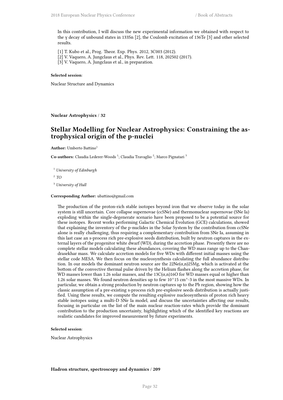In this contribution, I will discuss the new experimental information we obtained with respect to the γ decay of unbound states in 133Sn [2], the Coulomb excitation of 136Te [3] and other selected results.

[1] T. Kubo et al., Prog. Theor. Exp. Phys. 2012, 3C003 (2012).

[2] V. Vaquero, A. Jungclaus et al., Phys. Rev. Lett. 118, 202502 (2017).

[3] V. Vaquero, A. Jungclaus et al., in preparation.

### **Selected session**:

Nuclear Structure and Dynamics

**Nuclear Astrophysics** / **32**

# **Stellar Modelling for Nuclear Astrophysics: Constraining the astrophysical origin of the p-nuclei**

**Author:** Umberto Battino<sup>1</sup>

Co-authors: Claudia Lederer-Woods<sup>1</sup>; Claudia Travaglio<sup>2</sup>; Marco Pignatari<sup>3</sup>

<sup>1</sup> *University of Edinburgh*

2 *TO*

<sup>3</sup> *University of Hull*

#### **Corresponding Author:** ubattino@gmail.com

The production of the proton-rich stable isotopes beyond iron that we observe today in the solar system is still uncertain. Core collapse supernovae (ccSNe) and thermonuclear supernovae (SNe Ia) exploding within the single-degenerate scenario have been proposed to be a potential source for these isotopes. Recent works performing Galactic Chemical Evolution (GCE) calculations, showed that explaining the inventory of the p-nuclides in the Solar System by the contribution from ccSNe alone is really challenging, thus requiring a complementary contribution from SNe Ia, assuming in this last case an s-process rich pre-explosive seeds distribution, built by neutron captures in the external layers of the progenitor white dwarf (WD), during the accretion phase. Presently there are no complete stellar models calculating these abundances, covering the WD mass range up to the Chandrasekhar mass. We calculate accretion models for five WDs with different initial masses using the stellar code MESA. We then focus on the nucleosynthesis calculating the full abundance distribution. In our models the dominant neutron source are the  $22Ne(\alpha,n)25Mg$ , which is activated at the bottom of the convective thermal pulse driven by the Helium flashes along the accretion phase, for WD masses lower than 1.26 solar masses, and the 13C( $(\alpha,n)$ 16O for WD masses equal or higher than 1.26 solar masses. We found neutron densities up to few  $10^{\wedge}15$  cm $^{\wedge}$ -3 in the most massive WDs. In particular, we obtain a strong production by neutron captures up to the Pb region, showing how the classic assumption of a pre-existing s-process rich pre-explosive seeds distribution is actually justified. Using these results, we compute the resulting explosive nucleosynthesis of proton rich heavy stable isotopes using a multi-D SNe Ia model, and discuss the uncertainties affecting our results, focusing in particular on the list of the main nuclear reaction-rates which provide the dominant contribution to the production uncertainty, highlighting which of the identified key reactions are realistic candidates for improved measurement by future experiments.

### **Selected session**:

Nuclear Astrophysics

#### **Hadron structure, spectroscopy and dynamics** / **209**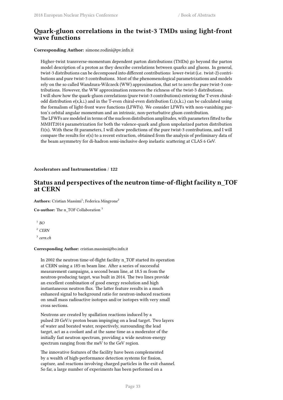# **Quark-gluon correlations in the twist-3 TMDs using light-front wave functions**

### **Corresponding Author:** simone.rodini@pv.infn.it

Higher-twist transverse-momentum dependent parton distributions (TMDs) go beyond the parton model description of a proton as they describe correlations between quarks and gluons. In general, twist-3 distributions can be decomposed into different contributions: lower-twist (i.e. twist-2) contributions and pure twist-3 contributions. Most of the phenomenological parametrizations and models rely on the so called Wandzura-Wilczeck (WW) approximation, that set to zero the pure twist-3 contributions. However, the WW approximation removes the richness of the twist-3 distributions. I will show how the quark-gluon correlations (pure twist-3 contributions) entering the T-even chiralodd distribution e(x,k⊥) and in the T-even chiral-even distribution f⊥(x,k⊥) can be calculated using the formalism of light-front wave functions (LFWFs). We consider LFWFs with non-vanishing parton's orbital angular momentum and an intrinsic, non-perturbative gluon contribution. The LFWFs are modeled in terms of the nucleon distribution amplitudes, with parameters fitted to the MMHT2014 parametrization for both the valence-quark and gluon unpolarized parton distribution f1(x). With these fit parameters, I will show predictions of the pure twist-3 contributions, and I will compare the results for  $e(x)$  to a recent extraction, obtained from the analysis of preliminary data of the beam asymmetry for di-hadron semi-inclusive deep inelastic scattering at CLAS 6 GeV.

### **Accelerators and Instrumentation** / **122**

# **Status and perspectives of the neutron time-of-flight facility n\_TOF at CERN**

Authors: Cristian Massimi<sup>1</sup>; Federica Mingrone<sup>2</sup>

**Co-author:** The n\_TOF Collaboration <sup>3</sup>

1 *BO*

<sup>2</sup> *CERN*

3 *cern.ch*

#### **Corresponding Author:** cristian.massimi@bo.infn.it

In 2002 the neutron time-of-flight facility n\_TOF started its operation at CERN using a 185-m beam line. After a series of successful measurement campaigns, a second beam line, at 18.5 m from the neutron-producing target, was built in 2014. The two lines provide an excellent combination of good energy resolution and high instantaneous neutron flux. The latter feature results in a much enhanced signal to background ratio for neutron-induced reactions on small mass radioactive isotopes and/or isotopes with very small cross sections.

Neutrons are created by spallation reactions induced by a pulsed 20 GeV/c proton beam impinging on a lead target. Two layers of water and borated water, respectively, surrounding the lead target, act as a coolant and at the same time as a moderator of the initially fast neutron spectrum, providing a wide neutron-energy spectrum ranging from the meV to the GeV region.

The innovative features of the facility have been complemented by a wealth of high-performance detection systems for fission, capture, and reactions involving charged particles in the exit channel. So far, a large number of experiments has been performed on a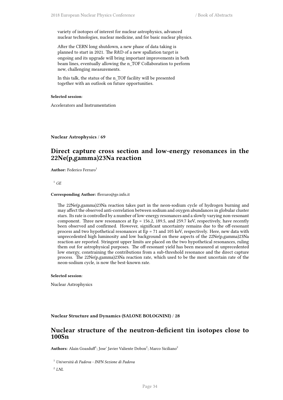variety of isotopes of interest for nuclear astrophysics, advanced nuclear technologies, nuclear medicine, and for basic nuclear physics.

After the CERN long shutdown, a new phase of data taking is planned to start in 2021. The R&D of a new spallation target is ongoing and its upgrade will bring important improvements in both beam lines, eventually allowing the n\_TOF Collaboration to perform new, challenging measurements.

In this talk, the status of the n\_TOF facility will be presented together with an outlook on future opportunities.

### **Selected session**:

Accelerators and Instrumentation

**Nuclear Astrophysics** / **69**

# **Direct capture cross section and low-energy resonances in the 22Ne(p,gamma)23Na reaction**

**Author:** Federico Ferraro<sup>1</sup>

<sup>1</sup>  $GE$ 

#### **Corresponding Author:** fferraro@ge.infn.it

The 22Ne(p,gamma)23Na reaction takes part in the neon-sodium cycle of hydrogen burning and may affect the observed anti-correlation between sodium and oxygen abundances in globular cluster stars. Its rate is controlled by a number of low-energy resonances and a slowly varying non-resonant component. Three new resonances at  $Ep = 156.2$ , 189.5, and 259.7 keV, respectively, have recently been observed and confirmed. However, significant uncertainty remains due to the off-resonant process and two hypothetical resonances at  $\bar{E}p = 71$  and 105 keV, respectively. Here, new data with unprecedented high luminosity and low background on these aspects of the 22Ne(p,gamma)23Na reaction are reported. Stringent upper limits are placed on the two hypothetical resonances, ruling them out for astrophysical purposes. The off-resonant yield has been measured at unprecedented low energy, constraining the contributions from a sub-threshold resonance and the direct capture process. The 22Ne(p,gamma)23Na reaction rate, which used to be the most uncertain rate of the neon-sodium cycle, is now the best-known rate.

#### **Selected session**:

Nuclear Astrophysics

**Nuclear Structure and Dynamics (SALONE BOLOGNINI)** / **28**

## **Nuclear structure of the neutron-deficient tin isotopes close to 100Sn**

 $\mathbf{Aut}$ **hors:** Alain Goasduff $^1$ ; Jose' Javier Valiente Dobon $^2$ ; Marco Siciliano $^2$ 

<sup>1</sup> *Università di Padova - INFN Sezione di Padova*

2 *LNL*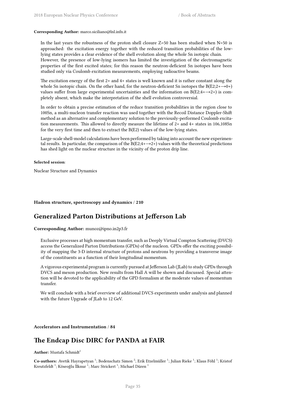#### **Corresponding Author:** marco.siciliano@lnl.infn.it

In the last years the robustness of the proton shell closure  $Z=50$  has been studied when  $N=50$  is approached: the excitation energy together with the reduced transition probabilities of the lowlying states provides a clear evidence of the shell evolution along the whole Sn isotopic chain.

However, the presence of low-lying isomers has limited the investigation of the electromagnetic properties of the first excited states; for this reason the neutron-deficient Sn isotopes have been studied only via Coulomb excitation measurements, employing radioactive beams.

The excitation energy of the first 2+ and 4+ states is well known and it is rather constant along the whole Sn isotopic chain. On the other hand, for the neutron-deficient Sn isotopes the B(E2;2+ $\rightarrow$ 0+) values suffer from large experimental uncertainties and the information on  $B(E2; 4 \rightarrow 2+)$  is completely absent, which make the interpretation of the shell evolution controversial.

In order to obtain a precise estimation of the reduce transition probabilities in the region close to 100Sn, a multi-nucleon transfer reaction was used together with the Recoil Distance Doppler-Shift method as an alternative and complementary solution to the previously-performed Coulomb excitation measurements. This allowed to directly measure the lifetime of 2+ and 4+ states in 106,108Sn for the very first time and then to extract the B(E2) values of the low-lying states.

Large-scale shell-model calculations have been performed by taking into account the new experimental results. In particular, the comparison of the  $B(E2:4+\rightarrow 2+)$  values with the theoretical predictions has shed light on the nuclear structure in the vicinity of the proton drip line.

#### **Selected session**:

Nuclear Structure and Dynamics

### **Hadron structure, spectroscopy and dynamics** / **210**

## **Generalized Parton Distributions at Jefferson Lab**

**Corresponding Author:** munoz@ipno.in2p3.fr

Exclusive processes at high momentum transfer, such as Deeply Virtual Compton Scattering (DVCS) access the Generalized Parton Distributions (GPDs) of the nucleon. GPDs offer the exciting possibility of mapping the 3-D internal structure of protons and neutrons by providing a transverse image of the constituents as a function of their longitudinal momentum.

A vigorous experimental program is currently pursued at Jefferson Lab (JLab) to study GPDs through DVCS and meson production. New results from Hall A will be shown and discussed. Special attention will be devoted to the applicability of the GPD formalism at the moderate values of momentum transfer.

We will conclude with a brief overview of additional DVCS experiments under analysis and planned with the future Upgrade of JLab to 12 GeV.

#### **Accelerators and Instrumentation** / **84**

# **The Endcap Disc DIRC for PANDA at FAIR**

**Author:** Mustafa Schmidt<sup>1</sup>

Co-authors: Avetik Hayrapetyan <sup>1</sup>; Bodenschatz Simon <sup>2</sup>; Erik Etzelmüller <sup>1</sup>; Julian Rieke <sup>1</sup>; Klaus Föhl <sup>1</sup>; Kristof Kreutzfeldt  $^1$ ; Köseoğlu İlknur  $^1$ ; Marc Strickert  $^1$ ; Michael Düren  $^1$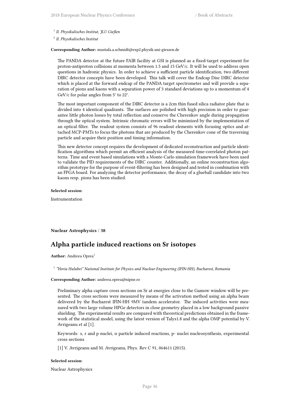1 *II. Physikalisches Institut, JLU Gießen*

2 *II. Physikalisches Institut*

**Corresponding Author:** mustafa.a.schmidt@exp2.physik.uni-giessen.de

The PANDA detector at the future FAIR facility at GSI is planned as a fixed-target experiment for proton-antiproton collisions at momenta between 1.5 and 15 GeV/c. It will be used to address open questions in hadronic physics. In order to achieve a sufficient particle identification, two different DIRC detector concepts have been developed. This talk will cover the Endcap Disc DIRC detector which is placed at the forward endcap of the PANDA target spectrometer and will provide a separation of pions and kaons with a separation power of 3 standard deviations up to a momentum of 4 GeV/c for polar angles from 5° to 22°.

The most important component of the DIRC detector is a 2cm thin fused silica radiator plate that is divided into 4 identical quadrants. The surfaces are polished with high precision in order to guarantee little photon losses by total reflection and conserve the Cherenkov angle during propagation through the optical system. Intrinsic chromatic errors will be minimized by the implementation of an optical filter. The readout system consists of 96 readout elements with focusing optics and attached MCP-PMTs to focus the photons that are produced by the Cherenkov cone of the traversing particle and acquire their position and timing information.

This new detector concept requires the development of dedicated reconstruction and particle identification algorithms which permit an efficient analysis of the measured time-correlated photon patterns. Time and event based simulations with a Monte-Carlo simulation framework have been used to validate the PID requirements of the DIRC counter. Additionally, an online reconstruction algorithm prototype for the purpose of event-filtering has been designed and tested in combination with an FPGA board. For analyzing the detector performance, the decay of a glueball candidate into two kaons resp. pions has been studied.

### **Selected session**:

Instrumentation

### **Nuclear Astrophysics** / **38**

# **Alpha particle induced reactions on Sr isotopes**

**Author:** Andreea Oprea<sup>1</sup>

1 *"Horia Hulubei" National Institute for Physics and Nuclear Engineering (IFIN-HH), Bucharest, Romania*

### **Corresponding Author:** andreea.oprea@nipne.ro

Preliminary alpha capture cross sections on Sr at energies close to the Gamow window will be presented. The cross sections were measured by means of the activation method using an alpha beam delivered by the Bucharest IFIN-HH 9MV tandem accelerator. The induced activities were measured with two large volume HPGe detectors in close geometry placed in a low background passive shielding. The experimental results are compared with theoretical predictions obtained in the framework of the statistical model, using the latest version of Talys1.8 and the alpha OMP potential by V. Avrigeanu et al [1].

Keywords: s, r and p nuclei, α particle induced reactions, p- nuclei nucleosynthesis, experimental cross sections

[1] V. Avrigeanu and M. Avrigeanu, Phys. Rev C 91, 064611 (2015).

#### **Selected session**:

Nuclear Astrophysics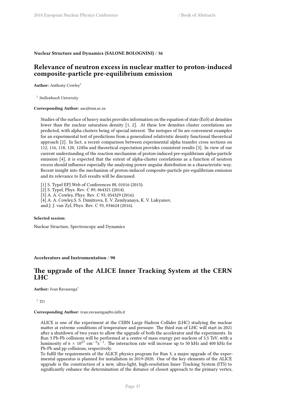### **Nuclear Structure and Dynamics (SALONE BOLOGNINI)** / **36**

# **Relevance of neutron excess in nuclear matter to proton-induced composite-particle pre-equilibrium emission**

**Author:** Anthony Cowley<sup>1</sup>

1 *Stellenbosch University*

#### **Corresponding Author:** aac@sun.ac.za

Studies of the surface of heavy nuclei provides information on the equation of state (EoS) at densities lower than the nuclear saturation density [1, 2]. At these low densities cluster correlations are predicted, with alpha clusters being of special interest. The isotopes of Sn are convenient examples for an experimental test of predictions from a generalized relativistic density functional theoretical approach [2]. In fact, a recent comparison between experimental alpha transfer cross sections on 112, 116, 118, 120, 124Sn and theoretical expectation provides consistent results [3]. In view of our current understanding of the reaction mechanism of proton-induced pre-equilibrium alpha-particle emission [4], it is expected that the extent of alpha-cluster correlations as a function of neutron excess should influence especially the analyzing power angular distribution in a characteristic way. Recent insight into the mechanism of proton-induced composite-particle pre-equilibrium emission and its relevance to EoS results will be discussed.

[1] S. Typel EPJ Web of Conferences 88, 01016 (2015).

[2] S. Typel, Phys. Rev. C 89, 064321 (2014).

[3] A. A. Cowley, Phys. Rev. C 93, 054329 (2016).

[4] A. A. Cowley,S. S. Dimitrova, E. V. Zemlyanaya, K. V. Lukyanov,

and J. J. van Zyl, Phys. Rev. C 93, 034624 (2016).

#### **Selected session**:

Nuclear Structure, Spectroscopy and Dynamics

### **Accelerators and Instrumentation** / **90**

# **The upgrade of the ALICE Inner Tracking System at the CERN LHC**

**Author:** Ivan Ravasenga<sup>1</sup>

1 *TO*

#### **Corresponding Author:** ivan.ravasenga@to.infn.it

ALICE is one of the experiment at the CERN Large Hadron Collider (LHC) studying the nuclear matter at extreme conditions of temperature and pressure. The third run of LHC will start in 2021 after a shutdown of two years to allow the upgrade of both the accelerator and the experiments. In Run 3 Pb-Pb collisions will be performed at a centre of mass energy per nucleon of 5.5 TeV, with a luminosity of 6 × 10<sup>27</sup> cm<sup>−2</sup>s<sup>−1</sup>. The interaction rate will increase up to 50 kHz and 400 kHz for Pb-Pb and pp collisions, respectively.

To fulfil the requirements of the ALICE physics program for Run 3, a major upgrade of the experimental apparatus is planned for installation in 2019-2020. One of the key elements of the ALICE upgrade is the construction of a new, ultra-light, high-resolution Inner Tracking System (ITS) to significantly enhance the determination of the distance of closest approach to the primary vertex,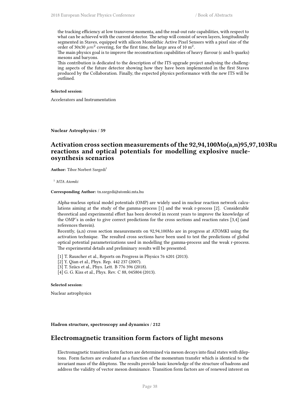the tracking efficiency at low transverse momenta, and the read-out rate capabilities, with respect to what can be achieved with the current detector. The setup will consist of seven layers, longitudinally segmented in Staves, equipped with silicon Monolithic Active Pixel Sensors with a pixel size of the order of 30x30  $\mu m^2$  covering, for the first time, the large area of 10 m<sup>2</sup>.

The main physics goal is to improve the reconstruction capabilities of heavy flavour (c and b quarks) mesons and baryons.

This contribution is dedicated to the description of the ITS upgrade project analysing the challenging aspects of the future detector showing how they have been implemented in the first Staves produced by the Collaboration. Finally, the expected physics performance with the new ITS will be outlined.

### **Selected session**:

Accelerators and Instrumentation

**Nuclear Astrophysics** / **59**

# **Activation cross section measurements of the 92,94,100Mo(a,n)95,97,103Ru reactions and optical potentials for modelling explosive nucleosynthesis scenarios**

**Author:** Tibor Norbert Szegedi<sup>1</sup>

<sup>1</sup> *MTA Atomki*

#### **Corresponding Author:** tn.szegedi@atomki.mta.hu

Alpha-nucleus optical model potentials (OMP) are widely used in nuclear reaction network calculations aiming at the study of the gamma-process [1] and the weak r-process [2]. Considerable theoretical and experimental effort has been devoted in recent years to improve the knowledge of the OMP's in order to give correct predictions for the cross sections and reaction rates [3,4] (and references therein).

Recently, (a,n) cross section measurements on 92,94,100Mo are in progress at ATOMKI using the activation technique. The resulted cross sections have been used to test the predictions of global optical potential parameterizations used in modelling the gamma-process and the weak r-process. The experimental details and preliminary results will be presented.

[1] T. Rauscher et al., Reports on Progress in Physics 76 6201 (2013).

- [2] Y. Qian et al., Phys. Rep. 442 237 (2007).
- [3] T. Szücs et al., Phys. Lett. B 776 396 (2018).
- [4] G. G. Kiss et al., Phys. Rev. C 88, 045804 (2013).

#### **Selected session**:

Nuclear astrophysics

### **Hadron structure, spectroscopy and dynamics** / **212**

## **Electromagnetic transition form factors of light mesons**

Electromagnetic transition form factors are determined via meson decays into final states with dileptons. Form factors are evaluated as a function of the momentum transfer which is identical to the invariant mass of the dileptons. The results provide basic knowledge of the structure of hadrons and address the validity of vector meson dominance. Transition form factors are of renewed interest on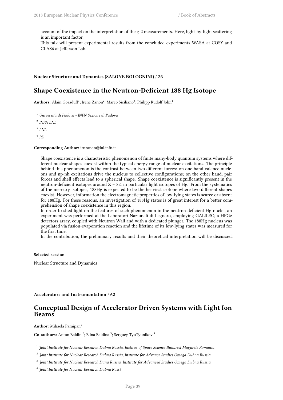account of the impact on the interpretation of the g-2 measurements. Here, light-by-light scattering is an important factor.

This talk will present experimental results from the concluded experiments WASA at COSY and CLAS6 at Jefferson Lab.

### **Nuclear Structure and Dynamics (SALONE BOLOGNINI)** / **26**

# **Shape Coexistence in the Neutron-Deficient 188 Hg Isotope**

 $\mathbf{Authors: } \text{ Alain Goaduff}^1; \text{ Irene Zanon}^2; \text{Marco Siciliano}^3; \text{PhilipP Rudolf John}^4$ 

<sup>1</sup> *Università di Padova - INFN Sezione di Padova*

2 *INFN LNL*

3 *LNL*

4 *PD*

#### **Corresponding Author:** irnzanon@lnl.infn.it

Shape coexistence is a characteristic phenomenon of finite many-body quantum systems where different nuclear shapes coexist within the typical energy range of nuclear excitations. The principle behind this phenomenon is the contrast between two different forces: on one hand valence nucleons and np-nh excitations drive the nucleus to collective configurations; on the other hand, pair forces and shell effects lead to a spherical shape. Shape coexistence is significantly present in the neutron-deficient isotopes around  $Z = 82$ , in particular light isotopes of Hg. From the systematics of the mercury isotopes, 188Hg is expected to be the heaviest isotope where two different shapes coexist. However, information the electromagnetic properties of low-lying states is scarce or absent for 188Hg. For these reasons, an investigation of 188Hg states is of great interest for a better comprehension of shape coexistence in this region.

In order to shed light on the features of such phenomenon in the neutron-deficient Hg nuclei, an experiment was performed at the Laboratori Nazionali di Legnaro, employing GALILEO, a HPGe detectors array, coupled with Neutron Wall and with a dedicated plunger. The 188Hg nucleus was populated via fusion-evaporation reaction and the lifetime of its low-lying states was measured for the first time.

In the contribution, the preliminary results and their theoretical interpretation will be discussed.

### **Selected session**:

Nuclear Structure and Dynamics

**Accelerators and Instrumentation** / **62**

# **Conceptual Design of Accelerator Driven Systems with Light Ion Beams**

**Author:** Mihaela Paraipan<sup>1</sup>

Co-authors: Anton Baldin<sup>2</sup>; Elina Baldina<sup>3</sup>; Serguey TyuTyunikov<sup>4</sup>

1 *Joint Institute for Nuclear Research Dubna Russia, Institue of Space Science Buharest Magurele Romania*

- 2 *Joint Institute for Nuclear Research Dubna Russia, Institute for Advance Studies Omega Dubna Russia*
- 3 *Joint Institute for Nuclear Research Duna Russia, Institute for Advanced Studies Omega Dubna Russia*

4 *Joint Institute for Nuclear Research Dubna Russi*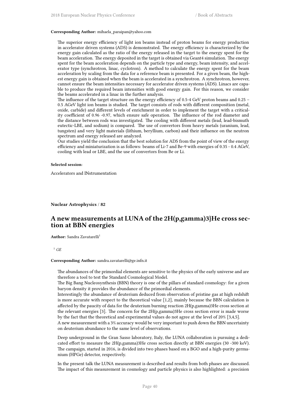#### **Corresponding Author:** mihaela\_paraipan@yahoo.com

The superior energy efficiency of light ion beams instead of proton beams for energy production in accelerator driven systems (ADS) is demonstrated. The energy efficiency is characterized by the energy gain calculated as the ratio of the energy released in the target to the energy spent for the beam acceleration. The energy deposited in the target is obtained via Geant4 simulation. The energy spent for the beam acceleration depends on the particle type and energy, beam intensity, and accelerator type (synchrotron, linac, cyclotron). A method to calculate the energy spent for the beam acceleration by scaling from the data for a reference beam is presented. For a given beam, the highest energy gain is obtained when the beam is accelerated in a synchrotron. A synchrotron, however, cannot ensure the beam intensities necessary for accelerator driven systems (ADS). Linacs are capable to produce the required beam intensities with good energy gain. For this reason, we consider the beams accelerated in a linac in the further analysis.

The influence of the target structure on the energy efficiency of 0.5-4 GeV proton beams and 0.25 – 0.5 AGeV light ion beams is studied. The target consists of rods with different composition (metal, oxide, carbide) and different levels of enrichment in order to implement the target with a criticality coefficient of 0.96 -0.97, which ensure safe operation. The influence of the rod diameter and the distance between rods was investigated. The cooling with different metals (lead, lead-bismuth eutectic-LBE, and sodium) is compared. The use of convertors from heavy metals (uranium, lead, tungsten) and very light materials (lithium, beryllium, carbon) and their influence on the neutron spectrum and energy released are analyzed.

Our studies yield the conclusion that the best solution for ADS from the point of view of the energy efficiency and miniaturization is as follows: beams of Li-7 and Be-9 with energies of 0.35 - 0.4 AGeV, cooling with lead or LBE, and the use of convertors from Be or Li.

#### **Selected session**:

Accelerators and INstrumentation

**Nuclear Astrophysics** / **82**

# **A new measurements at LUNA of the 2H(p,gamma)3}He cross section at BBN energies**

**Author:** Sandra Zavatarelli<sup>1</sup>

#### <sup>1</sup> *GE*

### **Corresponding Author:** sandra.zavatarelli@ge.infn.it

The abundances of the primordial elements are sensitive to the physics of the early universe and are therefore a tool to test the Standard Cosmological Model.

The Big Bang Nucleosynthesis (BBN) theory is one of the pillars of standard cosmology: for a given baryon density it provides the abundance of the primordial elements.

Interestingly the abundance of deuterium deduced from observation of pristine gas at high redshift is more accurate with respect to the theoretical value [1,2], mainly because the BBN calculation is affected by the paucity of data for the deuterium burning reaction 2H(p,gamma)3He cross section at the relevant energies [3]. The concern for the 2H(p,gamma)3He cross section error is made worse by the fact that the theoretical and experimental values do not agree at the level of 20% [3,4,5].

A new measurement with a 3% accuracy would be very important to push down the BBN uncertainty on deuterium abundance to the same level of observations.

Deep underground in the Gran Sasso laboratory, Italy, the LUNA collaboration is pursuing a dedicated effort to measure the 2H(p,gamma)3He cross section directly at BBN energies (30 -300 keV). The campaign, started in 2016, is divided into two phases based on a BGO and a high-purity germanium (HPGe) detector, respectively.

In the present talk the LUNA measurement is described and results from both phases are discussed. The impact of this measurement in cosmology and particle physics is also highlighted: a precision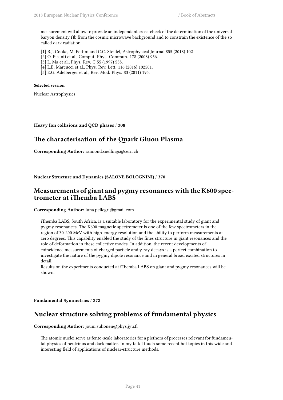measurement will allow to provide an independent cross-check of the determination of the universal baryon density Ωb from the cosmic microwave background and to constrain the existence of the so called dark radiation.

[1] R.J. Cooke, M. Pettini and C.C. Steidel, Astrophysical Journal 855 (2018) 102

- [2] O. Pisanti et al., Comput. Phys. Commun. 178 (2008) 956.
- [3] L. Ma et al., Phys. Rev. C 55 (1997) 558.
- [4] L.E. Marcucci et al., Phys. Rev. Lett. 116 (2016) 102501.
- [5] E.G. Adelberger et al., Rev. Mod. Phys. 83 (2011) 195.

### **Selected session**:

Nuclear Astrophysics

### **Heavy Ion collisions and QCD phases** / **308**

# **The characterisation of the Quark Gluon Plasma**

**Corresponding Author:** raimond.snellings@cern.ch

### **Nuclear Structure and Dynamics (SALONE BOLOGNINI)** / **370**

# **Measurements of giant and pygmy resonances with the K600 spectrometer at iThemba LABS**

**Corresponding Author:** luna.pellegri@gmail.com

iThemba LABS, South Africa, is a suitable laboratory for the experimental study of giant and pygmy resonances. The K600 magnetic spectrometer is one of the few spectrometers in the region of 30-200 MeV with high-energy resolution and the ability to perform measurements at zero degrees. This capability enabled the study of the fines structure in giant resonances and the role of deformation in these collective modes. In addition, the recent developments of coincidence measurements of charged particle and γ-ray decays is a perfect combination to investigate the nature of the pygmy dipole resonance and in general broad excited structures in detail.

Results on the experiments conducted at iThemba LABS on giant and pygmy resonances will be shown.

**Fundamental Symmetries** / **372**

# **Nuclear structure solving problems of fundamental physics**

### **Corresponding Author:** jouni.suhonen@phys.jyu.fi

The atomic nuclei serve as fento-scale laboratories for a plethora of processes relevant for fundamental physics of neutrinos and dark matter. In my talk I touch some recent hot topics in this wide and interesting field of applications of nuclear-structure methods.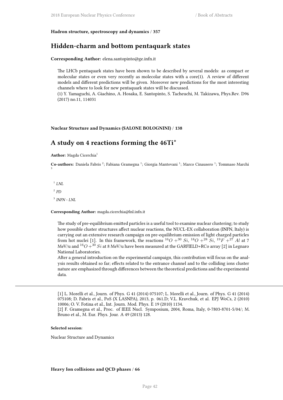#### **Hadron structure, spectroscopy and dynamics** / **357**

## **Hidden-charm and bottom pentaquark states**

### **Corresponding Author:** elena.santopinto@ge.infn.it

The LHCb pentaquark states have been shown to be described by several models: as compact or molecular states or even very recently as molecolar states with a core $(1)$ . A review of different models and different predictions will be given. Moreover new predictions for the most interesting channels where to look for new pentaquark states will be discussed.

(1) Y. Yamaguchi, A. Giachino, A. Hosaka, E. Santopinto, S. Tacheuchi, M. Takizawa, Phys.Rev. D96 (2017) no.11, 114031

#### **Nuclear Structure and Dynamics (SALONE BOLOGNINI)** / **138**

# **A study on 4 reactions forming the 46Ti\***

**Author:** Magda Cicerchia<sup>1</sup>

Co-authors: Daniela Fabris<sup>2</sup>; Fabiana Gramegna<sup>1</sup>; Giorgia Mantovani<sup>1</sup>; Marco Cinausero<sup>1</sup>; Tommaso Marchi 3

 $^1$  *LNL* 2 *PD* 3 *INFN - LNL*

#### **Corresponding Author:** magda.cicerchia@lnl.infn.it

The study of pre-equilibrium emitted particles is a useful tool to examine nuclear clustering; to study how possible cluster structures affect nuclear reactions, the NUCL-EX collaboration (INFN, Italy) is carrying out an extensive research campaign on pre-equilibrium emission of light charged particles from hot nuclei [1]. In this framework, the reactions  $^{16}O + ^{30}Si,~^{18}O + ^{28}Si,~^{19}F + ^{27}Al$  at 7 MeV/u and <sup>16</sup>*O* +<sup>30</sup> *Si* at 8 MeV/u have been measured at the GARFIELD+RCo array [2] in Legnaro National Laboratories.

After a general introduction on the experimental campaign, this contribution will focus on the analysis results obtained so far; effects related to the entrance channel and to the colliding ions cluster nature are emphasized through differences between the theoretical predictions and the experimental data.

[1] L. Morelli et al., Journ. of Phys. G 41 (2014) 075107; L. Morelli et al., Journ. of Phys. G 41 (2014) 075108; D. Fabris et al., PoS (X LASNPA), 2013, p. 061.D; V.L. Kravchuk, et al. EPJ WoCs, 2 (2010) 10006; O. V. Fotina et al., Int. Journ. Mod. Phys. E 19 (2010) 1134.

[2] F. Gramegna et al., Proc. of IEEE Nucl. Symposium, 2004, Roma, Italy, 0-7803-8701-5/04/; M. Bruno et al., M. Eur. Phys. Jour. A 49 (2013) 128.

#### **Selected session**:

Nuclear Structure and Dynamics

#### **Heavy Ion collisions and QCD phases** / **66**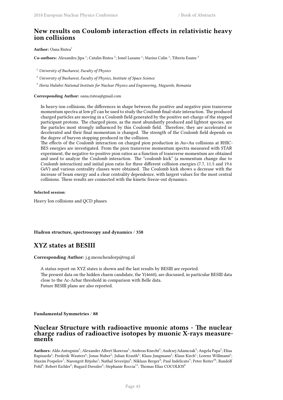# **New results on Coulomb interaction effects in relativistic heavy ion collisions**

**Author:** Oana Ristea<sup>1</sup>

Co-authors: Alexandru Jipa <sup>1</sup>; Catalin Ristea <sup>2</sup>; Ionel Lazanu <sup>1</sup>; Marius Calin <sup>1</sup>; Tiberiu Esanu <sup>3</sup>

<sup>1</sup> *University of Bucharest, Faculty of Physics*

<sup>2</sup> *University of Bucharest, Faculty of Physics, Institute of Space Science*

<sup>3</sup> *Horia Hulubei National Institute for Nuclear Physics and Engineering, Magurele, Romania*

**Corresponding Author:** oana.ristea@gmail.com

In heavy-ion collisions, the differences in shape between the positive and negative pion transverse momentum spectra at low pT can be used to study the Coulomb final-state interaction. The produced charged particles are moving in a Coulomb field generated by the positive net-charge of the stopped participant protons. The charged pions, as the most abundantly produced and lightest species, are the particles most strongly influenced by this Coulomb field. Therefore, they are accelerated or decelerated and their final momentum is changed. The strength of the Coulomb field depends on the degree of baryon stopping produced in the collision.

The effects of the Coulomb interaction on charged pion production in Au+Au collisions at RHIC-BES energies are investigated. From the pion transverse momentum spectra measured with STAR experiment, the negative-to-positive pion ratios as a function of transverse momentum are obtained and used to analyze the Coulomb interaction. The "coulomb kick" (a momentum change due to Coulomb interaction) and initial pion ratio for three different collision energies (7.7, 11.5 and 19.6 GeV) and various centrality classes were obtained. The Coulomb kick shows a decrease with the increase of beam energy and a clear centrality dependence, with largest values for the most central collisions. These results are connected with the kinetic freeze-out dynamics.

### **Selected session**:

Heavy Ion collisions and QCD phases

### **Hadron structure, spectroscopy and dynamics** / **358**

# **XYZ states at BESIII**

**Corresponding Author:** j.g.messchendorp@rug.nl

A status report on XYZ states is shown and the last results by BESIII are reported. The present data on the hidden charm candidate, the Y(4660), are discussed, in particular BESIII data close to the Λc-Λcbar threshold in comparison with Belle data. Future BESIII plans are also reported.

#### **Fundamental Symmetries** / **88**

## **Nuclear Structure with radioactive muonic atoms - The nuclear charge radius of radioactive isotopes by muonic X-rays measurements**

 ${\bf Authors:}$  Aldo Antognini $^1;$  Alexander Albert Skawran $^1;$  Andreas Knecht $^2;$  Andrzej Adamczak $^3;$  Angela Papa $^2;$  Elisa Rapisarda<sup>2</sup>; Frederik Wauters<sup>4</sup>; Jonas Nuber<sup>2</sup>; Julian Krauth<sup>4</sup>; Klaus Jungmann<sup>5</sup>; Klaus Kirch<sup>1</sup>; Lorenz Willmann<sup>6</sup>; Maxim Pospelov<sup>7</sup>; Narongrit Ritjoho<sup>1</sup>; Nathal Severijns<sup>8</sup>; Niklaus Berger<sup>4</sup>; Paul Indelicato<sup>9</sup>; Peter Reiter<sup>10</sup>; Randolf  $\mathrm{Pohl}^4\mathrm{;}$  Robert Eichler $^2\mathrm{;}$  Rugard Dressler $^2\mathrm{;}$  Stephanie Roccia $^{11}\mathrm{;}$  Thomas Elias COCOLIOS $^8$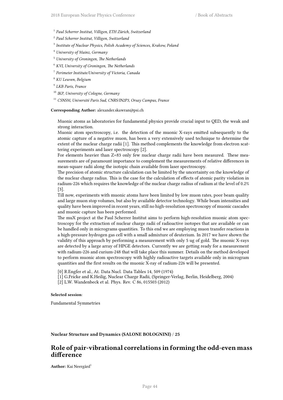- 1 *Paul Scherrer Institut, Villigen, ETH Zürich, Switzerland*
- 2 *Paul Scherrer Institut, Villigen, Switzerland*
- 3 *Institute of Nuclear Physics, Polish Academy of Sciences, Krakow, Poland*
- <sup>4</sup> *University of Mainz, Germany*
- <sup>5</sup> *University of Groningen, The Netherlands*
- <sup>6</sup> *KVI, University of Groningen, The Netherlands*
- 7 *Perimeter Institute/University of Victoria, Canada*
- <sup>8</sup> *KU Leuven, Belgium*
- 9 *LKB Paris, France*
- <sup>10</sup> *IKP, University of Cologne, Germany*
- <sup>11</sup> *CSNSM, Université Paris Sud, CNRS/IN2P3, Orsay Campus, France*

#### **Corresponding Author:** alexander.skawran@psi.ch

Muonic atoms as laboratories for fundamental physics provide crucial input to QED, the weak and strong interaction.

Muonic atom spectroscopy, i.e. the detection of the muonic X-rays emitted subsequently to the atomic capture of a negative muon, has been a very extensively used technique to determine the extent of the nuclear charge radii [1]. This method complements the knowledge from electron scattering experiments and laser spectroscopy [2].

For elements heavier than Z=83 only few nuclear charge radii have been measured. These measurements are of paramount importance to complement the measurements of relative differences in mean-square radii along the isotopic chain available from laser spectroscopy.

The precision of atomic structure calculation can be limited by the uncertainty on the knowledge of the nuclear charge radius. This is the case for the calculation of effects of atomic parity violation in radium-226 which requires the knowledge of the nuclear charge radius of radium at the level of 0.2% [3].

Till now, experiments with muonic atoms have been limited by low muon rates, poor beam quality and large muon stop volumes, but also by available detector technology. While beam intensities and quality have been improved in recent years, still no high-resolution spectroscopy of muonic cascades and muonic capture has been performed.

The muX project at the Paul Scherrer Institut aims to perform high-resolution muonic atom spectroscopy for the extraction of nuclear charge radii of radioactive isotopes that are available or can be handled only in micrograms quantities. To this end we are employing muon transfer reactions in a high-pressure hydrogen gas cell with a small admixture of deuterium. In 2017 we have shown the validity of this approach by performing a measurement with only 5 ug of gold. The muonic X-rays are detected by a large array of HPGE detectors. Currently we are getting ready for a measurement with radium-226 and curium-248 that will take place this summer. Details on the method developed to perform muonic atom spectroscopy with highly radioactive targets available only in microgram quantities and the first results on the muonic X-ray of radium-226 will be presented.

[0] R.Engfer et al., At. Data Nucl. Data Tables 14, 509 (1974)

- [1] G.Fricke and K.Heilig, Nuclear Charge Radii, (Springer-Verlag, Berlin, Heidelberg, 2004)
- [2] L.W. Wandenbeck et al. Phys. Rev. C 86, 015503 (2012)

### **Selected session**:

Fundamental Symmetries

### **Nuclear Structure and Dynamics (SALONE BOLOGNINI)** / **25**

## **Role of pair-vibrational correlations in forming the odd-even mass difference**

**Author:** Kai Neergård<sup>1</sup>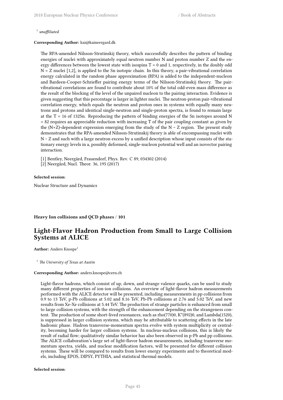### 1 *unaffiliated*

#### **Corresponding Author:** kai@kaineergard.dk

The RPA-amended Nilsson-Strutinskij theory, which successfully describes the pattern of binding energies of nuclei with approximately equal neutron number N and proton number Z and the energy differences between the lowest state with isospins  $T = 0$  and 1, respectively, in the doubly odd  $N = Z$  nuclei [1,2], is applied to the Sn isotopic chain. In this theory, a pair-vibrational correlation energy calculated in the random phase approximation (RPA) is added to the independent-nucleon and Bardeen-Cooper-Schrieffer pairing energy terms of the Nilsson-Strutinskij theory. The pairvibrational correlations are found to contribute about 10% of the total odd-even mass difference as the result of the blocking of the level of the unpaired nucleon to the pairing interaction. Evidence is given suggesting that this percentage is larger in lighter nuclei. The neutron-proton pair-vibrational correlation energy, which equals the neutron and proton ones in systems with equally many neutrons and protons and identical single-neutron and single-proton spectra, is found to remain large at the  $T = 16$  of 132Sn. Reproducing the pattern of binding energies of the Sn isotopes around N = 82 requires an appreciable reduction with increasing T of the pair coupling constant as given by the  $(N+Z)$ -dependent expression emerging from the study of the  $N \sim Z$  region. The present study demonstrates that the RPA-amended Nilsson-Strutinskij theory is able of encompassing nuclei with  $N \sim Z$  and such with a large neutron excess by a unified description whose input consists of the stationary energy levels in a, possibly deformed, single-nucleon potential well and an isovector pairing interaction.

[1] Bentley, Neergård, Frauendorf, Phys. Rev. C 89, 034302 (2014)

[2] Neergård, Nucl. Theor. 36, 195 (2017)

#### **Selected session**:

Nuclear Structure and Dynamics

**Heavy Ion collisions and QCD phases** / **101**

# **Light-Flavor Hadron Production from Small to Large Collision Systems at ALICE**

**Author:** Anders Knospe<sup>1</sup>

<sup>1</sup> *The University of Texas at Austin*

#### **Corresponding Author:** anders.knospe@cern.ch

Light-flavor hadrons, which consist of up, down, and strange valence quarks, can be used to study many different properties of ion-ion collisions. An overview of light-flavor hadron measurements performed with the ALICE detector will be presented, including measurements in pp collisions from 0.9 to 13 TeV, p-Pb collisions at 5.02 and 8.16 TeV, Pb-Pb collisions at 2.76 and  $\overline{5.02}$  TeV, and new results from Xe-Xe collisions at 5.44 TeV. The production of strange particles is enhanced from small to large collision systems, with the strength of the enhancement depending on the strangeness content. The production of some short-lived resonances, such as rho(770)0, K\*(892)0, and Lambda(1520), is suppressed in larger collision systems, which may be attributable to scattering effects in the late hadronic phase. Hadron transverse-momentum spectra evolve with system multiplicity or centrality, becoming harder for larger collision systems. In nucleus-nucleus collisions, this is likely the result of radial flow; qualitatively similar behavior has also been observed in p-Pb and pp collisions. The ALICE collaboration's large set of light-flavor hadron measurements, including transverse momentum spectra, yields, and nuclear modification factors, will be presented for different collision systems. These will be compared to results from lower energy experiments and to theoretical models, including EPOS, DIPSY, PYTHIA, and statistical thermal models.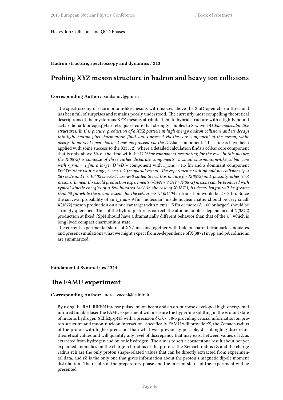Heavy Ion Collisions and QCD Phases

#### **Hadron structure, spectroscopy and dynamics** / **213**

# **Probing XYZ meson structure in hadron and heavy ion collisions**

### **Corresponding Author:** barabanov@jinr.ru

The spectroscopy of charmonium-like mesons with masses above the 2mD open charm threshold has been full of surprises and remains poorly understood. The currently most compelling theoretical descriptions of the mysterious XYZ mesons attribute them to hybrid structure with a tightly bound cc\bar diquark or cq(cq')\bar tetraquark core that strongly couples to S-wave DD*\bar molecular-like structures. In this picture, production of a XYZ particle in high energy hadron collisions and its decays into light hadron plus charmonium final states proceed via the core component of the meson, while decays to pairs of open charmed mesons proceed via the DD*\bar component. These ideas have been applied with some success to the X(3872), where a detailed calculation finds a cc\bar core component that is only above 5% of the time with the DD*\bar component accounting for the rest. In this picture, the X(3872) is compose of three rather disparate components: a small charmonium-like cc\bar core with r\_rms < 1 fm, a larger D^+D^-* component with r\_rms  $\approx$  1.5 fm and a dominant component D<sup>^</sup>0D<sup>^</sup>0\bar with a huge, r\_rms > 9 fm spatial extent. The experiments with pp and pA collisions (p ≤ *26 Gev/c and L ≤ 10^32 cm-2s-1) are well suited to test this picture for X(3872) and, possibly, other XYZ mesons. In near threshold production experiments (√SpN ≈ 8 GeV), X(3872) mesons can be produced with typical kinetic energies of a few hundred MeV. In the case of X(3872), its decay length will be greater than 50 fm while the distance scale for the cc\bar*  $\rightarrow$  *D^0D^0*\bar transition would be 2 ~ 3 fm. Since the survival probability of an r\_rms ~ 9 fm "molecular" inside nuclear matter should be very small, X(3872) meson production on a nuclear target with r\_rms ~ 5 fm or more (A ~ 60 or larger) should be strongly quenched. Thus, if the hybrid picture is correct, the atomic number dependence of X(3872) production at fixed √SpN should have a dramatically different behavior than that of the  $\psi'$ , which is long lived compact charmonium state.

The current experimental status of XYZ mesons together with hidden charm tetraquark candidates and present simulations what we might expect from A-dependence of X(3872) in pp and pA collisions are summarized.

**Fundamental Symmetries** / **314**

## **The FAMU experiment**

### **Corresponding Author:** andrea.vacchi@ts.infn.it

By using the RAL-RIKEN intense pulsed muon beam and an on-purpose developed high-energy mid infrared tunable laser the FAMU experiment will measure the hyperfine splitting in the ground state of muonic hydrogen ΔEhfs(μ-p)1S with a precision δλ/λ < 10-5 providing crucial information on proton structure and muon-nucleon interaction. Specifically FAMU will provide rZ, the Zemach radius of the proton with higher precision, than what was previously possible, disentangling discordant theoretical values and will quantify any level of discrepancy that may exist between values of rZ as extracted from hydrogen and muonic hydrogen. The aim is to sett a cornerstone result about not yet explained anomalies on the charge rch radius of the proton. The Zemach radius rZ and the charge radius rch are the only proton shape-related values that can be directly extracted from experimental data, and rZ is the only one that gives information about the proton's magnetic dipole moment distribution. The results of the preparatory phase and the present status of the experiment will be presented.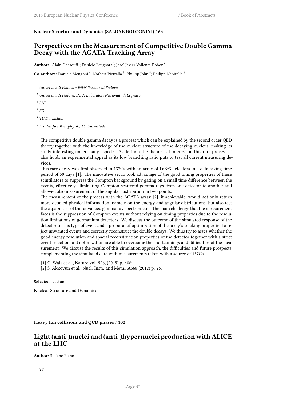### **Nuclear Structure and Dynamics (SALONE BOLOGNINI)** / **63**

# **Perspectives on the Measurement of Competitive Double Gamma Decay with the AGATA Tracking Array**

Authors: Alain Goasduff<sup>1</sup>; Daniele Brugnara<sup>2</sup>; Jose' Javier Valiente Dobon<sup>3</sup>

 $\rm Co\text{-}authors:$  Daniele Mengoni  $^4$ ; Norbert Pietralla  $^5$ ; Philipp John  $^6$ ; Philipp Napiralla  $^6$ 

<sup>1</sup> *Università di Padova - INFN Sezione di Padova*

<sup>2</sup> *Università di Padova, INFN Laboratori Nazionali di Legnaro*

3 *LNL*

4 *PD*

5 *TU Darmstadt*

6 *Institut fu ̈r Kernphysik, TU Darmstadt*

The competitive double gamma decay is a process which can be explained by the second order QED theory together with the knowledge of the nuclear structure of the decaying nucleus, making its study interesting under many aspects. Aside from the theoretical interest on this rare process, it also holds an experimental appeal as its low branching ratio puts to test all current measuring devices.

This rare decay was first observed in 137Cs with an array of LaBr3 detectors in a data taking time period of 50 days [1]. The innovative setup took advantage of the good timing properties of these scintillators to suppress the Compton background by gating on a small time difference between the events, effectively eliminating Compton scattered gamma rays from one detector to another and allowed also measurement of the angular distribution in two points.

The measurement of the process with the AGATA array [2], if achievable, would not only return more detailed physical information, namely on the energy and angular distributions, but also test the capabilities of this advanced gamma ray spectrometer. The main challenge that the measurement faces is the suppression of Compton events without relying on timing properties due to the resolution limitations of germanium detectors. We discuss the outcome of the simulated response of the detector to this type of event and a proposal of optimization of the array's tracking properties to reject unwanted events and correctly reconstruct the double decays. We thus try to asses whether the good energy resolution and spacial reconstruction properties of the detector together with a strict event selection and optimization are able to overcome the shortcomings and difficulties of the measurement. We discuss the results of this simulation approach, the difficulties and future prospects, complementing the simulated data with measurements taken with a source of 137Cs.

[1] C. Walz et al., Nature vol. 526, (2015) p. 406;

[2] S. Akkoyun et al., Nucl. Instr. and Meth., A668 (2012) p. 26.

### **Selected session**:

Nuclear Structure and Dynamics

**Heavy Ion collisions and QCD phases** / **102**

# **Light (anti-)nuclei and (anti-)hypernuclei production with ALICE at the LHC**

**Author:** Stefano Piano<sup>1</sup>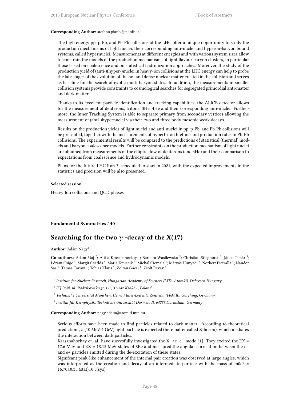#### **Corresponding Author:** stefano.piano@ts.infn.it

The high energy pp, p-Pb, and Pb-Pb collisions at the LHC offer a unique opportunity to study the production mechanisms of light nuclei, their corresponding anti-nuclei and hyperon-baryon bound systems, called hypernuclei. Measurements at different energies and with various system sizes allow to constrain the models of the production mechanisms of light flavour baryon clusters, in particular those based on coalescence and on statistical hadronization approaches. Moreover, the study of the production yield of (anti-)(hyper-)nuclei in heavy-ion collisions at the LHC energy can help to probe the late stages of the evolution of the hot and dense nuclear matter created in the collision and serves as baseline for the search of exotic multi-baryon states. In addition, the measurements in smaller collision systems provide constraints to cosmological searches for segregated primordial anti-matter and dark matter.

Thanks to its excellent particle identification and tracking capabilities, the ALICE detector allows for the measurement of deuterons, tritons, 3He, 4He and their corresponding anti-nuclei. Furthermore, the Inner Tracking System is able to separate primary from secondary vertices allowing the measurement of (anti-)hypernuclei via their two and three body mesonic weak decays.

Results on the production yields of light nuclei and anti-nuclei in pp, p-Pb, and Pb-Pb collisions will be presented, together with the measurements of hypertriton lifetime and production rates in Pb-Pb collisions. The experimental results will be compared to the predictions of statistical (thermal) models and baryon coalescence models. Further constraints on the production mechanism of light nuclei are obtained from measurements of the elliptic flow of deuterons (and 3He) and their comparison to expectations from coalescence and hydrodynamic models.

Plans for the future LHC Run 3, scheduled to start in 2021, with the expected improvements in the statistics and precision will be also presented.

#### **Selected session**:

Heavy Ion collisions and QCD phases

### **Fundamental Symmetries** / **40**

# **Searching for the two γ -decay of the X(17)**

**Author:** Ádám Nagy<sup>1</sup>

Co-authors: Adam Maj<sup>2</sup>; Attila Krasznahorkay<sup>1</sup>; Barbara Wasilewska<sup>2</sup>; Christian Stieghorst<sup>3</sup>; János Timár<sup>1</sup>; Lóránt Csige <sup>1</sup>; Margit Csatlós <sup>1</sup>; Maria Kmiecik <sup>2</sup>; Michal Ciemala <sup>2</sup>; Mátyás Hunyadi <sup>1</sup>; Norbert Pietralla <sup>4</sup>; Nándor Sas <sup>1</sup>; Tamás Tornyi <sup>1</sup>; Tobias Klaus <sup>4</sup>; Zoltán Gácsi <sup>1</sup>; Zsolt Révay <sup>3</sup>

1 *Institute for Nuclear Research, Hungarian Academy of Sciences (MTA Atomki), Debrecen Hungary*

- 2 *IFJ PAN, ul. Radzikowskiego 152, 31-342 Kraków, Poland*
- 3 *Technische Universität München, Heinz Maier-Leibnitz Zentrum (FRM II), Garching, Germany*
- 4 *Institut für Kernphysik, Technische Universität Darmstadt, 64289 Darmstadt, Germany*

#### **Corresponding Author:** nagy.adam@atomki.mta.hu

Serious efforts have been made to find particles related to dark matter. According to theoretical predictions, a (10 MeV-1 GeV) light particle is expected (hereinafter called X-boson), which mediates the interaction between dark particles.

Krasznahorkay et. al. have succesfully investigated the  $X\rightarrow e-e+$  mode [1]. They excited the EX = 17.6 MeV and EX = 18.15 MeV states of 8Be and measured the angular correlation between the e− and e+ particles emitted during the de-excitation of these states.

Signifcant peak-like enhancement of the internal pair creation was observed at large angles, which was interpreted as the creation and decay of an intermediate particle with the mass of m0c2 =  $16.70\pm0.35$  (stat) $\pm0.5$ (sys).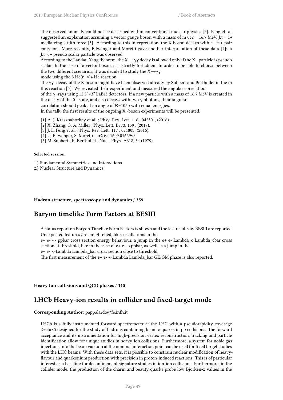The observed anomaly could not be described within conventional nuclear physics [2]. Feng et. al. suggested an explanation assuming a vector gauge boson with a mass of m 0c2 = 16.7 MeV,  $J\pi$  = 1+ mediateing a fifth force [3]. According to this interpretation, the X-boson decays with e −e +-pair emission. More recently, Ellwanger and Moretti gave another interpretation of these data [4]: a Jπ=0− pseudo scalar particle was observed.

According to the Landau-Yang theorem, the  $X \rightarrow \gamma \gamma$  decay is allowed only if the X - particle is pseudo scalar. In the case of a vector boson, it is strictly forbidden. In order to be able to choose between the two different scenarios, it was decided to study the  $X \rightarrow YY$ 

mode using the 3 He(n, γ)4 He reaction.

The γγ -decay of the X-boson might have been observed already by Subbert and Berthollet in the in this reaction [5]. We revisited their experiment and measured the angular correlation

of the γ -rays using 12 3"×3" LaBr3 detectors. If a new particle with a mass of 16.7 MeV is created in the decay of the 0− state, and also decays with two γ photons, their angular

correlation should peak at an angle of Θ=105o with equal energies.

In the talk, the first results of the ongoing X -boson experiments will be presented.

[1] A. J. Krasznahorkay et al. ; Phsy. Rev. Lett. 116, 042501, (2016).

- [2] X. Zhang, G. A. Miller ; Phys. Lett. B773, 159 , (2017).
- [3] J. L. Feng et al. ; Phys. Rev. Lett. 117 , 071803, (2016).
- [4] U. Ellwanger, S. Moretti ; arXiv: 1609.01669v2.
- [5] M. Subbert , R. Berthollet , Nucl. Phys. A318, 54 (1979).

### **Selected session**:

1.) Fundamental Symmetries and Interactions

2.) Nuclear Structure and Dynamics

**Hadron structure, spectroscopy and dynamics** / **359**

## **Baryon timelike Form Factors at BESIII**

A status report on Baryon Timelike Form Factors is shown and the last results by BESIII are reported. Unexpected features are enlightened, like: oscillations in the

e+ e- -> ppbar cross section energy behaviour, a jump in the e+ e- Lambda\_c Lambda\_cbar cross section at threshold, like in the case of  $e+ e-$ ->ppbar, as well as a jump in the

e+ e- ->Lambda Lambda\_bar cross section close to threshold.

The first measurement of the  $e+e-$ ->Lambda Lambda bar GE/GM phase is also reported.

**Heavy Ion collisions and QCD phases** / **115**

# **LHCb Heavy-ion results in collider and fixed-target mode**

**Corresponding Author:** pappalardo@fe.infn.it

LHCb is a fully instrumented forward spectrometer at the LHC with a pseudorapidity coverage 2<eta<5 designed for the study of hadrons containing b and c-quarks in pp collisions. The forward acceptance and its instrumentation for high-precision vertex reconstruction, tracking and particle identification allow for unique studies in heavy-ion collisions. Furthermore, a system for noble gas injections into the beam vacuum at the nominal interaction point can be used for fixed target studies with the LHC beams. With these data sets, it is possible to constrain nuclear modification of heavyflavour and quarkonium production with precision in proton-induced reactions. This is of particular interest as a baseline for deconfinement signature studies in ion-ion collisions. Furthermore, in the collider mode, the production of the charm and beauty quarks probe low Bjorken-x values in the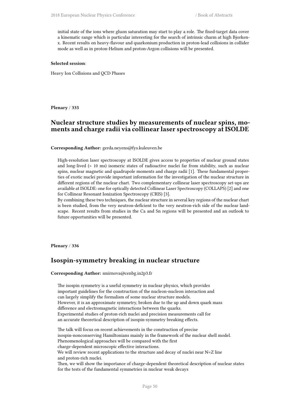initial state of the ions where gluon saturation may start to play a role. The fixed-target data cover a kinematic range which is particular interesting for the search of intrinsic charm at high Bjorkenx. Recent results on heavy-flavour and quarkonium production in proton-lead collisions in collider mode as well as in proton-Helium and proton-Argon collisions will be presented.

### **Selected session**:

Heavy Ion Collisions and QCD Phases

**Plenary** / **335**

# **Nuclear structure studies by measurements of nuclear spins, moments and charge radii via collinear laser spectroscopy at ISOLDE**

**Corresponding Author:** gerda.neyens@fys.kuleuven.be

High-resolution laser spectroscopy at ISOLDE gives access to properties of nuclear ground states and long-lived (> 10 ms) isomeric states of radioactive nuclei far from stability, such as nuclear spins, nuclear magnetic and quadrupole moments and charge radii [1]. These fundamental properties of exotic nuclei provide important information for the investigation of the nuclear structure in different regions of the nuclear chart. Two complementary collinear laser spectroscopy set-ups are available at ISOLDE: one for optically detected Collinear Laser Spectroscopy (COLLAPS) [2] and one for Collinear Resonant Ionization Spectroscopy (CRIS) [3].

By combining these two techniques, the nuclear structure in several key regions of the nuclear chart is been studied, from the very neutron-deficient to the very neutron-rich side of the nuclear landscape. Recent results from studies in the Ca and Sn regions will be presented and an outlook to future opportunities will be presented.

**Plenary** / **336**

## **Isospin-symmetry breaking in nuclear structure**

for the tests of the fundamental symmetries in nuclear weak decays

**Corresponding Author:** smirnova@cenbg.in2p3.fr

The isospin symmetry is a useful symmetry in nuclear physics, which provides important guidelines for the construction of the nucleon-nucleon interaction and can largely simplify the formalism of some nuclear structure models. However, it is an approximate symmetry, broken due to the up and down quark mass difference and electromagnetic interactions between the quarks. Experimental studies of proton-rich nuclei and precision measurements call for an accurate theoretical description of isospin-symmetry breaking effects.

The talk will focus on recent achievements in the construction of precise isospin-nonconserving Hamiltonians mainly in the framework of the nuclear shell model. Phenomenological approaches will be compared with the first charge-dependent microscopic effective interactions. We will review recent applications to the structure and decay of nuclei near N=Z line and proton-rich nuclei. Then, we will show the importance of charge-dependent theoretical description of nuclear states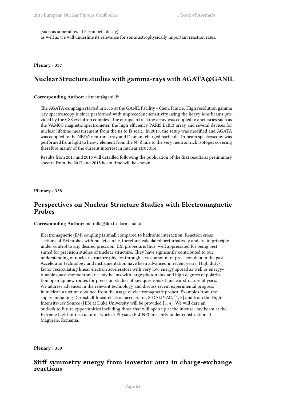(such as superallowed Fermi beta decay),

as well as we will underline its relevance for some astrophysically important reaction rates.

**Plenary** / **337**

# **Nuclear Structure studies with gamma-rays with AGATA@GANIL**

### **Corresponding Author:** clement@ganil.fr

The AGATA campaign started in 2015 at the GANIL Facility - Caen, France. High resolution gamma -ray spectroscopy is since performed with unprecedent sensitivity using the heavy ions beams provided by the CSS cyclotron complex. The european tracking array was coupled to ancillaries such as the VAMOS magnetic spectrometer, the high efficiency PARIS LaBr3 array and several devices for nuclear lifetime measurement from the ns to fs scale. In 2018, the setup was modified and AGATA was coupled to the NEDA neutron array and Diamant charged particule. In-beam spectroscopy was performed from light to heavy element from the N=Z line to the very neutron rich isotopes covering therefore mainy of the current interrest in nuclear structure.

Results from 2015 and 2016 will detailled following the publication of the first results as preliminary spectra from the 2017 and 2018 beam time will be shown.

**Plenary** / **338**

## **Perspectives on Nuclear Structure Studies with Electromagnetic Probes**

**Corresponding Author:** pietralla@ikp.tu-darmstadt.de

Electromagnetic (EM) coupling is small compared to hadronic interaction. Reaction cross sections of EM probes with nuclei can be, therefore, calculated perturbatively and are in principle under control to any desired precision. EM probes are, thus, well appreciated for being best suited for precision studies of nuclear structure. They have signicantly contributed to our understanding of nuclear structure physics through a vast amount of precision data in the past. Accelerator technology and instrumentation have been advanced in recent years. High dutyfactor recirculating linear electron accelerators with very low energy spread as well as energytunable quasi-monochromatic -ray beams with large photon flux and high degrees of polarization open up new routes for precision studies of key questions of nuclear structure physics. We address advances in the relevant technology and discuss recent experimental progress in nuclear structure obtained from the usage of electromagnetic probes. Examples from the superconducting Darmstadt linear electron accelerator, S-DALINAC, [1, 2] and from the High-Intensity-ray Source (HIS) at Duke University will be provided [3, 4]. We will dare an outlook to future opportunities including those that will open up at the intense -ray beam at the Extreme Light Infrastructure - Nuclear Physics (ELI-NP) presently under construction at Magurele, Romania.

**Plenary** / **350**

# **Stiff symmetry energy from isovector aura in charge-exchange reactions**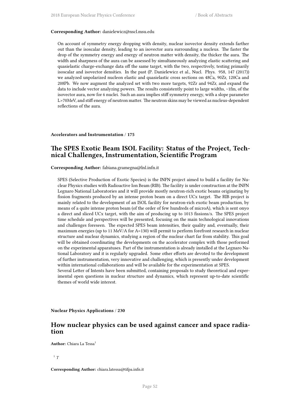#### **Corresponding Author:** danielewicz@nscl.msu.edu

On account of symmetry energy dropping with density, nuclear isovector density extends farther out than the isoscalar density, leading to an isovector aura surrounding a nucleus. The faster the drop of the symmetry energy and energy of neutron matter with density, the thicker the aura. The width and sharpness of the aura can be assessed by simultaneously analyzing elastic scattering and quasielastic charge-exchange data off the same target, with the two, respectively, testing primarily isoscalar and isovector densities. In the past (P. Danielewicz et al., Nucl. Phys. 958, 147 (2017)) we analyzed unpolarized nucleon elastic and quasielastic cross sections on 48Ca, 90Zr, 120Ca and 208Pb. We now augment the analyzed set with two more targets, 92Zr and 94Zr, and expand the data to include vector analyzing powers. The results consistently point to large widths, ~1fm, of the isovector aura, now for 6 nuclei. Such an aura implies stiff symmetry energy, with a slope parameter L>70MeV, and stiff energy of neutron matter. The neutron skins may be viewed as nucleus-dependent reflections of the aura.

### **Accelerators and Instrumentation** / **175**

# **The SPES Exotic Beam ISOL Facility: Status of the Project, Technical Challenges, Instrumentation, Scientific Program**

**Corresponding Author:** fabiana.gramegna@lnl.infn.it

SPES (Selective Production of Exotic Species) is the INFN project aimed to build a facility for Nuclear Physics studies with Radioactive Ion Beam (RIB). The facility is under construction at the INFN Legnaro National Laboratories and it will provide mostly neutron-rich exotic beams originating by fission fragments produced by an intense proton beam on a direct UCx target. The RIB project is mainly related to the development of an ISOL facility for neutron-rich exotic beam production, by means of a quite intense proton beam (of the order of few hundreds of microA), which is sent onyo a direct and sliced UCx target, with the aim of producing up to 1013 fissions/s. The SPES project time schedule and perspectives will be presented, focusing on the main technological innovations and challenges foreseen. The expected SPES beam intensities, their quality and, eventually, their maximum energies (up to 11 MeV/A for A=130) will permit to perform forefront research in nuclear structure and nuclear dynamics, studying a region of the nuclear chart far from stability. This goal will be obtained coordinating the developments on the accelerator complex with those performed on the experimental apparatuses. Part of the instrumentation is already installed at the Legnaro National Laboratory and it is regularly upgraded. Some other efforts are devoted to the development of further instrumentation, very innovative and challenging, which is presently under development within international collaborations and will be available for the experimentation at SPES.

Several Letter of Intents have been submitted, containing proposals to study theoretical and experimental open questions in nuclear structure and dynamics, which represent up-to-date scientific themes of world wide interest.

**Nuclear Physics Applications** / **230**

# **How nuclear physics can be used against cancer and space radiation**

**Author:** Chiara La Tessa<sup>1</sup>

1 *T*

**Corresponding Author:** chiara.latessa@tifpa.infn.it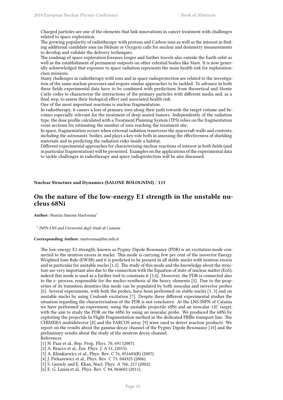Charged particles are one of the elements that link innovations in cancer treatment with challenges related to space exploration.

The growing popularity of radiotherapy with protons and Carbon ions as well as the interest in finding additional candidate ions (as Helium or Oxygen) calls for nuclear and dosimetry measurements to develop and validate the delivery techniques.

The roadmap of space exploration foresees longer and further travels also outside the Earth orbit as well as the establishment of permanent outposts on other celestial bodies like Mars. It is now generally acknowledged that exposure to space radiation represents the main health risk for explorationclass missions.

Many challenges in radiotherapy with ions and in space radioprotection are related to the investigation of the same nuclear processes and require similar approaches to be tackled. To advance in both these fields experimental data have to be combined with predictions from theoretical and Monte Carlo codes to characterize the interactions of the primary particles with different media and, as a final step, to assess their biological effect and associated health risk.

One of the most important reactions is nuclear fragmentation.

In radiotherapy, it causes a loss of primary ions along their path towards the target volume and becomes especially relevant for the treatment of deep-seated tumors. Independently of the radiation type, the dose profile calculated with a Treatment Planning System (TPS) relies on the fragmentation cross sections for estimating the number of ions reaching the treatment site.

In space, fragmentation occurs when external radiation transverse the spacecraft walls and contents, including the astronauts' bodies, and plays a key role both in assessing the effectiveness of shielding materials and in predicting the radiation risks inside a habitat.

Different experimental approaches for characterizing nuclear reactions of interest in both fields (and in particular fragmentation) will be presented. Examples on the applications of the experimental data to tackle challenges in radiotherapy and space radioprotection will be also discussed.

**Nuclear Structure and Dynamics (SALONE BOLOGNINI)** / **113**

# **On the nature of the low-energy E1 strength in the unstable nucleus 68Ni**

**Author:** Nunzia Simona Martorana<sup>1</sup>

1 *INFN-LNS and Università degli Studi di Catania*

#### **Corresponding Author:** martorana@lns.infn.it

The low-energy E1 strength, known as Pygmy Dipole Resonance (PDR) is an excitation mode connected to the neutron excess in nuclei. This mode is carrying few per cent of the isovector Energy Weighted Sum Rule (EWSR) and it is predicted to be present in all stable nuclei with neutron excess and in particular for unstable nuclei [1,2]. The study of this mode and the knowledge about the structure are very important also due to the connection with the Equation of state of nuclear matter (EoS), indeed this mode is used as a further tool to constrain it [3,4]. Moreover, the PDR is connected also to the r- process, responsible for the nucleo-synthesis of the heavy elements [5]. Due to the properties of its transition densities this mode can be populated by both isoscalar and isovector probes [6]. Several experiments, with both the probes, have been performed on stable nuclei [1, 3] and on unstable nuclei by using Coulomb excitation [7]. Despite these different experimental studies the situation regarding the characterization of the PDR is not conclusive. At the LNS-INFN of Catania we have performed an experiment, using the unstable projectile 68Ni and an isoscalar 12C target, with the aim to study the PDR on the 68Ni by using an isoscalar probe. We produced the 68Ni by exploiting the projectile In Flight Fragmentation method in the dedicated FRIBs transport line. The CHIMERA multidetector [8] and the FARCOS array [9] were used to detect reaction products. We report on the results about the gamma-decay channel of the Pygmy Dipole Resonance [10] and the preliminary results about the study of the neutron decay channel.

References

[1] N. Paar et al., Rep. Prog. Phys. 70, 691 (2007).

- [2] A. Bracco et al., Eur. Phys. J. A 51, (2015).
- [3] A. Klimkiewicz et al., Phys. Rev. C 76, 051603(R) (2007).
- [4] J. Piekarewicz et al., Phys. Rev. C 73, 044325 (2006).
- [5] S. Goriely and E. Khan, Nucl. Phys. A 706, 217 (2002).
- [6] E. G. Lanza et al., Phys. Rev. C 84, 064602 (2011).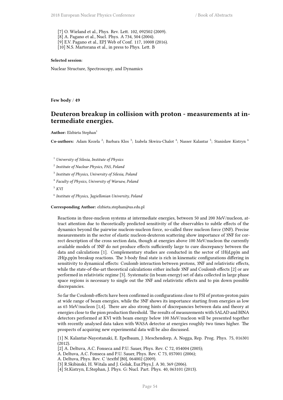[7] O. Wieland et al., Phys. Rev. Lett. 102, 092502 (2009). [8] A. Pagano et al., Nucl. Phys. A 734, 504 (2004). [9] E.V. Pagano et al., EPJ Web of Conf. 117, 10008 (2016). [10] N.S. Martorana et al., in press to Phys. Lett. B

### **Selected session**:

Nuclear Structure, Spectroscopy, and Dynamics

**Few body** / **49**

## **Deuteron breakup in collision with proton - measurements at intermediate energies.**

Author: Elzbieta Stephan<sup>1</sup>

Co-authors: Adam Kozela<sup>2</sup>; Barbara Klos<sup>3</sup>; Izabela Skwira-Chalot<sup>4</sup>; Nasser Kalantar<sup>5</sup>; Stanislaw Kistryn <sup>6</sup>

<sup>1</sup> *University of Silesia, Institute of Physics*

2 *Institute of Nuclear Physics, PAS, Poland*

3 *Institute of Physics, University of Silesia, Poland*

4 *Faculty of Physics, University of Warsaw, Poland*

<sup>5</sup> *KVI*

6 *Institute of Physics, Jagiellonian University, Poland*

**Corresponding Author:** elzbieta.stephan@us.edu.pl

Reactions in three-nucleon systems at intermediate energies, between 50 and 200 MeV/nucleon, attract attention due to theoretically predicted sensitivity of the observables to subtle effects of the dynamics beyond the pairwise nucleon-nucleon force, so-called three nucleon force (3NF). Precise measurements in the sector of elastic nucleon-deuteron scattering show importance of 3NF for correct description of the cross section data, though at energies above 100 MeV/nucleon the currently available models of 3NF do not produce effects sufficiently large to cure discrepancy between the data and calculations [1]. Complementary studies are conducted in the sector of  $1H(d,pp)n$  and 2H(p,pp)n breakup reactions. The 3-body final state is rich in kinematic configurations differing in sensitivity to dynamical effects: Coulomb interaction between protons, 3NF and relativistic effects, while the state-of-the-art theoretical calculations either include 3NF and Coulomb effects [2] or are performed in relativistic regime [3]. Systematic (in beam energy) set of data collected in large phase space regions is necessary to single out the 3NF and relativistic effects and to pin down possible discrepancies.

So far the Coulomb effects have been confirmed in configurations close to FSI of proton-proton pairs at wide range of beam energies, while the 3NF shows its importance starting from energies as low as 65 MeV/nucleon [1,4]. There are also strong hints of discrepancies between data and theory at energies close to the pion production threshold. The results of measurements with SALAD and BINA detectors performed at KVI with beam energy below 100 MeV/nucleon will be presented together with recently analysed data taken with WASA detector at energies roughly two times higher. The prospects of acquiring new experimental data will be also discussed.

[1] N. Kalantar-Nayestanaki, E. Epelbaum, J. Meschendorp, A. Nogga, Rep. Prog. Phys. 75, 016301 (2012).

[2] A. Deltuva, A.C. Fonseca and P.U. Sauer, Phys. Rev. C 72, 054004 (2005);

A. Deltuva, A.C. Fonseca and P.U. Sauer, Phys. Rev. C 73, 057001 (2006);

A. Deltuva, Phys. Rev. C \textbf {80}, 064002 (2009).

[3] R.Skibinski, H. Witala and J. Golak, Eur.Phys.J. A 30, 369 (2006).

[4] St.Kistryn, E.Stephan, J. Phys. G: Nucl. Part. Phys. 40, 063101 (2013).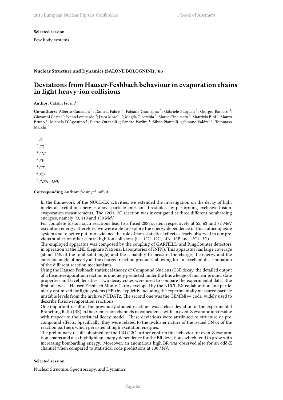#### **Selected session**:

Few body systems

### **Nuclear Structure and Dynamics (SALONE BOLOGNINI)** / **86**

# **Deviations from Hauser-Feshbach behaviour in evaporation chains in light heavy-ion collisions**

**Author:** Catalin Frosin<sup>1</sup>

Co-authors: Alberto Camaiani<sup>1</sup>; Daniela Fabris<sup>2</sup>; Fabiana Gramegna<sup>3</sup>; Gabriele Pasquali<sup>1</sup>; Giorgio Baiocco<sup>4</sup>; Giovanni Casini <sup>1</sup>; Ivano Lombardo <sup>5</sup>; Luca Morelli <sup>6</sup>; Magda Cicerchia <sup>3</sup>; Marco Cinausero <sup>3</sup>; Maurizio Bini <sup>1</sup>; Mauro Bruno  $^6$ ; Michela D'Agostino  $^6$ ; Pietro Ottanelli <sup>1</sup>; Sandro Barlini <sup>1</sup>; Silvia Piantelli <sup>1</sup>; Simone Valdre' <sup>1</sup>; Tommaso Marchi<sup>7</sup>

1 *FI*

2 *PD*

3 *LNL*

4 *PV*

<sup>5</sup> *CT*

6 *BO*

7 *INFN - LNL*

#### **Corresponding Author:** frosin@fi.infn.it

In the framework of the NUCL-EX activities, we extended the investigation on the decay of light nuclei at excitation energies above particle emission thresholds, by performing exclusive fusionevaporation measurements. The 12O+12C reaction was investigated at three different bombarding energies, namely 90, 110 and 130 MeV.

For complete fusion, such reactions lead to a fused 28Si system respectively at 55, 63 and 72 MeV excitation energy. Therefore, we were able to explore the energy dependence of this autoconjugate system and to better put into evidence the role of non-statistical effects, clearly observed in our previous studies on other central ligh-ion collisions (i.e. 12C+12C, 14N+10B and 12C+13C)

The employed apparatus was composed by the coupling of GARFIELD and RingCounter detectors, in operation at the LNL (Legnaro National Laboratories of INFN). This apparatus has large coverage (about 75% of the total solid angle) and the capability to measure the charge, the energy and the emission angle of nearly all the charged reaction products, allowing for an excellent discrimination of the different reaction mechanisms.

Using the Hauser-Feshbach statistical theory of Compound Nucleus (CN) decay, the detailed output of a fusion-evaporation reaction is uniquely predicted under the knowledge of nuclear ground state properties and level densities. Two decay codes were used to compare the experimental data. The first one was a Hauser-Feshbach Monte-Carlo developed by the NUCL-EX collaboration and particularly optimized for light systems (HFl) by explicitly including the experimentally measured particle unstable levels from the archive NUDAT2. The second one was the GEMINI++ code, widely used to describe fusion-evaporation reactions.

One important result of the previously studied reactions was a clear deviation of the experimental Branching Ratio (BR) in the  $\alpha$ -emission channels in coincidence with an even-Z evaporation residue with respect to the statistical decay model. These deviations were attributed to structure or precompound effects. Specifically, they were related to the  $\alpha$ -cluster nature of the issued CN or of the reaction partners which persisted at high excitation energies.

The preliminary results obtained for the 12O+12C further confirm this behavior for even-Z evaporation chains and also highlight an energy dependence for the BR deviations which tend to grow with increasing bombarding energy. Moreover, an anomalous high BR was observed also for an odd-Z channel when compared to statistical code predictions at 130 MeV.

### **Selected session**:

Nuclear Structure, Spectroscopy, and Dynamics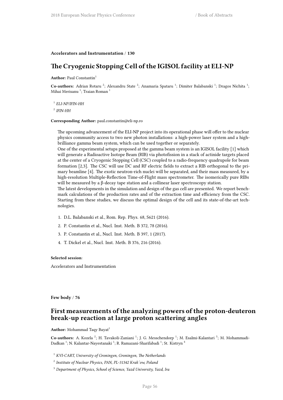### **Accelerators and Instrumentation** / **130**

# **The Cryogenic Stopping Cell of the IGISOL facility at ELI-NP**

**Author:** Paul Constantin<sup>1</sup>

Co-authors: Adrian Rotaru<sup>2</sup>; Alexandru State<sup>2</sup>; Anamaria Spataru<sup>1</sup>; Dimiter Balabanski<sup>1</sup>; Dragos Nichita<sup>1</sup>; Mihai Merisanu <sup>1</sup>; Traian Roman <sup>1</sup>

1 *ELI-NP/IFIN-HH*

2 *IFIN-HH*

**Corresponding Author:** paul.constantin@eli-np.ro

The upcoming advancement of the ELI-NP project into its operational phase will offer to the nuclear physics community access to two new photon installations: a high-power laser system and a highbrilliance gamma beam system, which can be used together or separately.

One of the experimental setups proposed at the gamma beam system is an IGISOL facility [1] which will generate a Radioactive Isotope Beam (RIB) via photofission in a stack of actinide targets placed at the center of a Cryogenic Stopping Cell (CSC) coupled to a radio-frequency quadrupole for beam formation [2,3]. The CSC will use DC and RF electric fields to extract a RIB orthogonal to the primary beamline [4]. The exotic neutron-rich nuclei will be separated, and their mass measured, by a high-resolution Multiple-Reflection Time-of-Flight mass spectrometer. The isomerically pure RIBs will be measured by a β-decay tape station and a collinear laser spectroscopy station.

The latest developments in the simulation and design of the gas cell are presented. We report benchmark calculations of the production rates and of the extraction time and efficiency from the CSC. Starting from these studies, we discuss the optimal design of the cell and its state-of-the-art technologies.

- 1. D.L. Balabanski et al., Rom. Rep. Phys. 68, S621 (2016).
- 2. P. Constantin et al., Nucl. Inst. Meth. B 372, 78 (2016).
- 3. P. Constantin et al., Nucl. Inst. Meth. B 397, 1 (2017).
- 4. T. Dickel et al., Nucl. Inst. Meth. B 376, 216 (2016).

### **Selected session**:

Accelerators and Instrumentation

**Few body** / **76**

# **First measurements of the analyzing powers of the proton-deuteron break-up reaction at large proton scattering angles**

**Author:** Mohammad Taqy Bayat<sup>1</sup>

Co-authors: A. Kozela<sup>2</sup>; H. Tavakoli-Zaniani<sup>1</sup>; J. G. Messchendorp<sup>1</sup>; M. Esalmi-Kalantari<sup>3</sup>; M. Mohammadi-Dadkan <sup>1</sup>; N. Kalantar-Nayestanaki <sup>1</sup>; R. Ramazani-Sharifabadi <sup>1</sup>; St. Kistryn <sup>4</sup>

- <sup>1</sup> *KVI-CART, University of Groningen, Groningen, The Netherlands*
- 2 *Institute of Nuclear Physics, PAN, PL-31342 Krak´ow, Poland*
- <sup>3</sup> *Department of Physics, School of Science, Yazd University, Yazd, Ira*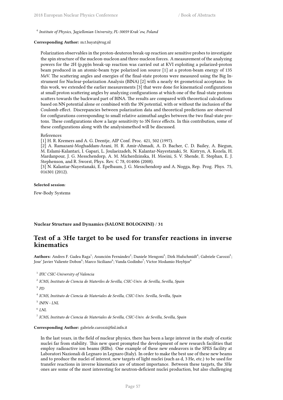4 *Institute of Physics, Jagiellonian University, PL-30059 Krak´ow, Poland*

#### **Corresponding Author:** m.t.bayat@rug.nl

Polarization observables in the proton-deuteron break-up reaction are sensitive probes to investigate the spin structure of the nucleon-nucleon and three-nucleon forces. A measurement of the analyzing powers for the 2H (p,pp)n break-up reaction was carried out at KVI exploiting a polarized-proton beam produced in an atomic-beam type polarized ion source [1] at a proton-beam energy of 135 MeV. The scattering angles and energies of the final-state protons were measured using the Big Instrument for Nuclear-polarization Analysis (BINA) [2] with a nearly 4π geometrical acceptance. In this work, we extended the earlier measurements [3] that were done for kinematical configurations at small proton scattering angles by analyzing configurations at which one of the final-state protons scatters towards the backward part of BINA. The results are compared with theoretical calculations based on NN potential alone or combined with the 3N potential, with or without the inclusion of the Coulomb effect. Discrepancies between polarization data and theoretical predictions are observed for configurations corresponding to small relative azimuthal angles between the two final-state protons. These configurations show a large sensitivity to 3N force effects. In this contribution, some of these configurations along with the analysismethod will be discussed.

#### References

[1] H. R. Kremers and A. G. Drentje, AIP Conf. Proc. 421, 502 (1997).

[2] A. Ramazani-Moghaddam-Arani, H. R. Amir-Ahmadi, A. D. Bacher, C. D. Bailey, A. Biegun, M. Eslami-Kalantari, I. Gapari, L. Joulaeizadeh, N. Kalantar-Nayestanaki, St. Kistryn, A. Kozela, H. Mardanpour, J. G. Messchendorp, A. M. Micherdzinska, H. Moeini, S. V. Shende, E. Stephan, E. J. Stephenson, and R. Sworst, Phys. Rev. C 78, 014006 (2008).

[3] N. Kalantar-Nayestanaki, E. Epelbaum, J. G. Messchendorp and A. Nogga, Rep. Prog. Phys. 75, 016301 (2012).

#### **Selected session**:

Few-Body Systems

### **Nuclear Structure and Dynamics (SALONE BOLOGNINI)** / **31**

# **Test of a 3He target to be used for transfer reactions in inverse kinematics**

Authors: Andres F. Gadea Raga<sup>1</sup>; Asunción Fernández<sup>2</sup>; Daniele Mengoni<sup>3</sup>; Dirk Hufschmidt<sup>4</sup>; Gabriele Carozzi<sup>5</sup>; Jose' Javier Valiente Dobon $^6$ ; Marco Siciliano $^6$ ; Vanda Godinho $^7$ ; Victor Modamio Hoybjor $^6$ 

- 1 *IFIC CSIC-University of Valencia*
- 2 *ICMS, Instituto de Ciencia de Materiles de Sevilla, CSIC-Univ. de Sevilla, Sevilla, Spain*
- 3 *PD*
- 4 *ICMS, Instituto de Ciencia de Materiales de Sevilla, CSIC-Univ. Sevilla, Sevilla, Spain*
- 5 *INFN LNL*
- 6 *LNL*

7 *ICMS, Instituto de Ciencia de Materiales de Sevilla, CSIC-Univ. de Sevilla, Sevilla, Spain*

#### **Corresponding Author:** gabriele.carozzi@lnl.infn.it

In the last years, in the field of nuclear physics, there has been a large interest in the study of exotic nuclei far from stability. This new quest prompted the development of new research facilities that employ radioactive ion beams (RIBs). One example of these new endeavors is the SPES facility at Laboratori Nazionali di Legnaro in Legnaro (Italy). In order to make the best use of these new beams and to produce the nuclei of interest, new targets of light nuclei (such as d, 3 He, etc.) to be used for transfer reactions in inverse kinematics are of utmost importance. Between these targets, the 3He ones are some of the most interesting for neutron-deficient nuclei production, but also challenging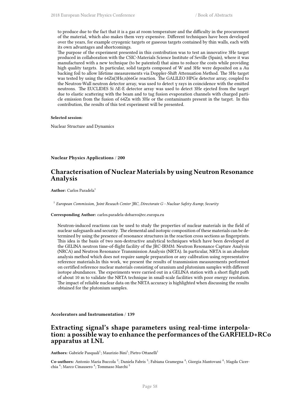to produce due to the fact that it is a gas at room temperature and the difficulty in the procurement of the material, which also makes them very expensive. Different techniques have been developed over the years, for example cryogenic targets or gaseous targets contained by thin walls, each with its own advantages and shortcomings.

The purpose of the experiment presented in this contribution was to test an innovative 3He target produced in collaboration with the CSIC-Materials Science Institute of Seville (Spain), where it was manufactured with a new technique (to be patented) that aims to reduce the costs while providing high quality targets. In particular, solid targets composed of W and 3He were deposited on a Au backing foil to allow lifetime measurements via Doppler-Shift Attenuation Method. The 3He target was tested by using the 64Zn(3He,n)66Ge reaction. The GALILEO HPGe detector array, coupled to the Neutron-Wall neutron detector array, was used to detect γ rays in coincidence with the emitted neutrons. The EUCLIDES Si ∆E-E detector array was used to detect 3He ejected from the target due to elastic scattering with the beam and to tag fusion evaporation channels with charged particle emission from the fusion of 64Zn with 3He or the contaminants present in the target. In this contribution, the results of this test experiment will be presented.

#### **Selected session**:

Nuclear Structure and Dynamics

**Nuclear Physics Applications** / **200**

# **Characterisation of Nuclear Materials by using Neutron Resonance Analysis**

**Author:** Carlos Paradela<sup>1</sup>

<sup>1</sup> European Commission, Joint Reseach Center JRC, Directorate G - Nuclear Safety & amp; Security

**Corresponding Author:** carlos.paradela-dobarro@ec.europa.eu

Neutron-induced reactions can be used to study the properties of nuclear materials in the field of nuclear safeguards and security. The elemental and isotopic composition of these materials can be determined by using the presence of resonance structures in the reaction cross sections as fingerprints. This idea is the basis of two non-destructive analytical techniques which have been developed at the GELINA neutron time-of-flight facility of the JRC-IRMM: Neutron Resonance Capture Analysis (NRCA) and Neutron Resonance Transmission Analysis (NRTA). In particular, NRTA is an absolute analysis method which does not require sample preparation or any calibration using representative reference materials.In this work, we present the results of transmission measurements performed on certified reference nuclear materials consisting of uranium and plutonium samples with different isotope abundances. The experiments were carried out in a GELINA station with a short flight path of about 10 m to validate the NRTA technique in small-scale facilities with poor energy resolution. The impact of reliable nuclear data on the NRTA accuracy is highlighted when discussing the results obtained for the plutonium samples.

**Accelerators and Instrumentation** / **139**

## **Extracting signal's shape parameters using real-time interpolation: a possible way to enhance the performances of the GARFIELD+RCo apparatus at LNL**

Authors: Gabriele Pasquali<sup>1</sup>; Maurizio Bini<sup>1</sup>; Pietro Ottanelli<sup>1</sup>

Co-authors: Antonio Maria Buccola<sup>2</sup>; Daniela Fabris<sup>3</sup>; Fabiana Gramegna<sup>4</sup>; Giorgia Mantovani<sup>4</sup>; Magda Cicerchia <sup>4</sup>; Marco Cinausero <sup>4</sup>; Tommaso Marchi <sup>5</sup>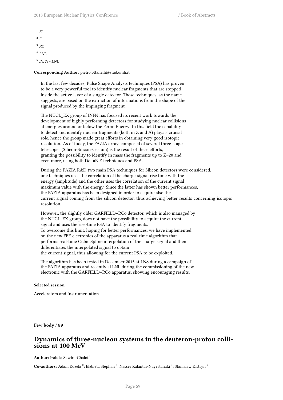1 *FI* 2 *F* 3 *PD* 4 *LNL* 5 *INFN - LNL*

**Corresponding Author:** pietro.ottanelli@stud.unifi.it

In the last few decades, Pulse Shape Analysis techniques (PSA) has proven to be a very powerful tool to identify nuclear fragments that are stopped inside the active layer of a single detector. These techniques, as the name suggests, are based on the extraction of informations from the shape of the signal produced by the impinging fragment.

The NUCL\_EX group of INFN has focused its recent work towards the development of highly performing detectors for studying nuclear collisions at energies around or below the Fermi Energy. In this field the capability to detect and identify nuclear fragments (both in Z and A) plays a crucial role, hence the group made great efforts in obtaining very good isotopic resolution. As of today, the FAZIA array, composed of several three-stage telescopes (Silicon-Silicon-Cesium) is the result of these efforts, granting the possibility to identify in mass the fragments up to Z=20 and even more, using both DeltaE-E techniques and PSA.

During the FAZIA R&D two main PSA techniques for Silicon detectors were considered, one techniques uses the correlation of the charge-signal rise time with the energy (amplitude) and the other uses the correlation of the current signal maximum value with the energy. Since the latter has shown better performances, the FAZIA apparatus has been designed in order to acquire also the current signal coming from the silicon detector, thus achieving better results concerning isotopic resolution.

However, the slightly older GARFIELD+RCo detector, which is also managed by the NUCL\_EX group, does not have the possibility to acquire the current signal and uses the rise-time PSA to identify fragments. To overcome this limit, hoping for better performances, we have implemented on the new FEE electronics of the apparatus a real-time algorithm that performs real-time Cubic Spline interpolation of the charge signal and then differentiates the interpolated signal to obtain the current signal, thus allowing for the current PSA to be exploited.

The algorithm has been tested in December 2015 at LNS during a campaign of the FAZIA apparatus and recently al LNL during the commissioning of the new electronic with the GARFIELD+RCo apparatus, showing encouraging results.

### **Selected session**:

Accelerators and Instrumentation

**Few body** / **89**

### **Dynamics of three-nucleon systems in the deuteron-proton collisions at 100 MeV**

**Author:** Izabela Skwira-Chalot<sup>1</sup>

 $\rm\bf Co\text{-}author:$  Adam Kozela  $^2$ ; Elzbieta Stephan  $^3$ ; Nasser Kalantar-Nayestanaki  $^4$ ; Stanislaw Kistryn  $^5$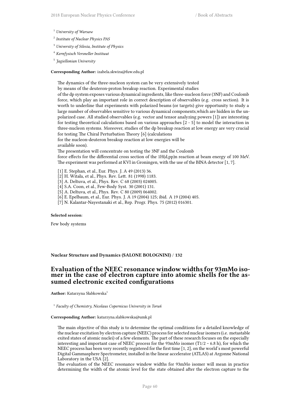- <sup>1</sup> *University of Warsaw*
- 2 *Institute of Nuclear Physics PAS*
- <sup>3</sup> *University of Silesia, Institute of Physics*
- <sup>4</sup> *Kernfysisch Versneller Instituut*
- 5 *Jagiellonian University*

#### **Corresponding Author:** izabela.skwira@fuw.edu.pl

The dynamics of the three-nucleon system can be very extensively tested

by means of the deuteron-proton breakup reaction. Experimental studies

of the dp system exposes various dynamical ingredients, like three-nucleon force (3NF) and Coulomb force, which play an important role in correct description of observables (e.g. cross section). It is worth to underline that experiments with polarized beams (or targets) give opportunity to study a large number of observables sensitive to various dynamical components,which are hidden in the unpolarized case. All studied observables (e.g. vector and tensor analyzing powers [1]) are interesting for testing theoretical calculations based on various approaches [2 - 5] to model the interaction in three-nucleon systems. Moreover, studies of the dp breakup reaction at low energy are very crucial for testing The Chiral Perturbation Theory [6] (calculations

for the nucleon-deuteron breakup reaction at low energies will be available soon).

The presentation will concentrate on testing the 3NF and the Coulomb

force effects for the differential cross section of the 1H(d,pp)n reaction at beam energy of 100 MeV. The experiment was performed at KVI in Groningen, with the use of the BINA detector [1, 7].

- [1] E. Stephan, et al., Eur. Phys. J. A 49 (2013) 36.
- [2] H. Witała, et al., Phys. Rev. Lett. 81 (1998) 1183.
- [3] A. Deltuva, et al., Phys. Rev. C 68 (2003) 024005.
- [4] S.A. Coon, et al., Few-Body Syst. 30 (2001) 131.
- [5] A. Deltuva, et al., Phys. Rev. C 80 (2009) 064002.
- [6] E. Epelbaum, et al., Eur. Phys. J. A 19 (2004) 125; ibid. A 19 (2004) 405.
- [7] N. Kalantar-Nayestanaki et al., Rep. Progr. Phys. 75 (2012) 016301.

#### **Selected session**:

Few body systems

### **Nuclear Structure and Dynamics (SALONE BOLOGNINI)** / **132**

### **Evaluation of the NEEC resonance window widths for 93mMo isomer in the case of electron capture into atomic shells for the assumed electronic excited configurations**

Author: Katarzyna Słabkowska<sup>1</sup>

1 *Faculty of Chemistry, Nicolaus Copernicus University in Toruń*

#### **Corresponding Author:** katarzyna.slabkowska@umk.pl

The main objective of this study is to determine the optimal conditions for a detailed knowledge of the nuclear excitation by electron capture (NEEC) process for selected nuclear isomers (i.e. metastable exited states of atomic nuclei) of a few elements. The part of these research focuses on the especially interesting and important case of NEEC process for the 93mMo isomer (T1/2  $\sim$  6.8 h), for which the NEEC process has been very recently registered for the first time [1, 2], on the world's most powerful Digital Gammasphere Spectrometer, installed in the linear accelerator (ATLAS) at Argonne National Laboratory in the USA [2].

The evaluation of the NEEC resonance window widths for 93mMo isomer will mean in practice determining the width of the atomic level for the state obtained after the electron capture to the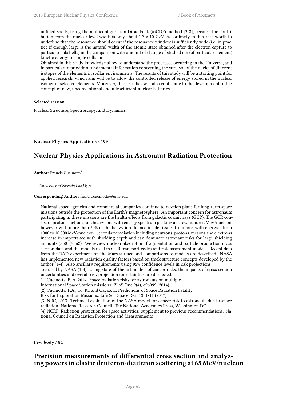unfilled shells, using the multiconfiguration Dirac-Fock (MCDF) method [3-8], because the contribution from the nuclear level width is only about 1.3 x 10-7 eV. Accordingly to this, it is worth to underline that the resonance should occur if the resonance window is sufficiently wide (i.e. in practice if enough large is the natural width of the atomic state obtained after the electron capture to particular subshells) in the comparison with amount of change of studied ion (of particular element) kinetic energy in single collision.

Obtained in this study knowledge allow to understand the processes occurring in the Universe, and in particular to provide a fundamental information concerning the survival of the nuclei of different isotopes of the elements in stellar environments. The results of this study will be a starting point for applied research, which aim will be to allow the controlled release of energy stored in the nuclear isomer of selected elements. Moreover, these studies will also contribute to the development of the concept of new, unconventional and ultraefficient nuclear batteries.

### **Selected session**:

Nuclear Structure, Spectroscopy, and Dynamics

**Nuclear Physics Applications** / **199**

# **Nuclear Physics Applications in Astronaut Radiation Protection**

**Author:** Francis Cucinotta<sup>1</sup>

<sup>1</sup> *University of Nevada Las Vegas*

### **Corresponding Author:** francis.cucinotta@unlv.edu

National space agencies and commercial companies continue to develop plans for long-term space missions outside the protection of the Earth's magnetosphere. An important concern for astronauts participating in these missions are the health effects from galactic cosmic rays (GCR). The GCR consist of protons, helium, and heavy ions with energy spectrum peaking at a few hundred MeV/nucleon, however with more than 50% of the heavy ion fluence inside tissues from ions with energies from 1000 to 10,000 MeV/nucleon. Secondary radiation including neutrons, protons, mesons and electrons increase in importance with shielding depth and can dominate astronaut risks for large shielding amounts (>50 g/cm2). We review nuclear absorption, fragmentation and particle production cross section data and the models used in GCR transport codes and risk assessment models. Recent data from the RAD experiment on the Mars surface and comparisons to models are described. NASA has implemented new radiation quality factors based on track structure concepts developed by the author (1-4). Also ancillary requirements using 95% confidence levels in risk projections

are used by NASA (1-4). Using state-of-the-art models of cancer risks, the impacts of cross section uncertainties and overall risk projection uncertainties are discussed.

(1) Cucinotta, F. A. 2014. Space radiation risks for astronauts on multiple

International Space Station missions. PLoS One 9(4), e96099 (2014).

(2) Cucinotta, F.A., To, K., and Cacao, E. Predictions of Space Radiation Fatality

Risk for Exploration Missions. Life Sci. Space Res. 13, 1-11 (2017).

(3) NRC, 2013. Technical evaluation of the NASA model for cancer risk to astronauts due to space radiation. National Research Council. The National Academies Press, Washington DC.

(4) NCRP. Radiation protection for space activities: supplement to previous recommendations. National Council on Radiation Protection and Measurements

**Few body** / **81**

# **Precision measurements of differential cross section and analyzing powers in elastic deuteron-deuteron scattering at 65 MeV/nucleon**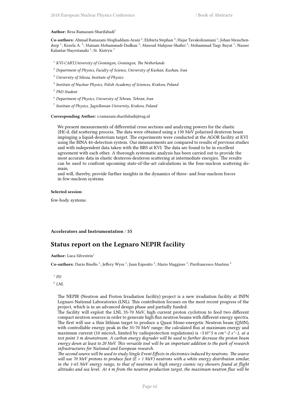#### Author: Reza Ramazani-Sharifabadi<sup>1</sup>

Co-authors: Ahmad Ramazani-Moghaddam-Arani<sup>2</sup>; Elzbieta Stephan<sup>3</sup>; Hajar Tavakolizaniani<sup>1</sup>; Johan Messchendorp <sup>1</sup>; Kozela A. <sup>4</sup>; Maisam Mohammadi-Dadkan <sup>5</sup>; Masoud Mahjour-Shafiei <sup>6</sup>; Mohammad Taqy Bayat <sup>1</sup>; Nasser Kalantar-Nayestanaki <sup>1</sup>; St. Kistryn <sup>7</sup>

- <sup>1</sup> *KVI-CART,University of Groningen, Groningen, The Netherlands*
- <sup>2</sup> *Department of Physics, Faculty of Science, University of Kashan, Kashan, Iran*
- <sup>3</sup> *University of Silesia, Institute of Physics*
- 4 *Institute of Nuclear Physics, Polish Academy of Sciences, Krakow, Poland*
- 5 *PhD Student*
- <sup>6</sup> *Department of Physics, University of Tehran, Tehran, Iran*
- 7 *Institute of Physics, Jagiellonian University, Krakow, Poland*

**Corresponding Author:** r.ramazani.sharifabadi@rug.nl

We present measurements of differential cross sections and analyzing powers for the elastic 2H(~d, d)d scattering process. The data were obtained using a 130 MeV polarized deuteron beam impinging a liquid-deuterium target. The experiments were conducted at the AGOR facility at KVI using the BINA 4π-detection system. Our measurements are compared to results of previous studies and with independent data taken with the BBS at KVI. The data are found to be in excellent agreement with each other. A thorough systematic analysis has been carried out to provide the most accurate data in elastic deuteron-deuteron scattering at intermediate energies. The results can be used to confront upcoming state-of-the-art calculations in the four-nucleon scattering domain,

and will, thereby, provide further insights in the dynamics of three- and four-nucleon forces in few-nucleon systems.

#### **Selected session**:

few-body systems

#### **Accelerators and Instrumentation** / **55**

### **Status report on the Legnaro NEPIR facility**

**Author:** Luca Silvestrin<sup>1</sup>

Co-authors: Dario Bisello<sup>1</sup>; Jeffery Wyss<sup>1</sup>; Juan Esposito<sup>2</sup>; Mario Maggiore<sup>2</sup>; Pierfrancesco Mastinu<sup>2</sup>

1 *PD*

2 *LNL*

The NEPIR (Neutron and Proton Irradiation facility) project is a new irradiation facility at INFN Legnaro National Laboratories (LNL). This contribution focuses on the most recent progress of the project, which is in an advanced design phase and partially funded.

The facility will exploit the LNL 35-70 MeV, high current proton cyclotron to feed two different compact neutron sources in order to generate high flux neutron beams with different energy spectra. The first will use a thin lithium target to produce a Quasi Mono-energetic Neutron beam (QMN), with controllable energy peak in the 35-70 MeV range; the calculated flux at maximum energy and maximum current (10 microA, limited by radioprotection regulations) is ~3*10^5 n cm^-2 s^-1, at a test point 3 m downstream. A carbon energy degrader will be used to further decrease the proton beam energy down at least to 20 MeV. This versatile tool will be an important addition to the park of research infrastructures for National and European research.*

*The second source will be used to study Single Event Effects in electronics induced by neutrons. The source will use 70 MeV protons to produce fast (E > 1 MeV) neutrons with a white energy distribution similar, in the 1-65 MeV energy range, to that of neutrons in high energy cosmic ray showers found at flight altitudes and sea level. At 4 m from the neutron production target, the maximum neutron flux will be*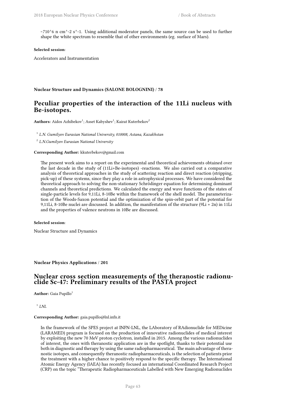*~7*10^6 n cm^-2 s^-1. Using additional moderator panels, the same source can be used to further shape the white spectrum to resemble that of other environments (eg. surface of Mars).

### **Selected session**:

Accelerators and Instrumentation

**Nuclear Structure and Dynamics (SALONE BOLOGNINI)** / **78**

# **Рeculiar properties of the interaction of the 11Li nucleus with Be-isotopes.**

Authors: Aidos Azhibekov<sup>1</sup>; Asset Kabyshev<sup>1</sup>; Kairat Kuterbekov<sup>2</sup>

1 *L.N. Gumilyov Eurasian National University, 010008, Astana, Kazakhstan*

2 *L.N.Gumilyov Eurasian National University*

### **Corresponding Author:** kkuterbekov@gmail.com

The present work aims to a report on the experimental and theoretical achievements obtained over the last decade in the study of (11Li+Be-isotopes) -reactions. We also carried out a comparative analysis of theoretical approaches in the study of scattering reaction and direct reaction (stripping, pick-up) of these systems, since they play a role in astrophysical processes. We have considered the theoretical approach to solving the non-stationary Schrödinger equation for determining dominant channels and theoretical predictions. We calculated the energy and wave functions of the states of single-particle levels for 9,11Li, 8-10Be within the framework of the shell model. The parameterization of the Woods-Saxon potential and the optimization of the spin-orbit part of the potential for 9,11Li, 8-10Be nuclei are discussed. In addition, the manifestation of the structure (9Li + 2n) in 11Li and the properties of valence neutrons in 10Be are discussed.

### **Selected session**:

Nuclear Structure and Dynamics

### **Nuclear Physics Applications** / **201**

### **Nuclear cross section measurements of the theranostic radionuclide Sc-47: Preliminary results of the PASTA project**

**Author:** Gaia Pupillo<sup>1</sup>

1 *LNL*

#### **Corresponding Author:** gaia.pupillo@lnl.infn.it

In the framework of the SPES project at INFN-LNL, the LAboratory of RAdionuclide for MEDicine (LARAMED) program is focused on the production of innovative radionuclides of medical interest by exploiting the new 70 MeV proton cyclotron, installed in 2015. Among the various radionuclides of interest, the ones with theranostic application are in the spotlight, thanks to their potential use both in diagnostic and therapy by using the same radiopharmaceutical. The main advantage of theranostic isotopes, and consequently theranostic radiopharmaceuticals, is the selection of patients prior the treatment with a higher chance to positively respond to the specific therapy. The International Atomic Energy Agency (IAEA) has recently focused an international Coordinated Research Project (CRP) on the topic "Therapeutic Radiopharmaceuticals Labelled with New Emerging Radionuclides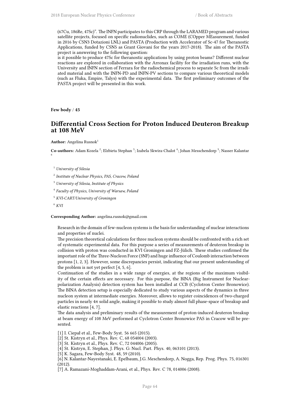(67Cu, 186Re, 47Sc)". The INFN participates to this CRP through the LARAMED program and various satellite projects, focused on specific radionuclides, such as COME (COpper MEasurement, funded in 2016 by CSN3 Dotazioni LNL) and PASTA (Production with Accelerator of Sc-47 for Theranostic Applications, funded by CSN5 as Grant Giovani for the years 2017-2018). The aim of the PASTA project is answering to the following question:

is it possible to produce 47Sc for theranostic applications by using proton beams? Different nuclear reactions are explored in collaboration with the Arronax facility for the irradiation runs, with the University and INFN section of Ferrara for the radiochemical process to separate Sc from the irradiated material and with the INFN-PD and INFN-PV sections to compare various theoretical models (such as Fluka, Empire, Talys) with the experimental data. The first preliminary outcomes of the PASTA project will be presented in this work.

**Few body** / **45**

### **Differential Cross Section for Proton Induced Deuteron Breakup at 108 MeV**

Author: Angelina Rusnok<sup>1</sup>

**Co-authors:** Adam Kozela <sup>2</sup>; Elzbieta Stephan <sup>3</sup>; Izabela Skwira-Chalot <sup>4</sup>; Johan Messchendorp <sup>5</sup>; Nasser Kalantar 6

2 *Institute of Nuclear Physics, PAS, Cracow, Poland*

<sup>3</sup> *University of Silesia, Institute of Physics*

4 *Faculty of Physics, University of Warsaw, Poland*

<sup>5</sup> *KVI-CART/University of Groningen*

**Corresponding Author:** angelina.rusnok@gmail.com

Research in the domain of few-nucleon systems is the basis for understanding of nuclear interactions and properties of nuclei.

The precision theoretical calculations for three nucleon systems should be confronted with a rich set of systematic experimental data. For this purpose a series of measurements of deuteron breakup in collision with proton was conducted in KVI Groningen and FZ-Jülich. These studies confirmed the important role of the Three-Nucleon Force (3NF) and huge influence of Coulomb interaction between protons [1, 2, 3]. However, some discrepancies persist, indicating that our present understanding of the problem is not yet perfect [4, 5, 6].

Continuation of the studies in a wide range of energies, at the regions of the maximum visibility of the certain effects are necessary. For this purpose, the BINA (Big Instrument for Nuclearpolarization Analysis) detection system has been installed at CCB (Cyclotron Center Bronowice). The BINA detection setup is especially dedicated to study various aspects of the dynamics in three nucleon system at intermediate energies. Moreover, allows to register coincidences of two-charged particles in nearly 4π solid angle, making it possible to study almost full phase-space of breakup and elastic reactions [4, 7].

The data analysis and preliminary results of the measurement of proton-induced deuteron breakup at beam energy of 108 MeV performed at Cyclotron Center Bronowice PAS in Cracow will be presented.

[1] I. Ciepał et al., Few-Body Syst. 56 665 (2015).

[2] St. Kistryn et al., Phys. Rev. C, 68 054004 (2003).

[3] St. Kistryn et al., Phys. Rev. C, 72 044006 (2005).

[4] St. Kistryn, E. Stephan, J. Phys. G: Nucl. Part. Phys. 40, 063101 (2013).

[5] K. Sagara, Few-Body Syst. 48, 59 (2010).

[6] N. Kalantar-Nayestanaki, E. Epelbaum, J.G. Meschendorp, A. Nogga, Rep. Prog. Phys. 75, 016301 (2012).

[7] A. Ramazani-Moghaddam-Arani, et al., Phys. Rev. C 78, 014006 (2008).

<sup>1</sup> *University of Silesia*

<sup>6</sup> *KVI*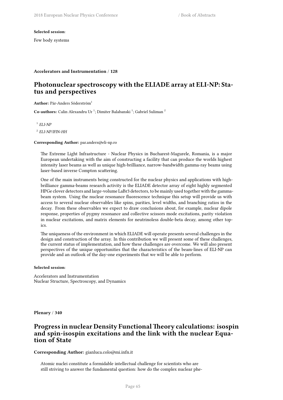### **Selected session**:

Few body systems

### **Accelerators and Instrumentation** / **128**

### **Photonuclear spectroscopy with the ELIADE array at ELI-NP: Status and perspectives**

Author: Pär-Anders Söderström<sup>1</sup>

Co-authors: Calin Alexandru Ur<sup>1</sup>; Dimiter Balabanski<sup>1</sup>; Gabriel Suliman<sup>2</sup>

1 *ELI-NP*

2 *ELI-NP/IFIN-HH*

### **Corresponding Author:** par.anders@eli-np.ro

The Extreme Light Infrastructure - Nuclear Physics in Bucharest-Magurele, Romania, is a major European undertaking with the aim of constructing a facility that can produce the worlds highest intensity laser beams as well as unique high-brilliance, narrow-bandwidth gamma-ray beams using laser-based inverse Compton scattering.

One of the main instruments being constructed for the nuclear physics and applications with highbrilliance gamma-beams research activity is the ELIADE detector array of eight highly segmented HPGe clover detectors and large-volume LaBr3 detectors, to be mainly used together with the gammabeam system. Using the nuclear resonance fluorescence technique this setup will provide us with access to several nuclear observables like spins, parities, level widths, and branching ratios in the decay. From these observables we expect to draw conclusions about, for example, nuclear dipole response, properties of pygmy resonance and collective scissors mode excitations, parity violation in nuclear excitations, and matrix elements for neutrinoless double-beta decay, among other topics.

The uniqueness of the environment in which ELIADE will operate presents several challenges in the design and construction of the array. In this contribution we will present some of these challenges, the current status of implementation, and how these challenges are overcome. We will also present perspectives of the unique opportunities that the characteristics of the beam-lines of ELI-NP can provide and an outlook of the day-one experiments that we will be able to perform.

### **Selected session**:

Accelerators and Instrumentation Nuclear Structure, Spectroscopy, and Dynamics

**Plenary** / **340**

### **Progress in nuclear Density FunctionalTheory calculations: isospin and spin-isospin excitations and the link with the nuclear Equation of State**

### **Corresponding Author:** gianluca.colo@mi.infn.it

Atomic nuclei constitute a formidable intellectual challenge for scientists who are still striving to answer the fundamental question: how do the complex nuclear phe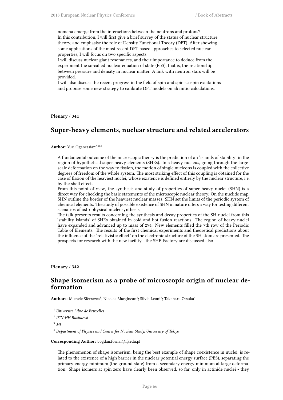nomena emerge from the interactions between the neutrons and protons? In this contribution, I will first give a brief survey of the status of nuclear structure theory, and emphasise the role of Density Functional Theory (DFT). After showing some applications of the most recent DFT-based approaches to selected nuclear properties, I will focus on two specific aspects.

I will discuss nuclear giant resonances, and their importance to deduce from the experiment the so-called nuclear equation of state (EoS), that is, the relationship between pressure and density in nuclear matter. A link with neutron stars will be provided.

I will also discuss the recent progress in the field of spin and spin-isospin excitations and propose some new strategy to calibrate DFT models on ab initio calculations.

**Plenary** / **341**

### **Super-heavy elements, nuclear structure and related accelerators**

#### **Author:** Yuri Oganessian<sup>None</sup>

A fundamental outcome of the microscopic theory is the prediction of an 'islands of stability' in the region of hypothetical super heavy elements (SHEs). In a heavy nucleus, going through the largescale deformation on the way to fission, the motion of single nucleons is coupled with the collective degrees of freedom of the whole system. The most striking effect of this coupling is obtained for the case of fission of the heaviest nuclei, whose existence is defined entirely by the nuclear structure, i.e. by the shell effect.

From this point of view, the synthesis and study of properties of super heavy nuclei (SHN) is a direct way for checking the basic statements of the microscopic nuclear theory. On the nuclide map, SHN outline the border of the heaviest nuclear masses. SHN set the limits of the periodic system of chemical elements. The study of possible existence of SHN in nature offers a way for testing different scenarios of astrophysical nucleosynthesis.

The talk presents results concerning the synthesis and decay properties of the SH-nuclei from this 'stability islands' of SHEs obtained in cold and hot fusion reactions. The region of heavy nuclei have expanded and advanced up to mass of 294. New elements filled the 7th row of the Periodic Table of Elements. The results of the first chemical experiments and theoretical predictions about the influence of the "relativistic effect" on the electronic structure of the SH atom are presented. The prospects for research with the new facility - the SHE-Factory are discussed also

**Plenary** / **342**

### **Shape isomerism as a probe of microscopic origin of nuclear deformation**

 ${\bf Authors:}$  Michele Sferrazza $^1;$  Nicolae Marginean $^2;$  Silvia Leoni $^3;$  Takaharu Otsuka $^4$ 

- <sup>1</sup> *Université Libre de Bruxelles*
- 2 *IFIN-HH Bucharest*

<sup>3</sup> *MI*

<sup>4</sup> *Department of Physics and Center for Nuclear Study, University of Tokyo*

### **Corresponding Author:** bogdan.fornal@ifj.edu.pl

The phenomenon of shape isomerism, being the best example of shape coexistence in nuclei, is related to the existence of a high barrier in the nuclear potential energy surface (PES), separating the primary energy minimum (the ground state) from a secondary energy minimum at large deformation. Shape isomers at spin zero have clearly been observed, so far, only in actinide nuclei - they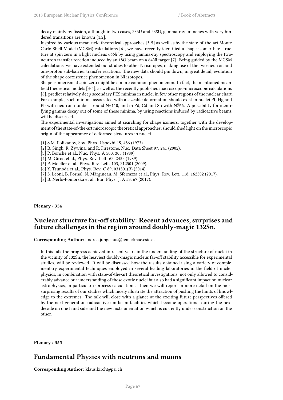decay mainly by fission, although in two cases, 236U and 238U, gamma-ray branches with very hindered transitions are known [1,2].

Inspired by various mean-field theoretical approaches [3-5] as well as by the state-of-the-art Monte Carlo Shell Model (MCSM) calculations [6], we have recently identified a shape-isomer-like structure at spin zero in a light nucleus 66Ni by using gamma-ray spectroscopy and employing the twoneutron transfer reaction induced by an 18O beam on a 64Ni target [7]. Being guided by the MCSM calculations, we have extended our studies to other Ni isotopes, making use of the two-neutron and one-proton sub-barrier transfer reactions. The new data should pin down, in great detail, evolution of the shape coexistence phenomenon in Ni isotopes.

Shape isomerism at spin zero might be a more common phenomenon. In fact, the mentioned meanfield theoretical models [3-5], as well as the recently published macroscopic-microscopic calculations [8], predict relatively deep secondary PES minima in nuclei in few other regions of the nuclear chart. For example, such minima associated with a sizeable deformation should exist in nuclei Pt, Hg and Pb with neutron number around  $N=110$ , and in Pd, Cd and Sn with  $N\%$ 66. A possibility for identifying gamma decay out of some of these minima, by using reactions induced by radioactive beams, will be discussed.

The experimental investigations aimed at searching for shape isomers, together with the development of the state-of-the-art microscopic theoretical approaches, should shed light on the microscopic origin of the appearance of deformed structures in nuclei.

- [1] S.M. Polikanov, Sov. Phys. Uspekhi 15, 486 (1973).
- [2] B. Singh, R. Zywina, and R. Firestone, Nuc. Data Sheet 97, 241 (2002).
- [3] P. Bonche et al., Nuc. Phys. A 500, 308 (1989).
- [4] M. Girod et al., Phys. Rev. Lett. 62, 2452 (1989).
- [5] P. Moeller et al., Phys. Rev. Lett. 103, 212501 (2009).
- [6] Y. Tsunoda et al., Phys. Rev. C 89, 031301(R) (2014).
- [7] S. Leoni, B. Fornal, N. Mărginean, M. Sferrazza et al., Phys. Rev. Lett. 118, 162502 (2017).
- [8] B. Nerlo-Pomorska et al., Eur. Phys. J. A 53, 67 (2017).

**Plenary** / **354**

# **Nuclear structure far-off stability: Recent advances, surprises and future challenges in the region around doubly-magic 132Sn.**

**Corresponding Author:** andrea.jungclaus@iem.cfmac.csic.es

In this talk the progress achieved in recent years in the understanding of the structure of nuclei in the vicinity of 132Sn, the heaviest doubly-magic nucleus far-off stability accessible for experimental studies, will be reviewed. It will be discussed how the results obtained using a variety of complementary experimental techniques employed in several leading laboratories in the field of nucler physics, in combination with state-of-the-art theoretical investigations, not only allowed to considerably advance our understanding of these exotic nuclei but also had a significant impact on nuclear astrophysics, in particular r-process calculations. Then we will report in more detail on the most surprising results of our studies which nicely illustrate the attraction of pushing the limits of knowledge to the extremes. The talk will close with a glance at the exciting future perspectives offered by the next-generation radioactive ion beam facilities which become operational during the next decade on one hand side and the new instrumentation which is currently under construction on the other.

**Plenary** / **355**

### **Fundamental Physics with neutrons and muons**

**Corresponding Author:** klaus.kirch@psi.ch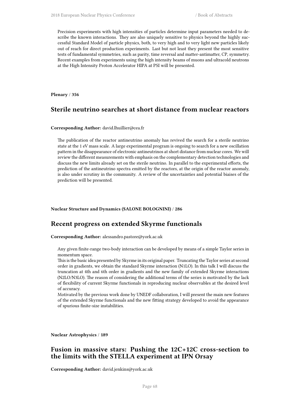Precision experiments with high intensities of particles determine input parameters needed to describe the known interactions. They are also uniquely sensitive to physics beyond the highly successful Standard Model of particle physics, both, to very high and to very light new particles likely out of reach for direct production experiments. Last but not least they present the most sensitive tests of fundamental symmetries, such as parity, time reversal and matter-antimatter, CP, symmetry. Recent examples from experiments using the high intensity beams of muons and ultracold neutrons at the High Intensity Proton Accelerator HIPA at PSI will be presented.

**Plenary** / **356**

# **Sterile neutrino searches at short distance from nuclear reactors**

### **Corresponding Author:** david.lhuillier@cea.fr

The publication of the reactor antineutrino anomaly has revived the search for a sterile neutrino state at the 1 eV mass scale. A large experimental program is ongoing to search for a new oscillation pattern in the disappearance of electronic antineutrinos at short distance from nuclear cores. We will review the different measurements with emphasis on the complementary detection technologies and discuss the new limits already set on the sterile neutrino. In parallel to the experimental efforts, the prediction of the antineutrino spectra emitted by the reactors, at the origin of the reactor anomaly, is also under scrutiny in the community. A review of the uncertainties and potential biaises of the prediction will be presented.

#### **Nuclear Structure and Dynamics (SALONE BOLOGNINI)** / **286**

### **Recent progress on extended Skyrme functionals**

**Corresponding Author:** alessandro.pastore@york.ac.uk

Any given finite-range two-body interaction can be developed by means of a simple Taylor series in momentum space.

This is the basic idea presented by Skyrme in its original paper. Truncating the Taylor series at second order in gradients, we obtain the standard Skyrme interaction (N1LO). In this talk I will discuss the truncation at 4th and 6th order in gradients and the new family of extended Skyrme interactions (N2LO/N3LO). The reason of considering the additional terms of the series is motivated by the lack of flexibility of current Skyrme functionals in reproducing nuclear observables at the desired level of accuracy.

Motivated by the previous work done by UNEDF collaboration, I will present the main new features of the extended Skyrme functionals and the new fitting strategy developed to avoid the appearance of spurious finite-size instabilities.

**Nuclear Astrophysics** / **189**

# **Fusion in massive stars: Pushing the 12C+12C cross-section to the limits with the STELLA experiment at IPN Orsay**

**Corresponding Author:** david.jenkins@york.ac.uk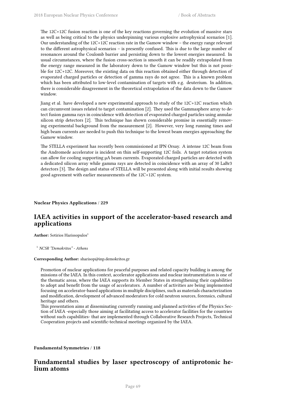The 12C+12C fusion reaction is one of the key reactions governing the evolution of massive stars as well as being critical to the physics underpinning various explosive astrophysical scenarios [1]. Our understanding of the 12C+12C reaction rate in the Gamow window – the energy range relevant to the different astrophysical scenarios – is presently confused. This is due to the large number of resonances around the Coulomb barrier and persisting down to the lowest energies measured. In usual circumstances, where the fusion cross-section is smooth it can be readily extrapolated from the energy range measured in the laboratory down to the Gamow window but this is not possible for 12C+12C. Moreover, the existing data on this reaction obtained either through detection of evaporated charged particles or detection of gamma rays do not agree. This is a known problem which has been attributed to low-level contamination of targets with e.g. deuterium. In addition, there is considerable disagreement in the theoretical extrapolation of the data down to the Gamow window.

Jiang et al. have developed a new experimental approach to study of the 12C+12C reaction which can circumvent issues related to target contamination [2]. They used the Gammasphere array to detect fusion gamma rays in coincidence with detection of evaporated charged particles using annular silicon strip detectors [2]. This technique has shown considerable promise in essentially removing experimental background from the measurement [2]. However, very long running times and high beam currents are needed to push this technique to the lowest beam energies approaching the Gamow window.

The STELLA experiment has recently been commissioned at IPN Orsay. A intense 12C beam from the Andromede accelerator is incident on thin self-supporting 12C foils. A target rotation system can allow for cooling supporting μA beam currents. Evaporated charged particles are detected with a dedicated silicon array while gamma rays are detected in coincidence with an array of 30 LaBr3 detectors [3]. The design and status of STELLA will be presented along with initial results showing good agreement with earlier measurements of the 12C+12C system.

**Nuclear Physics Applications** / **229**

# **IAEA activities in support of the accelerator-based research and applications**

Author: Sotirios Harissopulos<sup>1</sup>

<sup>1</sup> *NCSR "Demokritos" - Athens*

#### **Corresponding Author:** sharisop@inp.demokritos.gr

Promotion of nuclear applications for peaceful purposes and related capacity building is among the missions of the IAEA. In this context, accelerator applications and nuclear instrumentation is one of the thematic areas, where the IAEA supports its Member States in strengthening their capabilities to adopt and benefit from the usage of accelerators. A number of activities are being implemented focusing on accelerator-based applications in multiple disciplines, such as materials characterization and modification, development of advanced moderators for cold neutron sources, forensics, cultural heritage and others.

This presentation aims at disseminating currently running and planned activities of the Physics Section of IAEA -especially those aiming at facilitating access to accelerator facilities for the countries without such capabilities- that are implemented through Collaborative Research Projects, Technical Cooperation projects and scientific-technical meetings organized by the IAEA.

**Fundamental Symmetries** / **118**

# **Fundamental studies by laser spectroscopy of antiprotonic helium atoms**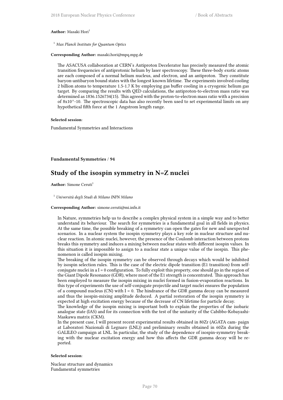#### **Author:** Masaki Hori<sup>1</sup>

<sup>1</sup> *Max Planck Institute for Quantum Optics*

### **Corresponding Author:** masaki.hori@mpq.mpg.de

The ASACUSA collaboration at CERN's Antiproton Decelerator has precisely measured the atomic transition frequencies of antiprotonic helium by laser spectroscopy. These three-body exotic atoms are each composed of a normal helium nucleus, and electron, and an antiproton. They constitute baryon-antibaryon bound states with the longest known lifetime. The experiments involved cooling 2 billion atoms to temperature 1.5-1.7 K by employing gas buffer cooling in a cryogenic helium gas target. By comparing the results with QED calculations, the antiproton-to-electron mass ratio was determined as 1836.1526734(15). This agreed with the proton-to-electron mass ratio with a precision of 8x10^-10. The spectroscopic data has also recently been used to set experimental limits on any hypothetical fifth force at the 1 Angstrom length range.

### **Selected session**:

Fundamental Symmetries and Interactions

### **Fundamental Symmetries** / **94**

# **Study of the isospin symmetry in N=Z nuclei**

**Author:** Simone Ceruti<sup>1</sup>

<sup>1</sup> *Università degli Studi di Milano INFN Milano*

#### **Corresponding Author:** simone.ceruti@mi.infn.it

In Nature, symmetries help us to describe a complex physical system in a simple way and to better understand its behaviour. The search for symmetries is a fundamental goal in all fields in physics. At the same time, the possible breaking of a symmetry can open the gates for new and unexpected scenarios. In a nuclear system the isospin symmetry plays a key role in nuclear structure and nuclear reaction. In atomic nuclei, however, the presence of the Coulomb interaction between protons breaks this symmetry and induces a mixing between nuclear states with different isospin values. In this situation it is impossible to assign to a nuclear state a unique value of the isospin. This phenomenon is called isospin mixing.

The breaking of the isospin symmetry can be observed through decays which would be inhibited by isospin selection rules. This is the case of the electric dipole transition (E1 transition) from selfconjugate nuclei in a  $I = 0$  configuration. To fully exploit this property, one should go in the region of the Giant Dipole Resonance (GDR), where most of the E1 strength is concentrated. This approach has been employed to measure the isospin mixing in nuclei formed in fusion-evaporation reactions. In this type of experiments the use of self-conjugate projectile and target nuclei ensures the population of a compound nucleus (CN) with  $I = 0$ . The hindrance of the GDR gamma decay can be measured and thus the isospin-mixing amplitude deduced. A partial restoration of the isospin symmetry is expected at high excitation energy because of the decrease of CN lifetime for particle decay.

The knowledge of the isospin mixing is important both to explain the properties of the isobaric analogue state (IAS) and for its connection with the test of the unitarity of the Cabibbo-Kobayashi-Maskawa matrix (CKM).

In the present case, I will present recent experimental results obtained in 80Zr (AGATA cam- paign at Laboratori Nazionali di Legnaro (LNL)) and preliminary results obtained in 60Zn during the GALILEO campaign at LNL. In particular, the study of the dependence of isospin-symmetry breaking with the nuclear excitation energy and how this affects the GDR gamma decay will be reported.

### **Selected session**:

Nuclear structure and dynamics Fundamental symmetries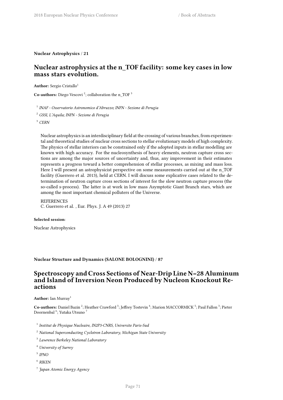**Nuclear Astrophysics** / **21**

# **Nuclear astrophysics at the n\_TOF facility: some key cases in low mass stars evolution.**

**Author:** Sergio Cristallo<sup>1</sup>

**Co-authors:** Diego Vescovi<sup>2</sup>; collaboration the n\_TOF<sup>3</sup>

1 *INAF - Osservatorio Astronomico d'Abruzzo; INFN - Sezione di Perugia*

<sup>2</sup> *GSSI, L'Aquila; INFN - Sezione di Perugia*

<sup>3</sup> *CERN*

Nuclear astrophysics is an interdisciplinary field at the crossing of various branches, from experimental and theoretical studies of nuclear cross sections to stellar evolutionary models of high complexity. The physics of stellar interiors can be constrained only if the adopted inputs in stellar modelling are known with high accuracy. For the nucleosynthesis of heavy elements, neutron capture cross sections are among the major sources of uncertainty and, thus, any improvement in their estimates represents a progress toward a better comprehension of stellar processes, as mixing and mass loss. Here I will present an astrophysicist perspective on some measurements carried out at the n\_TOF facility (Guerrero et al. 2013), held at CERN. I will discuss some explicative cases related to the determination of neutron capture cross sections of interest for the slow neutron capture process (the so-called s-process). The latter is at work in low mass Asymptotic Giant Branch stars, which are among the most important chemical polluters of the Universe.

### **REFERENCES**

C. Guerrero et al. , Eur. Phys. J. A 49 (2013) 27

#### **Selected session**:

Nuclear Astrophysics

**Nuclear Structure and Dynamics (SALONE BOLOGNINI)** / **87**

# **Spectroscopy and Cross Sections of Near-Drip Line N=28 Aluminum and Island of Inversion Neon Produced by Nucleon Knockout Reactions**

### Author: Ian Murray<sup>1</sup>

Co-authors: Daniel Bazin<sup>2</sup>; Heather Crawford<sup>3</sup>; Jeffrey Tostevin<sup>4</sup>; Marion MACCORMICK<sup>5</sup>; Paul Fallon<sup>3</sup>; Pieter Doornenbal  $^6$ ; Yutaka Utsuno  $^7$ 

- 1 *Institut de Physique Nucleaire, IN2P3-CNRS, Universite Paris-Sud*
- <sup>2</sup> *National Superconducting Cyclotron Laboratory, Michigan State University*
- 3 *Lawrence Berkeley National Laboratory*
- <sup>4</sup> *University of Surrey*
- 5 *IPNO*
- 6 *RIKEN*
- 7 *Japan Atomic Energy Agency*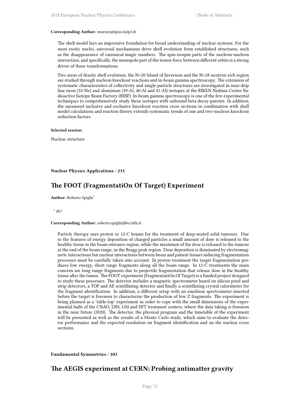### **Corresponding Author:** murray@ipno.in2p3.fr

The shell model lays an impressive foundation for broad understanding of nuclear systems. For the most exotic nuclei, universal mechanisms drive shell evolution from established structures, such as the disappearance of canonical magic numbers. The spin-isospin parts of the nucleon-nucleon interaction, and specifically, the monopole part of the tensor force between different orbits is a strong driver of these transformations.

Two areas of drastic shell evolution, the N=20 Island of Inversion and the N=28 neutron-rich region are studied through nucleon knockout reactions and in-beam gamma spectroscopy. The extension of systematic characteristics of collectivity and single-particle structures are investigated in near-drip line neon (32-Ne) and aluminum (39-Al, 40-Al and 41-Al) isotopes at the RIKEN Nishina Center Radioactive Isotope Beam Factory (RIBF). In-beam gamma spectroscopy is one of the few experimental techniques to comprehensively study these isotopes with unbound beta-decay parents. In addition, the measured inclusive and exclusive knockout reaction cross sections in combination with shell model calculations and reaction theory extends systematic trends of one and two-nucleon knockout reduction factors.

#### **Selected session**:

Nuclear structure

**Nuclear Physics Applications** / **231**

# **The FOOT (FragmentatiOn Of Target) Experiment**

**Author:** Roberto Spighi<sup>1</sup>

1 *BO*

#### **Corresponding Author:** roberto.spighi@bo.infn.it

Particle therapy uses proton or 12-C beams for the treatment of deep-seated solid tumours. Due to the features of energy deposition of charged particles a small amount of dose is released to the healthy tissue in the beam entrance region, while the maximum of the dose is released to the tumour at the end of the beam range, in the Bragg peak region. Dose deposition is dominated by electromagnetic interactions but nuclear interactions between beam and patient tissues inducing fragmentation processes must be carefully taken into account. In proton treatment the target fragmentation produces low energy, short range fragments along all the beam range. In 12-C treatments the main concern are long range fragments due to projectile fragmentation that release dose in the healthy tissue after the tumor. The FOOT experiment (FragmentatiOn Of Target) is a funded project designed to study these processes. The detector includes a magnetic spectrometer based on silicon pixel and strip detectors, a TOF and ΔE scintillating detector and finally a scintillating crystal calorimeter for the fragment identification. In addition, a different setup with an emulsion spectrometer inserted before the target is foreseen to characterize the production of low Z fragments. The experiment is being planned as a 'table-top' experiment in order to cope with the small dimensions of the experimental halls of the CNAO, LNS, GSI and HIT treatment centers, where the data taking is foreseen in the near future (2020). The detector, the physical program and the timetable of the experiment will be presented as well as the results of a Monte Carlo study, which aims to evaluate the detector performance and the expected resolution on fragment identification and on the nuclear cross sections.

**Fundamental Symmetries** / **103**

### **The AEGIS experiment at CERN: Probing antimatter gravity**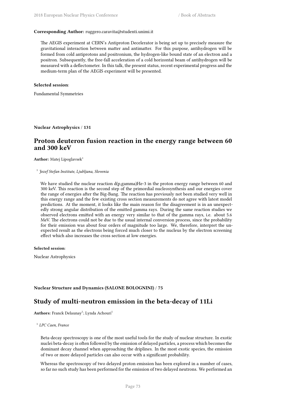### **Corresponding Author:** ruggero.caravita@studenti.unimi.it

The AEGIS experiment at CERN's Antiproton Decelerator is being set up to precisely measure the gravitational interaction between matter and antimatter. For this purpose, antihydrogen will be formed from cold antiprotons and positronium, the hydrogen-like bound state of an electron and a positron. Subsequently, the free-fall acceleration of a cold horizontal beam of antihydrogen will be measured with a deflectometer. In this talk, the present status, recent experimental progress and the medium-term plan of the AEGIS experiment will be presented.

### **Selected session**:

Fundamental Symmetries

**Nuclear Astrophysics** / **131**

### **Proton deuteron fusion reaction in the energy range between 60 and 300 keV**

**Author:** Matej Lipoglavsek<sup>1</sup>

1 *Jozef Stefan Institute, Ljubljana, Slovenia*

We have studied the nuclear reaction d(p,gamma)He-3 in the proton energy range between 60 and 300 keV. This reaction is the second step of the primordial nucleosynthesis and our energies cover the range of energies after the Big-Bang. The reaction has previously not been studied very well in this energy range and the few existing cross section measurements do not agree with latest model predictions. At the moment, it looks like the main reason for the disagreement is in an unexpectedly strong angular distribution of the emitted gamma rays. During the same reaction studies we observed electrons emitted with an energy very similar to that of the gamma rays, i.e. about 5.6 MeV. The electrons could not be due to the usual internal conversion process, since the probability for their emission was about four orders of magnitude too large. We, therefore, interpret the unexpected result as the electrons being forced much closer to the nucleus by the electron screening effect which also increases the cross section at low energies.

### **Selected session**:

Nuclear Astrophysics

### **Nuclear Structure and Dynamics (SALONE BOLOGNINI)** / **75**

### **Study of multi-neutron emission in the beta-decay of 11Li**

Authors: Franck Delaunay<sup>1</sup>; Lynda Achouri<sup>1</sup>

1 *LPC Caen, France*

Beta-decay spectroscopy is one of the most useful tools for the study of nuclear structure. In exotic nuclei beta-decay is often followed by the emission of delayed particles, a process which becomes the dominant decay channel when approaching the driplines. In the most exotic species, the emission of two or more delayed particles can also occur with a significant probability.

Whereas the spectroscopy of two delayed proton emission has been explored in a number of cases, so far no such study has been performed for the emission of two delayed neutrons. We performed an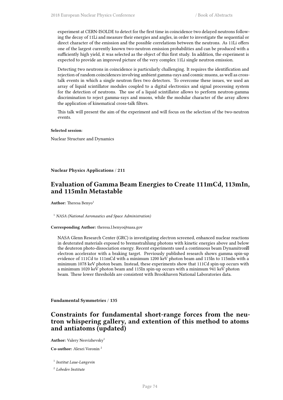experiment at CERN-ISOLDE to detect for the first time in coincidence two delayed neutrons following the decay of 11Li and measure their energies and angles, in order to investigate the sequential or direct character of the emission and the possible correlations between the neutrons. As 11Li offers one of the largest currently known two-neutron emission probabilities and can be produced with a sufficiently high yield, it was selected as the object of this first study. In addition, the experiment is expected to provide an improved picture of the very complex 11Li single neutron emission.

Detecting two neutrons in coincidence is particularly challenging. It requires the identification and rejection of random coincidences involving ambient gamma-rays and cosmic muons, as well as crosstalk events in which a single neutron fires two detectors. To overcome these issues, we used an array of liquid scintillator modules coupled to a digital electronics and signal processing system for the detection of neutrons. The use of a liquid scintillator allows to perform neutron-gamma discrimination to reject gamma-rays and muons, while the modular character of the array allows the application of kinematical cross-talk filters.

This talk will present the aim of the experiment and will focus on the selection of the two-neutron events.

#### **Selected session**:

Nuclear Structure and Dynamics

**Nuclear Physics Applications** / **211**

# **Evaluation of Gamma Beam Energies to Create 111mCd, 113mIn, and 115mIn Metastable**

Author: Theresa Benyo<sup>1</sup>

<sup>1</sup> *NASA (National Aeronautics and Space Administration)*

**Corresponding Author:** theresa.l.benyo@nasa.gov

NASA Glenn Research Center (GRC) is investigating electron screened, enhanced nuclear reactions in deuterated materials exposed to bremsstrahlung photons with kinetic energies above and below the deuteron photo-dissociation energy. Recent experiments used a continuous beam Dynamitron<sup>8</sup> electron accelerator with a braking target. Previously published research shows gamma spin-up evidence of 111Cd to 111mCd with a minimum 1200 keV photon beam and 115In to 115mIn with a minimum 1078 keV photon beam. Instead, these experiments show that 111Cd spin-up occurs with a minimum 1020 keV photon beam and 115In spin-up occurs with a minimum 941 keV photon beam. These lower thresholds are consistent with Brookhaven National Laboratories data.

**Fundamental Symmetries** / **135**

# **Constraints for fundamental short-range forces from the neutron whispering gallery, and extention of this method to atoms and antiatoms (updated)**

**Author:** Valery Nesvizhevsky<sup>1</sup>

**Co-author:** Alexei Voronin <sup>2</sup>

1 *Institut Laue-Langevin*

2 *Lebedev Institute*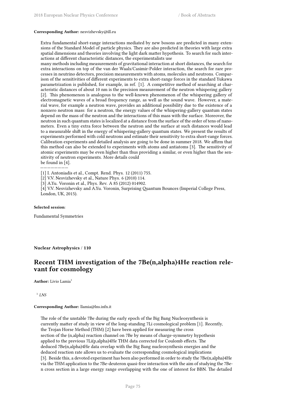### **Corresponding Author:** nesvizhevsky@ill.eu

Extra fundamental short-range interactions mediated by new bosons are predicted in many extensions of the Standard Model of particle physics. They are also predicted in theories with large extra spatial dimensions and theories involving the light dark matter hypothesis. To search for such interactions at different characteristic distances, the experimentalists use

many methods including measurements of gravitational interaction at short distances, the search for extra interactions on top of the van der Waals/Casimir-Polder interaction, the search for rare processes in neutrino detectors, precision measurements with atoms, molecules and neutrons. Comparison of the sensitivities of different experiments to extra short-range forces in the standard Yukawa parametrization is published, for example, in ref. [1]. A competitive method of searching at characteristic distances of about 10 nm is the precision measurement of the neutron whispering gallery [2]. This phenomenon is analogous to the well-known phenomenon of the whispering gallery of electromagnetic waves of a broad frequency range, as well as the sound wave. However, a material wave, for example a neutron wave, provides an additional possibility due to the existence of a nonzero neutron mass: for a neutron, the energy values of the whispering-gallery quantum states depend on the mass of the neutron and the interactions of this mass with the surface. Moreover, the neutron in such quantum states is localized at a distance from the surface of the order of tens of nanometers. Even a tiny extra force between the neutron and the surface at such distances would lead to a measurable shift in the energy of whispering-gallery quantum states. We present the results of experiments performed with cold neutrons and estimate their sensitivity to extra short-range forces. Calibration experiments and detailed analysis are going to be done in summer 2018. We affirm that this method can also be extended to experiments with atoms and antiatoms [3]. The sensitivity of atomic experiments may be even higher than thus providing a similar, or even higher than the sensitivity of neutron experiments. More details could be found in [4].

———————— [1] I. Antoniadis et al., Compt. Rend. Phys. 12 (2011) 755.

- [2] V.V. Nesvizhevsky et al., Nature Phys. 6 (2010) 114.
- [3] A.Yu. Voronin et al., Phys. Rev. A 85 (2012) 014902.

[4] V.V. Nesvizhevsky and A.Yu. Voronin, Surprising Quantum Bounces (Imperial College Press, London, UK, 2015).

### **Selected session**:

Fundamental Symmetries

**Nuclear Astrophysics** / **110**

# **Recent THM investigation of the 7Be(n,alpha)4He reaction relevant for cosmology**

**Author:** Livio Lamia<sup>1</sup>

1 *LNS*

#### **Corresponding Author:** llamia@lns.infn.it

The role of the unstable 7Be during the early epoch of the Big Bang Nucleosynthesis is currently matter of study in view of the long-standing 7Li cosmological problem [1]. Recently, the Trojan Horse Method (THM) [2] have been applied for measuring the cross section of the (n,alpha) reaction channel on 7Be by means of charge-symmetry hypothesis applied to the previous 7Li(p,alpha)4He THM data corrected for Coulomb effects. The deduced 7Be(n,alpha)4He data overlap with the Big Bang nucleosynthesis energies and the deduced reaction rate allows us to evaluate the corresponding cosmological implications [3]. Beside this, a devoted experiment has been also performed in order to study the 7Be(n,alpha)4He via the THM application to the 7Be-deuteron quasi-free interaction with the aim of studying the 7Ben cross section in a large energy range overlapping with the one of interest for BBN. The detailed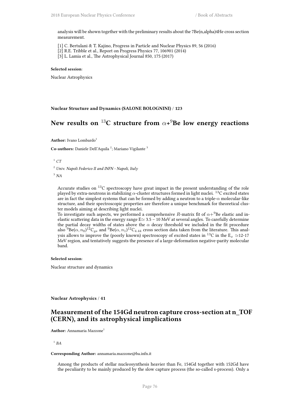analysis will be shown together with the preliminary results about the 7Be(n,alpha)4He cross section measurement.

[1] C. Bertulani & T. Kajino, Progress in Particle and Nuclear Physics 89, 56 (2016)

[2] R.E. Tribble et al., Report on Progress Physics 77, 106901 (2014)

[3] L. Lamia et al., The Astrophysical Journal 850, 175 (2017)

#### **Selected session**:

Nuclear Astrophysics

**Nuclear Structure and Dynamics (SALONE BOLOGNINI)** / **123**

# **New results on** <sup>13</sup>**C structure from** *α***+** <sup>9</sup>**Be low energy reactions**

**Author:** Ivano Lombardo<sup>1</sup>

Co-authors: Daniele Dell'Aquila<sup>2</sup>; Mariano Vigilante<sup>3</sup>

 $^1$   $CT$ 

<sup>2</sup> *Univ. Napoli Federico II and INFN - Napoli, Italy*

<sup>3</sup> *NA*

Accurate studies on <sup>13</sup>C spectroscopy have great impact in the present understanding of the role played by extra-neutrons in stabilizing  $\alpha$ -cluster structures formed in light nuclei. <sup>13</sup>C excited states are in fact the simplest systems that can be formed by adding a neutron to a triple-*α* molecular-like structure, and their spectroscopic properties are therefore a unique benchmark for theoretical cluster models aiming at describing light nuclei.

To investigate such aspects, we performed a comprehensive *R*-matrix fit of  $\alpha$ +<sup>9</sup>Be elastic and inelastic scattering data in the energy range E*≃* 3.5 – 10 MeV at several angles. To carefully determine the partial decay widths of states above the  $\alpha$  decay threshold we included in the fit procedure also  $^{9}$ Be( $\alpha, n_0$ ) $^{12}$ C $_{gs}$  and  $^{9}$ Be( $\alpha, n_1$ ) $^{12}$ C $_{4.44}$  cross section data taken from the literature. This analysis allows to improve the (poorly known) spectroscopy of excited states in <sup>13</sup>C in the  $E_x \approx 12{\text -}17$ MeV region, and tentatively suggests the presence of a large-deformation negative-parity molecular band.

### **Selected session**:

Nuclear structure and dynamics

**Nuclear Astrophysics** / **41**

### **Measurement of the 154Gd neutron capture cross-section at n\_TOF (CERN), and its astrophysical implications**

**Author:** Annamaria Mazzone<sup>1</sup>

1 *BA*

#### **Corresponding Author:** annamaria.mazzone@ba.infn.it

Among the products of stellar nucleosynthesis heavier than Fe, 154Gd together with 152Gd have the peculiarity to be mainly produced by the slow capture process (the so-called s-process). Only a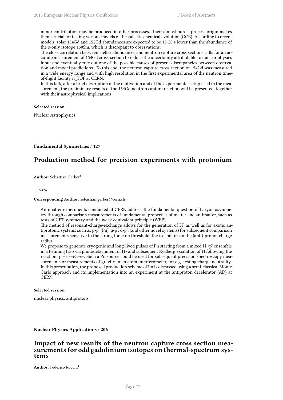minor contribution may be produced in other processes. Their almost pure s-process origin makes them crucial for testing various models of the galactic chemical evolution (GCE). According to recent models, solar 154Gd and 152Gd abundances are expected to be 15-20% lower than the abundance of the s-only isotope 150Sm, which is discrepant to observations.

The close correlation between stellar abundances and neutron capture cross sections calls for an accurate measurement of 154Gd cross-section to reduce the uncertainty attributable to nuclear physics input and eventually rule out one of the possible causes of present discrepancies between observation and model predictions. To this end, the neutron capture cross section of 154Gd was measured in a wide energy range and with high resolution in the first experimental area of the neutron timeof-flight facility n\_TOF at CERN.

In this talk, after a brief description of the motivation and of the experimental setup used in the measurement, the preliminary results of the 154Gd neutron capture reaction will be presented, together with their astrophysical implications.

### **Selected session**:

Nuclear Astrophysics

**Fundamental Symmetries** / **127**

# **Production method for precision experiments with protonium**

**Author:** Sebastian Gerber<sup>1</sup>

<sup>1</sup> *Cern*

### **Corresponding Author:** sebastian.gerber@cern.ch

Antimatter experiments conducted at CERN address the fundamental question of baryon asymmetry through comparison measurements of fundamental properties of matter and antimatter, such as tests of CPT symmetry and the weak equivalent principle (WEP).

The method of resonant-charge-exchange allows for the generation of  $H^-$  as well as for exotic antiprotonic systems such as  $p-\bar{p}$  (Pn),  $\mu-\bar{p}$ , d- $\bar{p}$ , (and other novel systems) for subsequent comparison measurements sensitive to the strong force on threshold, the isospin or on the (anti)-proton charge radius.

We propose to generate cryogenic and long-lived pulses of Pn starting from a mixed  $H-\gamma\bar{P}$  ensemble in a Penning trap via photodetachment of H- and subsequent Rydberg excitation of H following the reaction:  $\bar{p}$  +H->Pn+e-. Such a Pn source could be used for subsequent precision spectroscopy measurements or measurements of gravity in an atom interferometer, for e.g. testing charge neutrality. In this presentation, the proposed production scheme of Pn is discussed using a semi-classical Monte Carlo approach and its implementation into an experiment at the antiproton decelerator (AD) at CERN.

#### **Selected session**:

nuclear physics, antiprotons

**Nuclear Physics Applications** / **206**

### **Impact of new results of the neutron capture cross section measurements for odd gadolinium isotopes on thermal-spectrum systems**

**Author:** Federico Rocchi<sup>1</sup>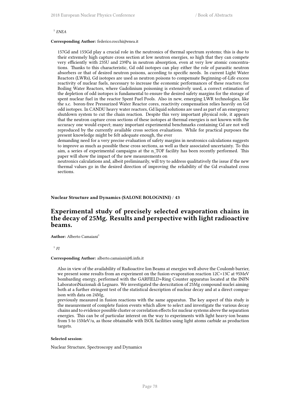### 1 *ENEA*

#### **Corresponding Author:** federico.rocchi@enea.it

157Gd and 155Gd play a crucial role in the neutronics of thermal spectrum systems; this is due to their extremely high capture cross section at low neutron energies, so high that they can compete very efficiently with 235U and 239Pu in neutron absorption, even at very low atomic concentrations. Thanks to this characteristic, Gd odd isotopes can play either the role of parasitic neutron absorbers or that of desired neutron poisons, according to specific needs. In current Light Water Reactors (LWRs), Gd isotopes are used as neutron poisons to compensate Beginning-of-Life excess reactivity of nuclear fuels, necessary to increase the economic performances of these reactors; for Boiling Water Reactors, where Gadolinium poisoning is extensively used, a correct estimation of the depletion of odd isotopes is fundamental to ensure the desired safety margins for the storage of spent nuclear fuel in the reactor Spent Fuel Pools. Also in new, emerging LWR technologies, like the s.c. boron-free Pressurized Water Reactor cores, reactivity compensation relies heavily on Gd odd isotopes. In CANDU heavy water reactors, Gd liquid solutions are used as part of an emergency shutdown system to cut the chain reaction. Despite this very important physical role, it appears that the neutron capture cross sections of these isotopes at thermal energies is not known with the accuracy one would expect; many important experimental benchmarks containing Gd are not well reproduced by the currently available cross section evaluations. While for practical purposes the present knowledge might be felt adequate enough, the ever

demanding need for a very precise evaluation of safety margins in neutronics calculations suggests to improve as much as possible these cross sections, as well as their associated uncertainty. To this aim, a series of experimental campaigns at the n\_TOF facility has been recently performed. This paper will show the impact of the new measurements on

neutronics calculations and, albeit preliminarily, will try to address qualitatively the issue if the new thermal values go in the desired direction of improving the reliability of the Gd evaluated cross sections.

### **Nuclear Structure and Dynamics (SALONE BOLOGNINI)** / **43**

# **Experimental study of precisely selected evaporation chains in the decay of 25Mg. Results and perspective with light radioactive beams.**

**Author:** Alberto Camaiani<sup>1</sup>

1 *FI*

#### **Corresponding Author:** alberto.camaiani@fi.infn.it

Also in view of the availability of Radioactive Ion Beams at energies well above the Coulomb barrier, we present some results from an experiment on the fusion-evaporation reaction 12C+13C at 95MeV bombarding energy, performed with the GARFIELD+Ring Counter apparatus located at the INFN LaboratoriNazionali di Legnaro. We investigated the deexcitation of 25Mg compound nuclei aiming both at a further stringent test of the statistical description of nuclear decay and at a direct comparison with data on 24Mg,

previously measured in fusion reactions with the same apparatus. The key aspect of this study is the measurement of complete fusion events which allow to select and investigate the various decay chains and to evidence possible cluster or correlation effects for nuclear systems above the separation energies. This can be of particular interest on the way to experiments with light heavy-ion beams from 5 to 15MeV/u, as those obtainable with ISOL facilities using light atoms carbide as production targets.

#### **Selected session**:

Nuclear Structure, Spectroscopy and Dynamics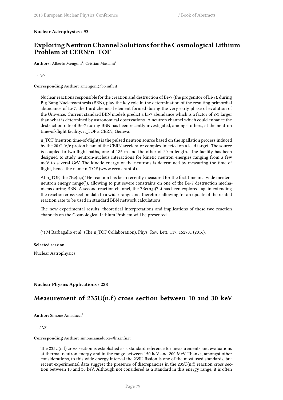**Nuclear Astrophysics** / **93**

# **Exploring Neutron Channel Solutions for the Cosmological Lithium Problem at CERN/n\_TOF**

Authors: Alberto Mengoni<sup>1</sup>; Cristian Massimi<sup>1</sup>

1 *BO*

### **Corresponding Author:** amengoni@bo.infn.it

Nuclear reactions responsible for the creation and destruction of Be-7 (the progenitor of Li-7), during Big Bang Nucleosynthesis (BBN), play the key role in the determination of the resulting primordial abundance of Li-7, the third chemical element formed during the very early phase of evolution of the Universe. Current standard BBN models predict a Li-7 abundance which is a factor of 2-3 larger than what is determined by astronomical observations. A neutron channel which could enhance the destruction rate of Be-7 during BBN has been recently investigated, amongst others, at the neutron time-of-flight facility, n\_TOF a CERN, Geneva.

n\_TOF (neutron time-of-flight) is the pulsed neutron source based on the spallation process induced by the 20 GeV/c proton beam of the CERN accelerator complex injected on a lead target. The source is coupled to two flight paths, one of 185 m and the other of 20 m length. The facility has been designed to study neutron-nucleus interactions for kinetic neutron energies ranging from a few meV to several GeV. The kinetic energy of the neutrons is determined by measuring the time of flight, hence the name n\_TOF (www.cern.ch/ntof).

At n\_TOF, the 7Be(n,a)4He reaction has been recently measured for the first time in a wide incident neutron energy range(\*), allowing to put severe constrains on one of the Be-7 destruction mechanisms during BBN. A second reaction channel, the 7Be(n,p)7Li has been explored, again extending the reaction cross section data to a wider range and, therefore, allowing for an update of the related reaction rate to be used in standard BBN network calculations.

The new experimental results, theoretical interpretations and implications of these two reaction channels on the Cosmological Lithium Problem will be presented.

(\*) M Barbagallo et al. (The n\_TOF Collaboration), Phys. Rev. Lett. 117, 152701 (2016).

**Selected session**:

Nuclear Astrophysics

### **Nuclear Physics Applications** / **228**

### **Measurement of 235U(n,f) cross section between 10 and 30 keV**

**Author:** Simone Amaducci<sup>1</sup>

### 1 *LNS*

#### **Corresponding Author:** simone.amaducci@lns.infn.it

The 235U(n,f) cross section is established as a standard reference for measurements and evaluations at thermal neutron energy and in the range between 150 keV and 200 MeV. Thanks, amongst other considerations, to this wide energy interval the 235U fission is one of the most used standards, but recent experimental data suggest the presence of discrepancies in the 235U(n,f) reaction cross section between 10 and 30 keV. Although not considered as a standard in this energy range, it is often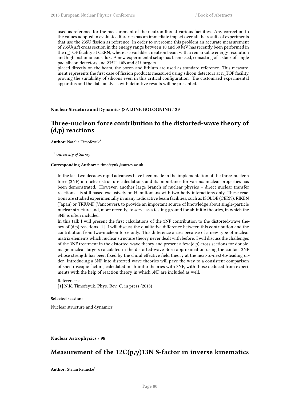used as reference for the measurement of the neutron flux at various facilities. Any correction to the values adopted in evaluated libraries has an immediate impact over all the results of experiments that use the 235U fission as reference. In order to overcome this problem an accurate measurement of 235U(n,f) cross section in the energy range between 10 and 30 keV has recently been performed in the n\_TOF facility at CERN, where is available a neutron beam with a remarkable energy resolution and high instantaneous flux. A new experimental setup has been used, consisting of a stack of single pad silicon detectors and 235U, 10B and 6Li targets

placed directly on the beam, the boron and lithium are used as standard reference. This measurement represents the first case of fission products measured using silicon detectors at n\_TOF facility, proving the suitability of silicons even in this critical configuration. The customized experimental apparatus and the data analysis with definitive results will be presented.

### **Nuclear Structure and Dynamics (SALONE BOLOGNINI)** / **39**

# **Three-nucleon force contribution to the distorted-wave theory of (d,p) reactions**

**Author:** Natalia Timofeyuk<sup>1</sup>

<sup>1</sup> *University of Surrey*

#### **Corresponding Author:** n.timofeyuk@surrey.ac.uk

In the last two decades rapid advances have been made in the implementation of the three-nucleon force (3NF) in nuclear structure calculations and its importance for various nuclear properties has been demonstrated. However, another large branch of nuclear physics – direct nuclear transfer reactions - is still based exclusively on Hamiltonians with two-body interactions only. These reactions are studied experimentally in many radioactive beam facilities, such as ISOLDE (CERN), RIKEN (Japan) or TRIUMF (Vancouver), to provide an important source of knowledge about single-particle nuclear structure and, more recently, to serve as a testing ground for ab-initio theories, in which the 3NF is often included.

In this talk I will present the first calculations of the 3NF contribution to the distorted-wave theory of  $(d,p)$  reactions [1]. I will discuss the qualitative difference between this contribution and the contribution from two-nucleon force only. This difference arises because of a new type of nuclear matrix elements which nuclear structure theory never dealt with before. I will discuss the challenges of the 3NF treatment in the distorted-wave theory and present a few (d,p) cross sections for doublemagic nuclear targets calculated in the distorted-wave Born approximation using the contact 3NF whose strength has been fixed by the chiral effective field theory at the next-to-next-to-leading order. Introducing a 3NF into distorted-wave theories will pave the way to a consistent comparison of spectroscopic factors, calculated in ab-initio theories with 3NF, with those deduced from experiments with the help of reaction theory in which 3NF are included as well.

References: [1] N.K. Timofeyuk, Phys. Rev. C, in press (2018)

### **Selected session**:

Nuclear structure and dynamics

#### **Nuclear Astrophysics** / **98**

# **Measurement of the 12C(p,γ)13N S-factor in inverse kinematics**

**Author:** Stefan Reinicke<sup>1</sup>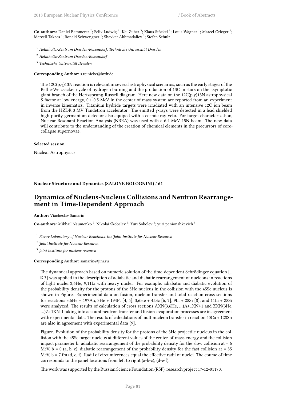Co-authors: Daniel Bemmerer <sup>2</sup>; Felix Ludwig <sup>1</sup>; Kai Zuber <sup>3</sup>; Klaus Stöckel <sup>1</sup>; Louis Wagner <sup>1</sup>; Marcel Grieger <sup>1</sup>; Marcell Takacs  $^1$ ; Ronald Schwengner  $^2$ ; Shavkat Akhmadaliev  $^2$ ; Stefan Schulz  $^1$ 

- <sup>1</sup> *Helmholtz-Zentrum Dresden-Rossendorf, Technische Universität Dresden*
- <sup>2</sup> *Helmholtz-Zentrum Dresden-Rossendorf*
- 3 *Technische Universität Dresden*

**Corresponding Author:** s.reinicke@hzdr.de

The 12C(p, $\gamma$ )13N reaction is relevant in several astrophysical scenarios, such as the early stages of the Bethe-Weizsäcker cycle of hydrogen burning and the production of 13C in stars on the asymptotic giant branch of the Hertzsprung-Russell diagram. Here new data on the 12C(p,γ)13N astrophysical S-factor at low energy, 0.1-0.5 MeV in the center of mass system are reported from an experiment in inverse kinematics. Titanium hydride targets were irradiated with an intensive 12C ion beam from the HZDR 3 MV Tandetron accelerator. The emitted γ-rays were detected in a lead shielded high-purity germanium detector also equiped with a cosmic ray veto. For target characterization, Nuclear Resonant Reaction Analysis (NRRA) was used with a 6.4 MeV 15N beam. The new data will contribute to the understanding of the creation of chemical elements in the precursors of corecollapse supernovae.

#### **Selected session**:

Nuclear Astrophysics

### **Nuclear Structure and Dynamics (SALONE BOLOGNINI)** / **61**

### **Dynamics of Nucleus-Nucleus Collisions and Neutron Rearrangement in Time-Dependent Approach**

**Author:** Viacheslav Samarin<sup>1</sup>

**Co-authors:** Mikhail Naumenko <sup>2</sup>; Nikolai Skobelev <sup>2</sup>; Yuri Sobolev <sup>2</sup>; yuri penionzhkevich <sup>3</sup>

1 *Flerov Laboratory of Nuclear Reactions, the Joint Institute for Nuclear Research*

2 *Joint Institute for Nuclear Research*

3 *joint institute for nuclear research*

#### **Corresponding Author:** samarin@jinr.ru

The dynamical approach based on numeric solution of the time-dependent Schrödinger equation [1 3] was applied to the description of adiabatic and diabatic rearrangement of nucleons in reactions of light nuclei 3,6He, 9,11Li with heavy nuclei. For example, adiabatic and diabatic evolution of the probability density for the protons of the 3He nucleus in the collision with the 45Sc nucleus is shown in Figure. Experimental data on fusion, nucleon transfer and total reaction cross sections for reactions 3,6He + 197Au, 3He + 194Pt [4, 5], 3,6He + 45Sc [6, 7], 9Li + 28Si [8], and 11Li + 28Si were analyzed. The results of calculation of cross sections AXN(3,6He, …)A+1XN+1 and ZXN(3He, …)Z+1XN-1 taking into account neutron transfer and fusion-evaporation processes are in agreement with experimental data. The results of calculations of multinucleon transfer in reaction 40Ca + 128Sn are also in agreement with experimental data [9].

Figure. Evolution of the probability density for the protons of the 3He projectile nucleus in the collision with the 45Sc target nucleus at different values of the center-of-mass energy and the collision impact parameter b: adiabatic rearrangement of the probability density for the slow collision at = 6 MeV,  $b = 0$  (a, b, c), diabatic rearrangement of the probability density for the fast collision at  $= 35$ MeV,  $b = 7$  fm (d, e, f). Radii of circumferences equal the effective radii of nuclei. The course of time corresponds to the panel locations from left to right (a-b-c), (d-e-f).

The work was supported by the Russian Science Foundation (RSF), research project 17-12-01170.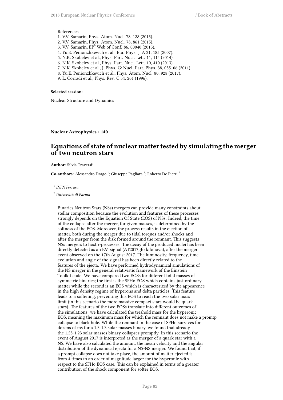#### References

- 1. V.V. Samarin, Phys. Atom. Nucl. 78, 128 (2015).
- 2. V.V. Samarin, Phys. Atom. Nucl. 78, 861 (2015).
- 3. V.V. Samarin, EPJ Web of Conf. 86, 00040 (2015).
- 4. Yu.E. Penionzhkevich et al., Eur. Phys. J. A 31, 185 (2007).
- 5. N.K. Skobelev et al., Phys. Part. Nucl. Lett. 11, 114 (2014).
- 6. N.K. Skobelev et al., Phys. Part. Nucl. Lett. 10, 410 (2013).
- 7. N.K. Skobelev et al., J. Phys. G: Nucl. Part. Phys. 38, 035106 (2011).
- 8. Yu.E. Penionzhkevich et al., Phys. Atom. Nucl. 80, 928 (2017).
- 9. L. Corradi et al., Phys. Rev. C 54, 201 (1996).

### **Selected session**:

Nuclear Structure and Dynamics

**Nuclear Astrophysics** / **140**

# **Equations of state of nuclear matter tested by simulating the merger of two neutron stars**

**Author:** Silvia Traversi<sup>1</sup>

Co-authors: Alessandro Drago<sup>1</sup>; Giuseppe Pagliara<sup>1</sup>; Roberto De Pietri<sup>2</sup>

1 *INFN Ferrara*

<sup>2</sup> *Università di Parma*

Binaries Neutron Stars (NSs) mergers can provide many constraints about stellar composition because the evolution and features of these processes strongly depends on the Equation Of State (EOS) of NSs. Indeed, the time of the collapse after the merger, for given masses, is determined by the softness of the EOS. Moreover, the process results in the ejection of matter, both during the merger due to tidal torques and/or shocks and after the merger from the disk formed around the remnant. This suggests NSs mergers to host r-processes. The decay of the produced nuclei has been directly detected as an EM signal (AT2017gfo kilonova), after the merger event observed on the 17th August 2017. The luminosity, frequency, time evolution and angle of the signal has been directly related to the features of the ejecta. We have performed hydrodynamical simulations of the NS merger in the general relativistic framework of the Einstein Toolkit code. We have compared two EOSs for different total masses of symmetric binaries; the first is the SFHo EOS which contains just ordinary matter while the second is an EOS which is characterized by the appearence in the high density regime of hyperons and delta particles. This feature leads to a softening, preventing this EOS to reach the two solar mass limit (in this scenario the more massive compact stars would be quark stars). The features of the two EOSs translate into different outcomes of the simulations: we have calculated the treshold mass for the hyperonic EOS, meaning the maximum mass for which the remnant does not make a promtp collapse to black hole. While the remnant in the case of SFHo survives for dozens of ms for a 1.3-1.3 solar masses binary, we found that already the 1.23-1.23 solar masses binary collapses promptly. In this scenario the event of August 2017 is interpreted as the merger of a quark star with a NS. We have also calculated the amount, the mean velocity and the angular distribution of the dynamical ejecta for a NS-NS merger. We found that, if a prompt collapse does not take place, the amount of matter ejected is from 4 times to an order of magnitude larger for the hyperonic with respect to the SFHo EOS case. This can be explained in terms of a greater contribution of the shock component for softer EOS.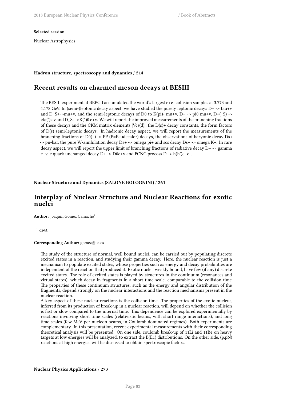**Selected session**:

Nuclear Astrophysics

### **Hadron structure, spectroscopy and dynamics** / **214**

# **Recent results on charmed meson decays at BESIII**

The BESIII experiment at BEPCII accumulated the world's largest e+e- collision samples at 3.773 and 4.178 GeV. In (semi-)leptonic decay aspect, we have studied the purely leptonic decays  $D+ \rightarrow \text{tau+v}$ and D\_S+->mu+v, and the semi-leptonic decays of D0 to K(pi)- mu+v, D+ -> pi0 mu+v, D+(\_S) -> eta(') ev and D\_S+->K(\*)0 e+v. We will report the improved measurements of the branching fractions of these decays and the CKM matrix elements |Vcs(d)|, the D(s)+ decay constants, the form factors of D(s) semi-leptonic decays. In hadronic decay aspect, we will report the measurements of the branching fractions of  $D0(+)$  -> PP (P=Peudecalor) decays, the observations of baryonic decay Ds+ -> pn-bar, the pure W-annhilation decay Ds+ -> omega pi+ and scs decay Ds+ -> omega K+. In rare decay aspect, we will report the upper limit of branching fractions of radiative decay D+ -> gamma e+v, c quark unchanged decay D+ -> D0e+v and FCNC process D -> h(h')e+e-.

**Nuclear Structure and Dynamics (SALONE BOLOGNINI)** / **261**

# **Interplay of Nuclear Structure and Nuclear Reactions for exotic nuclei**

**Author:** Joaquin Gomez Camacho<sup>1</sup>

<sup>1</sup> *CNA*

### **Corresponding Author:** gomez@us.es

The study of the structure of normal, well bound nuclei, can be carried out by populating discrete excited states in a reaction, and studying their gamma decay. Here, the nuclear reaction is just a mechanism to populate excited states, whose properties such as energy and decay probabilities are independent of the reaction that produced it. Exotic nuclei, weakly bound, have few (if any) discrete excited states. The role of excited states is played by structures in the continuum (resonances and virtual states), which decay in fragments in a short time scale, comparable to the collision time. The properties of these continuum structures, such as the energy and angular distribution of the fragments, depend strongly on the nuclear interactions and the reaction mechanisms present in the nuclear reaction.

A key aspect of these nuclear reactions is the collision time. The properties of the exotic nucleus, inferred from its production of break-up in a nuclear reaction, will depend on whether the collision is fast or slow compared to the internal time. This dependence can be explored experimentally by reactions involving short time scales (relativistic beams, with short range interactions), and long time scales (few MeV per nucleon beams, in Coulomb dominated regimes). Both experiments are complementary. In this presentation, recent experimental measurements with their corresponding theoretical analysis will be presented. On one side, coulomb break-up of 11Li and 11Be on heavy targets at low energies will be analyzed, to extract the  $B(E1)$  distributions. On the other side,  $(p, p)$ reactions at high energies will be discussed to obtain spectroscopic factors.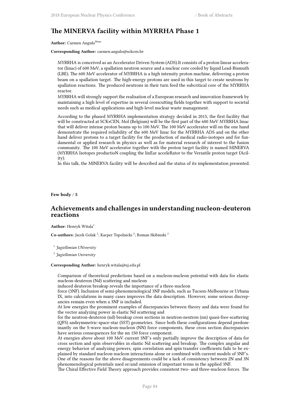# **The MINERVA facility within MYRRHA Phase 1**

**Author:** Carmen Angulo<sup>None</sup>

**Corresponding Author:** carmen.angulo@sckcen.be

MYRRHA is conceived as an Accelerator Driven System (ADS).It consists of a proton linear accelerator (linac) of 600 MeV, a spallation neutron source and a nuclear core cooled by liquid Lead-Bismuth (LBE). The 600 MeV accelerator of MYRRHA is a high intensity proton machine, delivering a proton beam on a spallation target. The high-energy protons are used in this target to create neutrons by spallation reactions. The produced neutrons in their turn feed the subcritical core of the MYRRHA reactor.

MYRRHA will strongly support the realisation of a European research and innovation framework by maintaining a high level of expertise in several crosscutting fields together with support to societal needs such as medical applications and high-level nuclear waste management.

According to the phased MYRRHA implementation strategy decided in 2015, the first facility that will be constructed at SCK•CEN, Mol (Belgium) will be the first part of the 600 MeV MYRRHA linac that will deliver intense proton beams up to 100 MeV. The 100 MeV accelerator will on the one hand demonstrate the required reliability of the 600 MeV linac for the MYRRHA ADS and on the other hand deliver protons to a target facility for the production of medical radio-isotopes and for fundamental or applied research in physics as well as for material research of interest to the fusion community. The 100 MeV accelerator together with the proton target facility is named MINERVA (MYRRHA Isotopes productioN coupling the linEar acceleRator to the Versatile proton target fAcility).

In this talk, the MINERVA facility will be described and the status of its implementation presented.

**Few body** / **5**

# **Achievements and challenges in understanding nucleon-deuteron reactions**

**Author:** Henryk Witala<sup>1</sup>

Co-authors: Jacek Golak<sup>2</sup>; Kacper Topolnicki<sup>2</sup>; Roman Skibinski<sup>2</sup>

1 *Jagiellonian UNiversity*

2 *Jagiellonian University*

### **Corresponding Author:** henryk.witala@uj.edu.pl

Comparison of theoretical predictions based on a nucleon-nucleon potential with data for elastic nucleon-deuteron (Nd) scattering and nucleon

induced deuteron breakup reveals the importance of a three-nucleon

force (3NF). Inclusion of semi-phenomenological 3NF models, such as Tucson-Melbourne or Urbana IX, into calculations in many cases improves the data description. However, some serious discrepancies remain even when a 3NF is included.

At low energies the prominent examples of discrepancies between theory and data were found for the vector analyzing power in elastic Nd scattering and

for the neutron-deuteron (nd) breakup cross sections in neutron-neutron (nn) quasi-free-scattering (QFS) andsymmetric-space-star (SST) geometries. Since both these configurations depend predominantly on the S-wave nucleon-nucleon (NN) force components, these cross section discrepancies have serious consequences for the nn 1S0 force component.

At energies above about 100 MeV current 3NF's only partially improve the description of data for cross section and spin observables in elastic Nd scattering and breakup. The complex angular and energy behavior of analyzing powers, spin correlation and spin transfer coefficients fails to be explained by standard nucleon-nucleon interactions alone or combined with current models of 3NF's. One of the reasons for the above disagreements could be a lack of consistency between 2N and 3N phenomenological potentials used or/and omission of important terms in the applied 3NF.

The Chiral Effective Field Theory approach provides consistent two- and three-nucleon forces. The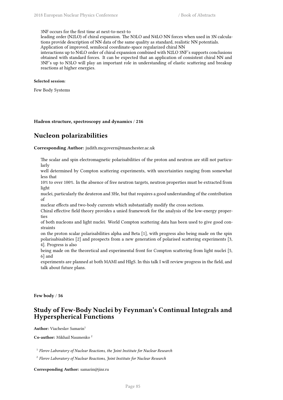3NF occurs for the first time at next-to-next-to

leading order (N2LO) of chiral expansion. The N3LO and N4LO NN forces when used in 3N calculations provide description of NN data of the same quality as standard, realistic NN potentials. Application of improved, semilocal coordinate-space regularized chiral NN

interactions up to N4LO order of chiral expansion combined with N2LO 3NF's supports conclusions obtained with standard forces. It can be expected that an application of consistent chiral NN and 3NF's up to N3LO will play an important role in understanding of elastic scattering and breakup reactions at higher energies.

### **Selected session**:

Few Body Systems

**Hadron structure, spectroscopy and dynamics** / **216**

# **Nucleon polarizabilities**

**Corresponding Author:** judith.mcgovern@manchester.ac.uk

The scalar and spin electromagnetic polarisabilities of the proton and neutron are still not particularly

well determined by Compton scattering experiments, with uncertainties ranging from somewhat less that

10% to over 100%. In the absence of free neutron targets, neutron properties must be extracted from light

nuclei, particularly the deuteron and 3He, but that requires a good understanding of the contribution of

nuclear effects and two-body currents which substantially modify the cross sections.

Chiral effective field theory provides a unied framework for the analysis of the low-energy properties

of both nucleons and light nuclei. World Compton scattering data has been used to give good constraints

on the proton scalar polarisabilities alpha and Beta [1], with progress also being made on the spin polarisabisabities [2] and prospects from a new generation of polarised scattering experiments [3, 4]. Progress is also

being made on the theoretical and experimental front for Compton scattering from light nuclei [5, 6] and

experiments are planned at both MAMI and HIgS. In this talk I will review progress in the field, and talk about future plans.

**Few body** / **56**

# **Study of Few-Body Nuclei by Feynman's Continual Integrals and Hyperspherical Functions**

**Author:** Viacheslav Samarin<sup>1</sup>

**Co-author:** Mikhail Naumenko <sup>2</sup>

1 *Flerov Laboratory of Nuclear Reactions, the Joint Institute for Nuclear Research*

2 *Flerov Laboratory of Nuclear Reactions, Joint Institute for Nuclear Research*

**Corresponding Author:** samarin@jinr.ru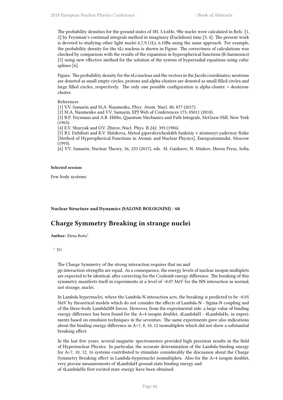The probability densities for the ground states of 3H, 3,4,6He, 9Be nuclei were calculated in Refs. [1, 2] by Feynman's continual integrals method in imaginary (Euclidean) time [3, 4]. The present work is devoted to studying other light nuclei 6,7,9,11Li, 6,10Be using the same approach. For example, the probability density for the 6Li nucleus is shown in Figure. The correctness of calculations was checked by comparison with the results of the expansion in hyperspherical functions (K-harmonics) [5] using new effective method for the solution of the system of hyperradial equations using cubic splines [6].

Figure. The probability density for the 6Li nucleus and the vectors in the Jacobi coordinates; neutrons are denoted as small empty circles, protons and alpha-clusters are denoted as small filled circles and large filled circles, respectively. The only one possible configuration is alpha-cluster + deuteroncluster.

### References

[1] V.V. Samarin and M.A. Naumenko, Phys. Atom. Nucl. 80, 877 (2017).

[2] M.A. Naumenko and V.V. Samarin, EPJ Web of Conferences 173, 05011 (2018).

[3] R.P. Feynman and A.R. Hibbs, Quantum Mechanics and Path Integrals, McGraw-Hill, New York  $(1965)$ 

[4] E.V. Shuryak and O.V. Zhirov, Nucl. Phys. B 242, 393 (1984).

[5] R.I. Dzhibuti and K.V. Shitikova, Metod gipersfericheskikh funktsiy v atomnoyi yadernoy fizike [Method of Hyperspherical Functions in Atomic and Nuclear Physics], Energoatomizdat, Moscow (1993).

[6] V.V. Samarin, Nuclear Theory, 36, 233 (2017), eds. M. Gaidarov, N. Minkov, Heron Press, Sofia.

#### **Selected session**:

Few body systems

**Nuclear Structure and Dynamics (SALONE BOLOGNINI)** / **68**

# **Charge Symmetry Breaking in strange nuclei**

Author: Elena Botta<sup>1</sup>

### 1 *TO*

The Charge Symmetry of the strong interaction requires that nn and

pp interaction strengths are equal. As a consequence, the energy levels of nuclear isospin multiplets are expected to be identical, after correcting for the Coulomb energy difference. The breaking of this symmetry manifests itself in experiments at a level of ~0.07 MeV for the NN interaction in normal, not strange, nuclei.

In Lambda hypernuclei, where the Lambda-N interaction acts, the breaking is predicted to be ~0.05 MeV by theoretical models which do not consider the effects of Lambda-N - Sigma-N coupling and of the three-body LambdaNN forces. However, from the experimental side, a large value of binding energy difference has been found for the A=4 isospin doublet, 4LambdaH - 4LambdaHe, in experiments based on emulsion techniques in the seventies. The same experiments gave also indications about the binding energy difference in A=7, 8, 10, 12 isomultiplets which did not show a substantial breaking effect.

In the last few years, several magnetic spectrometers provided high precision results in the field of Hypernuclear Physics. In particular, the accurate determination of the Lambda-binding energy for A=7, 10, 12, 16 systems contributed to stimulate considerably the discussion about the Charge Symmetry Breaking effect in Lambda-hypernuclei isomultiplets. Also for the A=4 isospin doublet, very precise measurements of 4LambdaH ground state binding energy and of 4LambdaHe first excited state energy have been obtained.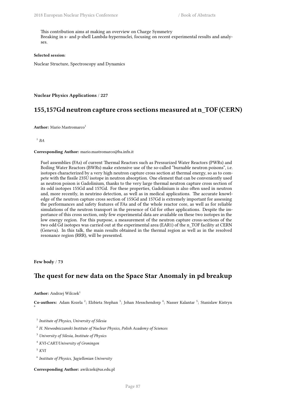This contribution aims at making an overview on Charge Symmetry Breaking in s- and p-shell Lambda-hypernuclei, focusing on recent experimental results and analyses.

### **Selected session**:

Nuclear Structure, Spectroscopy and Dynamics

**Nuclear Physics Applications** / **227**

### **155,157Gd neutron capture cross sections measured at n\_TOF (CERN)**

**Author:** Mario Mastromarco<sup>1</sup>

1 *BA*

#### **Corresponding Author:** mario.mastromarco@ba.infn.it

Fuel assemblies (FAs) of current Thermal Reactors such as Pressurized Water Reactors (PWRs) and Boiling Water Reactors (BWRs) make extensive use of the so-called "burnable neutron poisons", i.e. isotopes characterized by a very high neutron capture cross section at thermal energy, so as to compete with the fissile 235U isotope in neutron absorption. One element that can be conveniently used as neutron poison is Gadolinium, thanks to the very large thermal neutron capture cross section of its odd isotopes 155Gd and 157Gd. For these properties, Gadolinium is also often used in neutron and, more recently, in neutrino detection, as well as in medical applications. The accurate knowledge of the neutron capture cross section of 155Gd and 157Gd is extremely important for assessing the performances and safety features of FAs and of the whole reactor core, as well as for reliable simulations of the neutron transport in the presence of Gd for other applications. Despite the importance of this cross section, only few experimental data are available on these two isotopes in the low energy region. For this purpose, a measurement of the neutron capture cross-sections of the two odd Gd isotopes was carried out at the experimental area (EAR1) of the n\_TOF facility at CERN (Geneva). In this talk, the main results obtained in the thermal region as well as in the resolved resonance region (RRR), will be presented.

**Few body** / **73**

# **The quest for new data on the Space Star Anomaly in pd breakup**

**Author:** Andrzej Wilczek<sup>1</sup>

Co-authors: Adam Kozela<sup>2</sup>; Elzbieta Stephan<sup>3</sup>; Johan Messchendorp<sup>4</sup>; Nasser Kalantar<sup>5</sup>; Stanislaw Kistryn

1 *Institute of Physics, University of Silesia*

<sup>2</sup> *H. Niewodniczanski Institute of Nuclear Physics, Polish Academy of Sciences*

<sup>3</sup> *University of Silesia, Institute of Physics*

<sup>4</sup> *KVI-CART/University of Groningen*

<sup>5</sup> *KVI*

6

6 *Institute of Physics, Jagiellonian University*

**Corresponding Author:** awilczek@us.edu.pl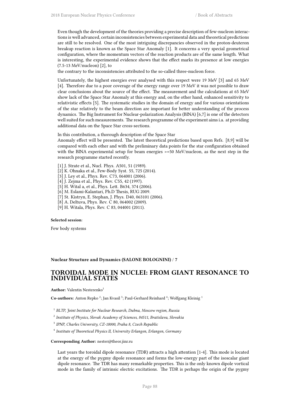Even though the development of the theories providing a precise description of few-nucleon interactions is well advanced, certain inconsistencies between experimental data and theoretical predictions are still to be resolved. One of the most intriguing discrepancies observed in the proton-deuteron breakup reaction is known as the Space Star Anomaly [1]. It concerns a very special geometrical configuration, where the momentum vectors of the reaction products are of the same length. What is interesting, the experimental evidence shows that the effect marks its presence at low energies (7.5-13 MeV/nucleon) [2], to

the contrary to the inconsistencies attributed to the so-called three-nucleon force.

Unfortunately, the highest energies ever analysed with this respect were 19 MeV [3] and 65 MeV [4]. Therefore due to a poor coverage of the energy range over 19 MeV it was not possible to draw clear conclusions about the source of the effect. The measurement and the calculations at 65 MeV show lack of the Space Star Anomaly at this energy and, on the other hand, enhanced sensitivity to relativistic effects [5]. The systematic studies in the domain of energy and for various orientations of the star relatively to the beam direction are important for better understanding of the process dynamics. The Big Instrument for Nuclear-polarization Analysis (BINA) [6,7] is one of the detectors well suited for such measurements. The research programme of the experiment aims i.a. at providing additional data on the Space Star cross-sections.

In this contribution, a thorough description of the Space Star

Anomaly effect will be presented. The latest theoretical predictions based upon Refs. [8,9] will be compared with each other and with the preliminary data points for the star configuration obtained with the BINA experimental setup for beam energies  $\ge$ =50 MeV/nucleon, as the next step in the research programme started recently.

- [1] J. Strate et al., Nucl. Phys. A501, 51 (1989).
- [2] K. Ohnaka et al., Few-Body Syst. 55, 725 (2014).
- [3] J. Ley et al., Phys. Rev. C73, 064001 (2006).
- [4] J. Zejma et al., Phys. Rev. C55, 42 (1997).
- [5] H. Wital a, et al., Phys. Lett. B634, 374 (2006).
- [6] M. Eslami-Kalantari, Ph.D Thesis, RUG 2009.
- [7] St. Kistryn, E. Stephan, J. Phys. D40, 063101 (2006).
- [8] A. Deltuva, Phys. Rev. C 80, 064002 (2009).
- [9] H. Witala, Phys. Rev. C 83, 044001 (2011).

### **Selected session**:

Few body systems

### **Nuclear Structure and Dynamics (SALONE BOLOGNINI)** / **7**

### **TOROIDAL MODE IN NUCLEI: FROM GIANT RESONANCE TO INDIVIDUAL STATES**

**Author:** Valentin Nesterenko<sup>1</sup>

Co-authors: Anton Repko<sup>2</sup>; Jan Kvasil<sup>3</sup>; Paul-Gerhard Reinhard<sup>4</sup>; Wolfgang Kleinig<sup>1</sup>

- 1 *BLTP, Joint Institute for Nuclear Research, Dubna, Moscow region, Russia*
- 2 *Institute of Physics, Slovak Academy of Sciences, 84511, Bratislava, Slovakia*
- 3 *IPNP, Charles University, CZ-18000, Praha 8, Czech Republic*
- 4 *Institute of Theoretical Physics II, University Erlangen, Erlangen, Germany*

### **Corresponding Author:** nester@theor.jinr.ru

Last years the toroidal dipole resonance (TDR) attracts a high attention [1-4]. This mode is located at the energy of the pygmy dipole resonance and forms the low-energy part of the isoscalar giant dipole resonance. The TDR has many remarkable properties. This is the only known dipole vortical mode in the family of intrinsic electric excitations. The TDR is perhaps the origin of the pygmy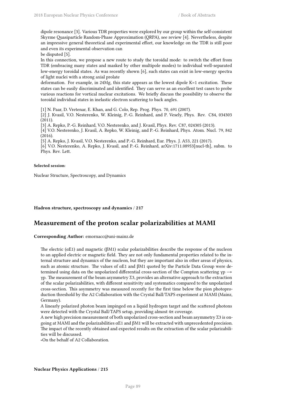dipole resonance [3]. Various TDR properties were explored by our group within the self-consistent Skyrme Quasiparticle Random-Phase Approximation (QRPA), see review [4]. Nevertheless, despite an impressive general theoretical and experimental effort, our knowledge on the TDR is still poor and even its experimental observation can

be disputed [5].

In this connection, we propose a new route to study the toroidal mode: to switch the effort from TDR (embracing many states and masked by other multipole modes) to individual well-separated low-energy toroidal states. As was recently shown [6], such states can exist in low-energy spectra of light nuclei with a strong axial prolate

deformation. For example, in 24Mg, this state appears as the lowest dipole K=1 excitation. These states can be easily discriminated and identified. They can serve as an excellent test cases to probe various reactions for vortical nuclear excitations. We briefly discuss the possibility to observe the toroidal individual states in inelastic electron scattering to back angles.

[1] N. Paar, D. Vretenar, E. Khan, and G. Colo, Rep. Prog. Phys. 70, 691 (2007).

[2] J. Kvasil, V.O. Nesterenko, W. Kleinig, P.-G. Reinhard, and P. Vesely, Phys. Rev. C84, 034303 (2011).

[3] A. Repko, P.-G. Reinhard, V.O. Nesterenko, and J. Kvasil, Phys. Rev. C87, 024305 (2013).

[4] V.O. Nesterenko, J. Kvasil, A. Repko, W. Kleinig, and P.-G. Reinhard, Phys. Atom. Nucl. 79, 842 (2016).

[5] A. Repko, J. Kvasil, V.O. Nesterenko, and P.-G. Reinhard, Eur. Phys. J. A53, 221 (2017).

[6] V.O. Nesterenko, A. Repko, J. Kvasil, and P.-G. Reinhard, arXiv:1711.08953[nucl-th], subm. to Phys. Rev. Lett.

### **Selected session**:

Nuclear Structure, Spectroscopy, and Dynamics

**Hadron structure, spectroscopy and dynamics** / **217**

### **Measurement of the proton scalar polarizabilities at MAMI**

**Corresponding Author:** emornacc@uni-mainz.de

The electric ( $\alpha$ E1) and magnetic ( $\beta$ M1) scalar polarizabilities describe the response of the nucleon to an applied electric or magnetic field. They are not only fundamental properties related to the internal structure and dynamics of the nucleon, but they are important also in other areas of physics, such as atomic structure. The values of  $\alpha E1$  and  $\beta M1$  quoted by the Particle Data Group were determined using data on the unpolarized differential cross-section of the Compton scattering  $\gamma p \rightarrow$ γp. The measurement of the beam asymmetry Σ3, provides an alternative approach to the extraction of the scalar polarizabilities, with different sensitivity and systematics compared to the unpolarized cross-section. This asymmetry was measured recently for the first time below the pion photoproduction threshold by the A2 Collaboration with the Crystal Ball/TAPS experiment at MAMI (Mainz, Germany).

A linearly polarized photon beam impinged on a liquid hydrogen target and the scattered photons were detected with the Crystal Ball/TAPS setup, providing almost  $4\pi$  coverage.

A new high precision measurement of both unpolarized cross-section and beam asymmetry Σ3 is ongoing at MAMI and the polarizabilities  $αE1$  and  $βM1$  will be extracted with unprecedented precision. The impact of the recently obtained and expected results on the extraction of the scalar polarizabilities will be discussed.

∗On the behalf of A2 Collaboration.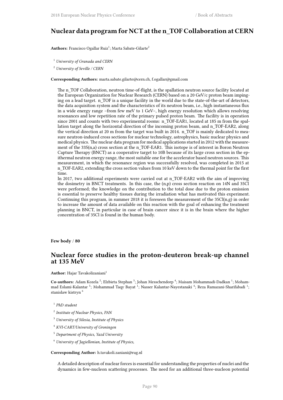# **Nuclear data program for NCT at the n\_TOF Collaboration at CERN**

<code>Authors:</code> Francisco Ogallar Ruiz $^1$ ; Marta Sabate-Gilarte $^2$ 

<sup>1</sup> *University of Granada and CERN*

<sup>2</sup> *University of Seville / CERN*

**Corresponding Authors:** marta.sabate.gilarte@cern.ch, f.ogallar@gmail.com

The n\_TOF Collaboration, neutron time-of-flight, is the spallation neutron source facility located at the European Organization for Nuclear Research (CERN) based on a 20 GeV/c proton beam impinging on a lead target. n\_TOF is a unique facility in the world due to the state-of-the-art of detectors, the data acquisition system and the characteristics of its neutron beam, i.e., high instantaneous flux in a wide energy range –from few meV to 1 GeV–, high energy resolution which allows resolving resonances and low repetition rate of the primary pulsed proton beam. The facility is in operation since 2001 and counts with two experimental rooms: n\_TOF-EAR1, located at 185 m from the spallation target along the horizontal direction of the incoming proton beam, and n\_TOF-EAR2, along the vertical direction at 20 m from the target was built in 2014. n\_TOF is mainly dedicated to measure neutron-induced cross sections for nuclear technology, astrophysics, basic nuclear physics and medical physics. The nuclear data program for medical applications started in 2012 with the measurement of the 33S(n,a) cross section at the n\_TOF-EAR1. This isotope is of interest in Boron Neutron Capture Therapy (BNCT) as a cooperative target to 10B because of its large cross section in the epithermal neutron energy range, the most suitable one for the accelerator based neutron sources. This measurement, in which the resonance region was successfully resolved, was completed in 2015 at n\_TOF-EAR2, extending the cross section values from 10 keV down to the thermal point for the first time.

In 2017, two additional experiments were carried out at n\_TOF-EAR2 with the aim of improving the dosimetry in BNCT treatments. In this case, the (n,p) cross section reaction on 14N and 35Cl were performed; the knowledge on the contribution to the total dose due to the proton emission is essential to preserve healthy tissues during the irradiation what has motivated this experiment. Continuing this program, in summer 2018 it is foreseen the measurement of the 35Cl(n,g) in order to increase the amount of data available on this reaction with the goal of enhancing the treatment planning in BNCT, in particular in case of brain cancer since it is in the brain where the higher concentration of 35Cl is found in the human body.

**Few body** / **80**

### **Nuclear force studies in the proton-deuteron break-up channel at 135 MeV**

**Author:** Hajar Tavakolizaniani<sup>1</sup>

 $\bf Co\text{-}authors:$  Adam Kozela  $^2$ ; Elzbieta Stephan  $^3$ ; Johan Messchendorp  $^4$ ; Maisam Mohammadi-Dadkan  $^1$ ; Mohammad Eslami-Kalantar <sup>5</sup>; Mohammad Taqy Bayat <sup>1</sup>; Nasser Kalantar-Nayestanaki <sup>4</sup>; Reza Ramazani-Sharifabadi <sup>1</sup>; stanislaw kistryn<sup>6</sup>

1 *PhD student*

- 2 *Institute of Nuclear Physics, PAN*
- <sup>3</sup> *University of Silesia, Institute of Physics*
- <sup>4</sup> *KVI-CART/University of Groningen*
- <sup>5</sup> *Department of Physics, Yazd University*
- <sup>6</sup> *University of Jagiellonian, Institute of Physics,*

**Corresponding Author:** h.tavakoli.zaniani@rug.nl

A detailed description of nuclear forces is essential for understanding the properties of nuclei and the dynamics in few-nucleon scattering processes. The need for an additional three-nucleon potential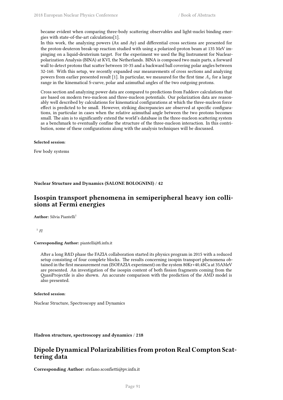became evident when comparing three-body scattering observables and light-nuclei binding energies with state-of-the-art calculations[1].

In this work, the analyzing powers (Ax and Ay) and differential cross sections are presented for the proton-deuteron break-up reaction studied with using a polarized-proton beam at 135 MeV impinging on a liquid-deuterium target. For the experiment we used the Big Instrument for Nuclearpolarization Analysis (BINA) at KVI, the Netherlands. BINA is composed two main parts, a forward wall to detect protons that scatter between 10-35 and a backward ball covering polar angles between 32-160. With this setup, we recently expanded our measurements of cross sections and analyzing powers from earlier presented result [1]. In particular, we measured for the first time  $A<sub>x</sub>$  for a large range in the kinematical S-curve, polar and azimuthal angles of the two outgoing protons.

Cross section and analyzing power data are compared to predictions from Faddeev calculations that are based on modern two-nucleon and three-nucleon potentials. Our polarization data are reasonably well described by calculations for kinematical configurations at which the three-nucleon force effect is predicted to be small. However, striking discrepancies are observed at specific configurations, in particular in cases when the relative azimuthal angle between the two protons becomes small. The aim is to significantly extend the world's database in the three-nucleon scattering system as a benchmark to eventually confine the structure of the three-nucleon interaction. In this contribution, some of these configurations along with the analysis techniques will be discussed.

#### **Selected session**:

Few body systems

### **Nuclear Structure and Dynamics (SALONE BOLOGNINI)** / **42**

### **Isospin transport phenomena in semiperipheral heavy ion collisions at Fermi energies**

**Author:** Silvia Piantelli<sup>1</sup>

1 *FI*

### **Corresponding Author:** piantelli@fi.infn.it

After a long R&D phase the FAZIA collaboration started its physics program in 2015 with a reduced setup consisting of four complete blocks. The results concerning isospin transport phenomena obtained in the first measurement run (ISOFAZIA experiment) on the system 80Kr+40,48Ca at 35AMeV are presented. An investigation of the isospin content of both fission fragments coming from the QuasiProjectile is also shown. An accurate comparison with the prediction of the AMD model is also presented.

#### **Selected session**:

Nuclear Structure, Spectroscopy and Dynamics

### **Hadron structure, spectroscopy and dynamics** / **218**

### **Dipole Dynamical Polarizabilities from proton Real Compton Scattering data**

**Corresponding Author:** stefano.sconfietti@pv.infn.it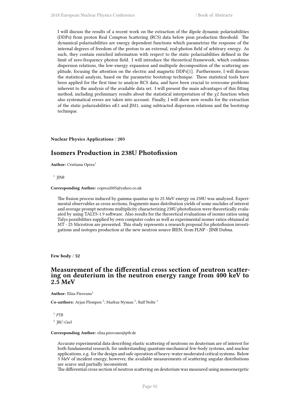I will discuss the results of a recent work on the extraction of the dipole dynamic polarizabilities (DDPs) from proton Real Compton Scattering (RCS) data below pion production threshold. The dynamical polarizabilities are energy dependent functions which parametrize the response of the internal degrees of freedom of the proton to an external, real-photon field of arbitrary energy. As such, they contain enriched information with respect to the static polarizabilities defined in the limit of zero-frequency photon field. I will introduce the theoretical framework, which combines dispersion relations, the low-energy expansion and multipole decomposition of the scattering amplitude, focusing the attention on the electric and magnetic DDPs[1]. Furthermore, I will discuss the statistical analysis, based on the parametric bootstrap technique. These statistical tools have been applied for the first time to analyze RCS data, and have been crucial to overcome problems inherent to the analysis of the available data set. I will present the main advantages of this fitting method, including preliminary results about the statistical interpretation of the  $\chi$ 2 function when also systematical errors are taken into account. Finally, I will show new results for the extraction of the static polarizabilities  $\alpha E1$  and  $\beta M1$ , using subtracted dispersion relations and the bootstrap technique.

### **Nuclear Physics Applications** / **203**

### **Isomers Production in 238U Photofission**

**Author:** Cristiana Oprea<sup>1</sup>

1 *JINR*

#### **Corresponding Author:** coprea2005@yahoo.co.uk

The fission process induced by gamma quantas up to 25 MeV energy on 238U was analyzed. Experimental observables as cross sections, fragments mass distribution yields of some nuclides of interest and average prompt neutrons multiplicity characterizing 238U photofission were theoretically evaluated by using TALYS-1.9 software. Also results for the theoretical evaluations of isomer ratios using Talys possibilities supplied by own computer codes as well as experimental isomer ratios obtained at MT - 25 Microtron are presented. This study represents a research proposal for photofission investigations and isotopes production at the new neutron source IREN, from FLNP - JINR Dubna.

**Few body** / **52**

### **Measurement of the differential cross section of neutron scattering on deuterium in the neutron energy range from 400 keV to 2.5 MeV**

**Author:** Elisa Pirovano<sup>1</sup>

Co-authors: Arjan Plompen<sup>2</sup>; Markus Nyman<sup>2</sup>; Ralf Nolte<sup>1</sup>

1 *PTB* 2 *JRC-Geel*

#### **Corresponding Author:** elisa.pirovano@ptb.de

Accurate experimental data describing elastic scattering of neutrons on deuterium are of interest for both fundamental research, for understanding quantum-mechanical few-body systems, and nuclear applications, e.g. for the design and safe operation of heavy-water moderated critical systems. Below 3 MeV of incident energy, however, the available measurements of scattering angular distributions are scarce and partially inconsistent.

The differential cross section of neutron scattering on deuterium was measured using monoenergetic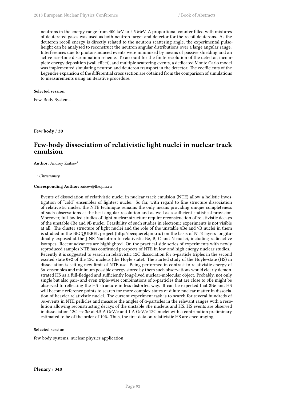neutrons in the energy range from 400 keV to 2.5 MeV. A proportional counter filled with mixtures of deuterated gases was used as both neutron target and detector for the recoil deuterons. As the deuteron recoil energy is directly related to the neutron scattering angle, the experimental pulseheight can be analysed to reconstruct the neutron angular distributions over a large angular range. Interferences due to photon-induced events were minimized by means of passive shielding and an active rise-time discrimination scheme. To account for the finite resolution of the detector, incomplete energy deposition (wall effect), and multiple scattering events, a dedicated Monte Carlo model was implemented simulating neutron and deuteron transport in the detector. The coefficients of the Legendre expansion of the differential cross section are obtained from the comparison of simulations to measurements using an iterative procedure.

### **Selected session**:

Few-Body Systems

**Few body** / **30**

# **Few-body dissociation of relativistic light nuclei in nuclear track emulsion**

**Author:** Andrey Zaitsev<sup>1</sup>

<sup>1</sup> *Christianity*

#### **Corresponding Author:** zaicev@lhe.jinr.ru

Events of dissociation of relativistic nuclei in nuclear track emulsion (NTE) allow a holistic investigation of "cold" ensembles of lightest nuclei. So far, with regard to fine structure dissociation of relativistic nuclei, the NTE technique remains the only means providing unique completeness of such observations at the best angular resolution and as well as a sufficient statistical provision. Moreover, full-bodied studies of light nuclear structure require reconstruction of relativistic decays of the unstable 8Be and 9B nuclei. Feasibility of such studies in electronic experiments is not visible at all. The cluster structure of light nuclei and the role of the unstable 8Be and 9B nuclei in them is studied in the BECQUEREL project (http://becquerel.jinr.ru/) on the basis of NTE layers longitudinally exposed at the JINR Nuclotron to relativistic Be, B, C and N nuclei, including radioactive isotopes. Recent advances are highlighted. On the practical side series of experiments with newly reproduced samples NTE has confirmed prospects of NTE in low and high energy nuclear studies. Recently it is suggested to search in relativistic 12C dissociation for  $\alpha$ -particle triples in the second excited state 0+2 of the 12C nucleus (the Hoyle state). The started study of the Hoyle-state (HS) in dissociation is setting new limit of NTE use. Being performed in contrast to relativistic energy of 3α-ensembles and minimum possible energy stored by them such observations would clearly demonstrated HS as a full-fledged and sufficiently long-lived nuclear-molecular object. Probably, not only single but also pair- and even triple-wise combinations of α-particles that are close to 8Be might be observed to reflecting the HS structure in less distorted way. It can be expected that 8Be and HS will become reference points to search for more complex states of dilute nuclear matter in dissociation of heavier relativistic nuclei. The current experiment task is to search for several hundreds of 3α-events in NTE pellicles and measure the angles of α-particles in the relevant ranges with a resolution allowing reconstructing decays of the unstable 8Be nucleus and HS. HS events are observed in dissociation 12C  $\rightarrow$  3 $\alpha$  at 4.5 A GeV/c and 1 A GeV/c 12C nuclei with a contribution preliminary estimated to be of the order of 10%. Thus, the first data on relativistic HS are encouraging.

### **Selected session**:

few body systems, nuclear physics application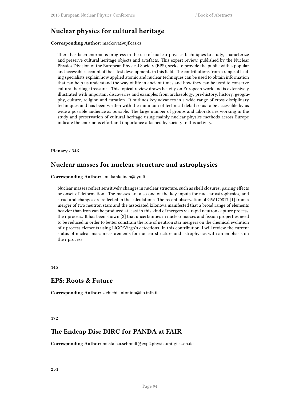# **Nuclear physics for cultural heritage**

### **Corresponding Author:** mackova@ujf.cas.cz

There has been enormous progress in the use of nuclear physics techniques to study, characterize and preserve cultural heritage objects and artefacts. This expert review, published by the Nuclear Physics Division of the European Physical Society (EPS), seeks to provide the public with a popular and accessible account of the latest developments in this field. The contributions from a range of leading specialists explain how applied atomic and nuclear techniques can be used to obtain information that can help us understand the way of life in ancient times and how they can be used to conserve cultural heritage treasures. This topical review draws heavily on European work and is extensively illustrated with important discoveries and examples from archaeology, pre-history, history, geography, culture, religion and curation. It outlines key advances in a wide range of cross-disciplinary techniques and has been written with the minimum of technical detail so as to be accessible by as wide a possible audience as possible. The large number of groups and laboratories working in the study and preservation of cultural heritage using mainly nuclear physics methods across Europe indicate the enormous effort and importance attached by society to this activity.

### **Plenary** / **346**

### **Nuclear masses for nuclear structure and astrophysics**

### **Corresponding Author:** anu.kankainen@jyu.fi

Nuclear masses reflect sensitively changes in nuclear structure, such as shell closures, pairing effects or onset of deformation. The masses are also one of the key inputs for nuclear astrophysics, and structural changes are reflected in the calculations. The recent observation of GW170817 [1] from a merger of two neutron stars and the associated kilonova manifested that a broad range of elements heavier than iron can be produced at least in this kind of mergers via rapid neutron capture process, the r process. It has been shown [2] that uncertainties in nuclear masses and fission properties need to be reduced in order to better constrain the role of neutron star mergers on the chemical evolution of r-process elements using LIGO/Virgo's detections. In this contribution, I will review the current status of nuclear mass measurements for nuclear structure and astrophysics with an emphasis on the r process.

**145**

### **EPS: Roots & Future**

**Corresponding Author:** zichichi.antonino@bo.infn.it

#### **172**

### **The Endcap Disc DIRC for PANDA at FAIR**

**Corresponding Author:** mustafa.a.schmidt@exp2.physik.uni-giessen.de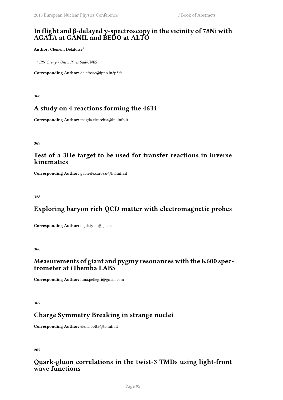# **In flight and β-delayed γ-spectroscopy in the vicinity of 78Ni with AGATA at GANIL and BEDO at ALTO**

**Author:** Clément Delafosse<sup>1</sup>

1 *IPN Orsay - Univ. Paris Sud/CNRS*

**Corresponding Author:** delafosse@ipno.in2p3.fr

**368**

# **A study on 4 reactions forming the 46Ti**

**Corresponding Author:** magda.cicerchia@lnl.infn.it

**369**

# **Test of a 3He target to be used for transfer reactions in inverse kinematics**

**Corresponding Author:** gabriele.carozzi@lnl.infn.it

**328**

# **Exploring baryon rich QCD matter with electromagnetic probes**

**Corresponding Author:** t.galatyuk@gsi.de

**366**

# **Measurements of giant and pygmy resonances with the K600 spectrometer at iThemba LABS**

**Corresponding Author:** luna.pellegri@gmail.com

**367**

# **Charge Symmetry Breaking in strange nuclei**

**Corresponding Author:** elena.botta@to.infn.it

**207**

# **Quark-gluon correlations in the twist-3 TMDs using light-front wave functions**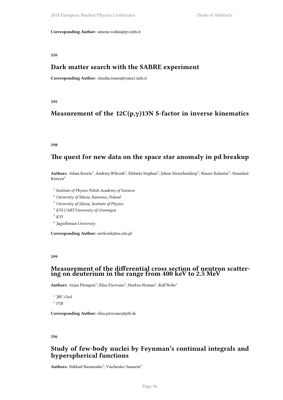**Corresponding Author:** simone.rodini@pv.infn.it

**226**

#### **Dark matter search with the SABRE experiment**

**Corresponding Author:** claudia.tomei@roma1.infn.it

**195**

# **Measurement of the 12C(p,γ)13N S-factor in inverse kinematics**

**298**

## **The quest for new data on the space star anomaly in pd breakup**

 ${\bf Authors:}$  Adam Kozela $^1;$  Andrzej Wilczek $^2;$  Elzbieta Stephan $^3;$  Johan Messchendorp $^4;$  Nasser Kalantar $^5;$  Stanislaw Kistryn<sup>6</sup>

- 1 *Institute of Physics Polish Academy of Sciences*
- <sup>2</sup> *University of Silesia, Katowice, Poland*
- <sup>3</sup> *University of Silesia, Institute of Physics*
- <sup>4</sup> *KVI-CART/University of Groningen*

<sup>5</sup> *KVI*

6 *Jagiellonian University*

**Corresponding Author:** awilczek@us.edu.pl

**299**

#### **Measurement of the differential cross section of neutron scattering on deuterium in the range from 400 keV to 2.5 MeV**

 $\mathbf{Authors:}~\mathbf{A}$ rjan Plompen $^1;~\mathrm{Elisa~Pirovano^2;~Markus~Nyman^1;~\mathrm{Ralf~Nolte^2}$ 

1 *JRC-Geel* 2 *PTB*

**Corresponding Author:** elisa.pirovano@ptb.de

**296**

## **Study of few-body nuclei by Feynman's continual integrals and hyperspherical functions**

 $\mathbf{Authors}\colon \mathbf{Mikhail\ Naumenko}^{1};\mathbf{Viacheslav\ Samarin}^{2}$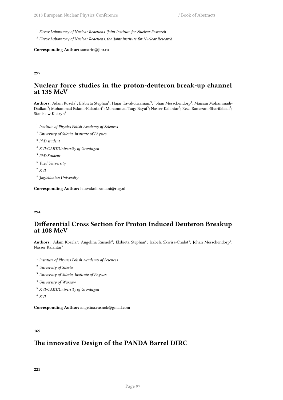1 *Flerov Laboratory of Nuclear Reactions, Joint Institute for Nuclear Research*

2 *Flerov Laboratory of Nuclear Reactions, the Joint Institute for Nuclear Research*

**Corresponding Author:** samarin@jinr.ru

#### **297**

## **Nuclear force studies in the proton-deuteron break-up channel at 135 MeV**

 $\bf{Authors: }$  Adam Kozela $^1;$  Elzbieta Stephan $^2;$  Hajar Tavakolizaniani $^3;$  Johan Messchendorp $^4;$  Maisam Mohammadi-Dadkan $^5$ ; Mohammad Eslami-Kalantari $^6$ ; Mohammad Taqy Bayat $^3$ ; Nasser Kalantar $^7$ ; Reza Ramazani-Sharifabadi $^3$ ; Stanislaw Kistryn<sup>8</sup>

1 *Institute of Physics Polish Academy of Sciences*

- <sup>2</sup> *University of Silesia, Institute of Physics*
- 3 *PhD student*
- <sup>4</sup> *KVI-CART/University of Groningen*
- 5 *PhD Student*
- 6 *Yazd University*

<sup>7</sup> *KVI*

8 *Jagiellonian University*

**Corresponding Author:** h.tavakoli.zaniani@rug.nl

#### **294**

## **Differential Cross Section for Proton Induced Deuteron Breakup at 108 MeV**

Authors: Adam Kozela<sup>1</sup>; Angelina Rusnok<sup>2</sup>; Elzbieta Stephan<sup>3</sup>; Izabela Skwira-Chalot<sup>4</sup>; Johan Messchendorp<sup>5</sup>; Nasser Kalantar<sup>6</sup>

- 1 *Institute of Physics Polish Academy of Sciences*
- <sup>2</sup> *University of Silesia*
- <sup>3</sup> *University of Silesia, Institute of Physics*
- <sup>4</sup> *University of Warsaw*
- <sup>5</sup> *KVI-CART/University of Groningen*

<sup>6</sup> *KVI*

**Corresponding Author:** angelina.rusnok@gmail.com

#### **169**

# **The innovative Design of the PANDA Barrel DIRC**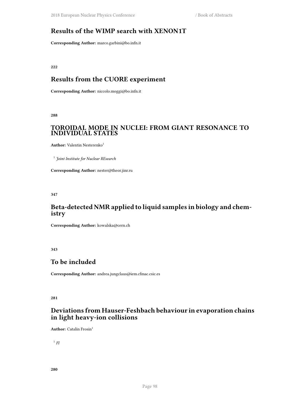# **Results of the WIMP search with XENON1T**

**Corresponding Author:** marco.garbini@bo.infn.it

**222**

# **Results from the CUORE experiment**

**Corresponding Author:** niccolo.moggi@bo.infn.it

**288**

### **TOROIDAL MODE IN NUCLEI: FROM GIANT RESONANCE TO INDIVIDUAL STATES**

**Author:** Valentin Nesterenko<sup>1</sup>

1 *Joint Institute for Nuclear REsearch*

**Corresponding Author:** nester@theor.jinr.ru

**347**

# **Beta-detected NMR applied to liquid samples in biology and chemistry**

**Corresponding Author:** kowalska@cern.ch

**343**

### **To be included**

**Corresponding Author:** andrea.jungclaus@iem.cfmac.csic.es

**281**

# **Deviations from Hauser-Feshbach behaviour in evaporation chains in light heavy-ion collisions**

**Author:** Catalin Frosin<sup>1</sup>

1 *FI*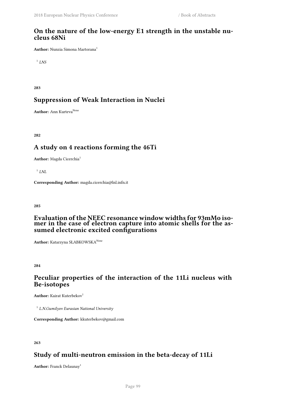### **On the nature of the low-energy E1 strength in the unstable nucleus 68Ni**

**Author:** Nunzia Simona Martorana<sup>1</sup>

1 *LNS*

**283**

### **Suppression of Weak Interaction in Nuclei**

**Author:** Ann Kurteva<sup>None</sup>

**282**

# **A study on 4 reactions forming the 46Ti**

**Author:** Magda Cicerchia<sup>1</sup>

1 *LNL*

**Corresponding Author:** magda.cicerchia@lnl.infn.it

**285**

#### **Evaluation of the NEEC resonance window widths for 93mMo isomer in the case of electron capture into atomic shells for the assumed electronic excited configurations**

**Author:** Katarzyna SŁABKOWSKA<sup>None</sup>

**284**

### **Рeculiar properties of the interaction of the 11Li nucleus with Be-isotopes**

**Author:** Kairat Kuterbekov<sup>1</sup>

1 *L.N.Gumilyov Eurasian National University*

**Corresponding Author:** kkuterbekov@gmail.com

**263**

# **Study of multi-neutron emission in the beta-decay of 11Li**

Author: Franck Delaunay<sup>1</sup>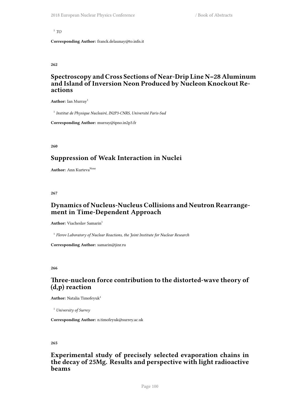#### 1 *TO*

**Corresponding Author:** franck.delaunay@to.infn.it

**262**

## **Spectroscopy and Cross Sections of Near-Drip Line N=28 Aluminum and Island of Inversion Neon Produced by Nucleon Knockout Reactions**

Author: Ian Murray<sup>1</sup>

1 *Institut de Physique Nucleairé, IN2P3-CNRS, Université Paris-Sud*

**Corresponding Author:** murray@ipno.in2p3.fr

**260**

### **Suppression of Weak Interaction in Nuclei**

**Author:** Ann Kurteva<sup>None</sup>

**267**

## **Dynamics of Nucleus-Nucleus Collisions and Neutron Rearrangement in Time-Dependent Approach**

**Author:** Viacheslav Samarin<sup>1</sup>

1 *Flerov Laboratory of Nuclear Reactions, the Joint Institute for Nuclear Research*

**Corresponding Author:** samarin@jinr.ru

**266**

# **Three-nucleon force contribution to the distorted-wave theory of (d,p) reaction**

**Author:** Natalia Timofeyuk<sup>1</sup>

<sup>1</sup> *University of Surrey*

**Corresponding Author:** n.timofeyuk@surrey.ac.uk

**265**

## **Experimental study of precisely selected evaporation chains in the decay of 25Mg. Results and perspective with light radioactive beams**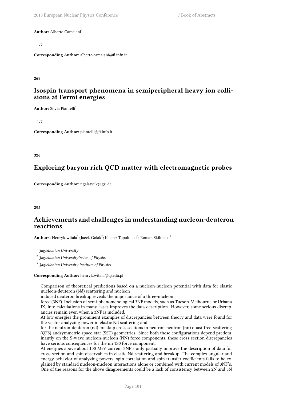**Author:** Alberto Camaiani<sup>1</sup>

1 *FI*

**Corresponding Author:** alberto.camaiani@fi.infn.it

**269**

### **Isospin transport phenomena in semiperipheral heavy ion collisions at Fermi energies**

**Author:** Silvia Piantelli<sup>1</sup>

1 *FI*

**Corresponding Author:** piantelli@fi.infn.it

**326**

# **Exploring baryon rich QCD matter with electromagnetic probes**

**Corresponding Author:** t.galatyuk@gsi.de

#### **295**

## **Achievements and challenges in understanding nucleon-deuteron reactions**

 $\mathbf{Authors:} \ \mathbf{Henryk \; witala^1; \text{Jack } \text{Golak}^2; \text{Kacper Topolnicki}^3; \text{Roman } \text{Skibinski}^1$ 

1 *Jagiellonian University*

2 *Jagiellonian UniversityInsiue of Physics*

3 *Jagiellonian University Institute of Physics*

**Corresponding Author:** henryk.witala@uj.edu.pl

Comparison of theoretical predictions based on a nucleon-nucleon potential with data for elastic nucleon-deuteron (Nd) scattering and nucleon

induced deuteron breakup reveals the importance of a three-nucleon

force (3NF). Inclusion of semi-phenomenological 3NF models, such as Tucson-Melbourne or Urbana IX, into calculations in many cases improves the data description. However, some serious discrepancies remain even when a 3NF is included.

At low energies the prominent examples of discrepancies between theory and data were found for the vector analyzing power in elastic Nd scattering and

for the neutron-deuteron (nd) breakup cross sections in neutron-neutron (nn) quasi-free-scattering (QFS) andsymmetric-space-star (SST) geometries. Since both these configurations depend predominantly on the S-wave nucleon-nucleon (NN) force components, these cross section discrepancies have serious consequences for the nn 1S0 force component.

At energies above about 100 MeV current 3NF's only partially improve the description of data for cross section and spin observables in elastic Nd scattering and breakup. The complex angular and energy behavior of analyzing powers, spin correlation and spin transfer coefficients fails to be explained by standard nucleon-nucleon interactions alone or combined with current models of 3NF's. One of the reasons for the above disagreements could be a lack of consistency between 2N and 3N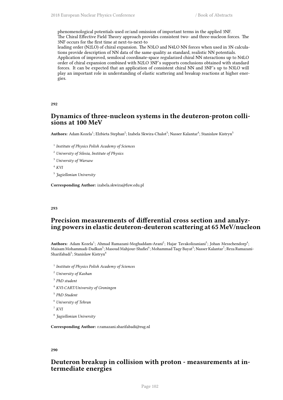phenomenological potentials used or/and omission of important terms in the applied 3NF. The Chiral Effective Field Theory approach provides consistent two- and three-nucleon forces. The 3NF occurs for the first time at next-to-next-to

leading order (N2LO) of chiral expansion. The N3LO and N4LO NN forces when used in 3N calculations provide description of NN data of the same quality as standard, realistic NN potentials.

Application of improved, semilocal coordinate-space regularized chiral NN nteractions up to N4LO order of chiral expansion combined with N2LO 3NF's supports conclusions obtained with standard forces. It can be expected that an application of consistent chiral NN and 3NF's up to N3LO will play an important role in understanding of elastic scattering and breakup reactions at higher energies.

#### **292**

#### **Dynamics of three-nucleon systems in the deuteron-proton collisions at 100 MeV**

 $\bf{Authors: }$  Adam Kozela $^1;$  Elzbieta Stephan $^2;$  Izabela Skwira-Chalot $^3;$  Nasser Kalantar $^4;$  Stanislaw Kistryn $^5$ 

1 *Institute of Physics Polish Academy of Sciences*

<sup>2</sup> *University of Silesia, Institute of Physics*

<sup>3</sup> *University of Warsaw*

<sup>4</sup> *KVI*

5 *Jagiellonian University*

**Corresponding Author:** izabela.skwira@fuw.edu.pl

#### **293**

### **Precision measurements of differential cross section and analyzing powers in elastic deuteron-deuteron scattering at 65 MeV/nucleon**

Authors: Adam Kozela<sup>1</sup>; Ahmad Ramazani-Moghaddam-Arani<sup>2</sup>; Hajar Tavakolizaniani<sup>3</sup>; Johan Messchendorp<sup>4</sup>; Maisam Mohammadi-Dadkan<sup>5</sup>; Masoud Mahjour-Shafiei<sup>6</sup>; Mohammad Taqy Bayat<sup>3</sup>; Nasser Kalantar<sup>7</sup>; Reza Ramazani-Sharifabadi<sup>3</sup>; Stanislaw Kistryn<sup>8</sup>

1 *Institute of Physics Polish Academy of Sciences*

- <sup>2</sup> *University of Kashan*
- 3 *PhD student*
- <sup>4</sup> *KVI-CART/University of Groningen*
- 5 *PhD Student*
- <sup>6</sup> *University of Tehran*

```
7 KVI
```
8 *Jagiellonian University*

**Corresponding Author:** r.ramazani.sharifabadi@rug.nl

#### **290**

### **Deuteron breakup in collision with proton - measurements at intermediate energies**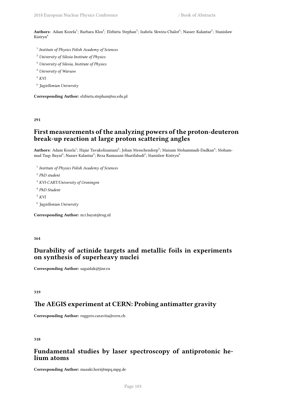Authors: Adam Kozela<sup>1</sup>; Barbara Klos<sup>2</sup>; Elzbieta Stephan<sup>3</sup>; Izabela Skwira-Chalot<sup>4</sup>; Nasser Kalantar<sup>5</sup>; Stanislaw Kistryn<sup>6</sup>

- 1 *Institute of Physics Polish Academy of Sciences*
- <sup>2</sup> *University of Silesia Institute of Physics*
- <sup>3</sup> *University of Silesia, Institute of Physics*
- <sup>4</sup> *University of Warsaw*
- <sup>5</sup> *KVI*
- 6 *Jagiellonian University*

**Corresponding Author:** elzbieta.stephan@us.edu.pl

**291**

# **First measurements of the analyzing powers of the proton-deuteron break-up reaction at large proton scattering angles**

 $\mathbf{Aut}$ **hors:** Adam Kozela<sup>1</sup>; Hajar Tavakolizaniani<sup>2</sup>; Johan Messchendorp<sup>3</sup>; Maisam Mohammadi-Dadkan<sup>4</sup>; Mohammad Taqy Bayat $^2$ ; Nasser Kalantar $^5$ ; Reza Ramazani-Sharifabadi $^2$ ; Stanislaw Kistryn $^6$ 

- 1 *Institute of Physics Polish Academy of Sciences*
- 2 *PhD student*
- <sup>3</sup> *KVI-CART/University of Groningen*
- 4 *PhD Student*
- <sup>5</sup> *KVI*
- 6 *Jagiellonian University*

**Corresponding Author:** m.t.bayat@rug.nl

#### **164**

## **Durability of actinide targets and metallic foils in experiments on synthesis of superheavy nuclei**

**Corresponding Author:** sagaidak@jinr.ru

**319**

### **The AEGIS experiment at CERN: Probing antimatter gravity**

**Corresponding Author:** ruggero.caravita@cern.ch

**318**

# **Fundamental studies by laser spectroscopy of antiprotonic helium atoms**

**Corresponding Author:** masaki.hori@mpq.mpg.de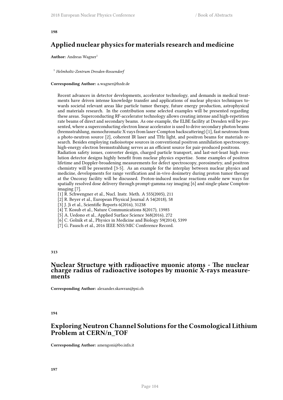# **Applied nuclear physics for materials research and medicine**

**Author:** Andreas Wagner<sup>1</sup>

<sup>1</sup> *Helmholtz-Zentrum Dresden-Rossendorf*

#### **Corresponding Author:** a.wagner@hzdr.de

Recent advances in detector developments, accelerator technology, and demands in medical treatments have driven intense knowledge transfer and applications of nuclear physics techniques towards societal relevant areas like particle tumor therapy, future energy production, astrophysical and materials research. In the contribution some selected examples will be presented regarding these areas. Superconducting RF-accelerator technology allows creating intense and high-repetition rate beams of direct and secondary beams. As one example, the ELBE facility at Dresden will be presented, where a superconducting electron linear accelerator is used to drive secondary photon beams (bremsstrahlung, monochromatic X-rays from laser-Compton backscattering) [1], fast neutrons from a photo-neutron source [2], coherent IR laser and THz light, and positron beams for materials research. Besides employing radioisotope sources in conventional positron annihilation spectroscopy, high-energy electron bremsstrahlung serves as an efficient source for pair-produced positrons. Radiation safety issues, converter design, charged particle transport, and last-not-least high reso-

lution detector designs highly benefit from nuclear physics expertise. Some examples of positron lifetime and Doppler-broadening measurements for defect spectroscopy, porosimetry, and positron chemistry will be presented [3-5]. As an example for the interplay between nuclear physics and medicine, developments for range verification and in-vivo dosimetry during proton tumor therapy at the Oncoray facility will be discussed. Proton-induced nuclear reactions enable new ways for spatially resolved dose delivery through prompt-gamma ray imaging [6] and single-plane Comptonimaging [7].

[1] R. Schwengner et al., Nucl. Instr. Meth. A 555(2005), 211

[2] R. Beyer et al., European Physical Journal A 54(2018), 58

[3] J. Ji et al., Scientific Reports 6(2016), 31238

[4] T. Kosub et al., Nature Communications 8(2017), 13985

[5] A. Uedono et al., Applied Surface Science 368(2016), 272

[6] C. Golnik et al., Physics in Medicine and Biology 59(2014), 5399

[7] G. Pausch et al., 2016 IEEE NSS/MIC Conference Record.

#### **313**

#### **Nuclear Structure with radioactive muonic atoms - The nuclear charge radius of radioactive isotopes by muonic X-rays measurements**

**Corresponding Author:** alexander.skawran@psi.ch

**194**

#### **Exploring Neutron Channel Solutions for the Cosmological Lithium Problem at CERN/n\_TOF**

**Corresponding Author:** amengoni@bo.infn.it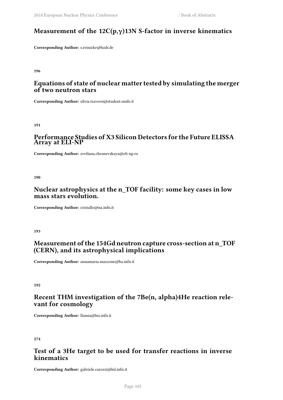# **Measurement of the 12C(p,γ)13N S-factor in inverse kinematics**

**Corresponding Author:** s.reinicke@hzdr.de

**196**

# **Equations of state of nuclear matter tested by simulating the merger of two neutron stars**

**Corresponding Author:** silvia.traversi@student.unife.it

**191**

### **Performance Studies of X3 Silicon Detectors for the Future ELISSA Array at ELI-NP**

**Corresponding Author:** svetlana.chesnevskaya@eli-np.ro

**190**

# **Nuclear astrophysics at the n\_TOF facility: some key cases in low mass stars evolution.**

**Corresponding Author:** cristallo@na.infn.it

**193**

# **Measurement of the 154Gd neutron capture cross-section at n\_TOF (CERN), and its astrophysical implications**

**Corresponding Author:** annamaria.mazzone@ba.infn.it

**192**

# **Recent THM investigation of the 7Be(n, alpha)4He reaction relevant for cosmology**

**Corresponding Author:** llamia@lns.infn.it

**274**

# **Test of a 3He target to be used for transfer reactions in inverse kinematics**

**Corresponding Author:** gabriele.carozzi@lnl.infn.it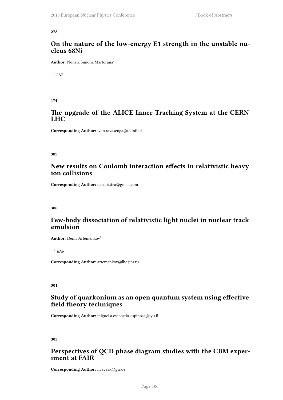## **On the nature of the low-energy E1 strength in the unstable nucleus 68Ni**

**Author:** Nunzia Simona Martorana<sup>1</sup>

1 *LNS*

**174**

## **The upgrade of the ALICE Inner Tracking System at the CERN LHC**

**Corresponding Author:** ivan.ravasenga@to.infn.it

**309**

# **New results on Coulomb interaction effects in relativistic heavy ion collisions**

**Corresponding Author:** oana.ristea@gmail.com

**300**

# **Few-body dissociation of relativistic light nuclei in nuclear track emulsion**

**Author:** Denis Artemenkov<sup>1</sup>

1 *JINR*

**Corresponding Author:** artemenkov@lhe.jinr.ru

**301**

## **Study of quarkonium as an open quantum system using effective field theory techniques**

**Corresponding Author:** miguel.a.escobedo-espinosa@jyu.fi

**303**

# **Perspectives of QCD phase diagram studies with the CBM experiment at FAIR**

**Corresponding Author:** m.zyzak@gsi.de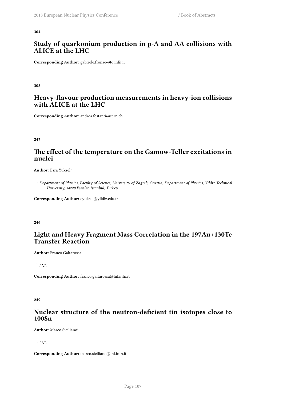## **Study of quarkonium production in p-A and AA collisions with ALICE at the LHC**

**Corresponding Author:** gabriele.fronze@to.infn.it

**305**

## **Heavy-flavour production measurements in heavy-ion collisions with ALICE at the LHC**

**Corresponding Author:** andrea.festanti@cern.ch

**247**

# **The effect of the temperature on the Gamow-Teller excitations in nuclei**

**Author:** Esra Yüksel<sup>1</sup>

<sup>1</sup> *Department of Physics, Faculty of Science, University of Zagreb, Croatia, Department of Physics, Yildiz Technical University, 34220 Esenler, Istanbul, Turkey*

**Corresponding Author:** eyuksel@yildiz.edu.tr

**246**

# **Light and Heavy Fragment Mass Correlation in the 197Au+130Te Transfer Reaction**

**Author:** Franco Galtarossa<sup>1</sup>

1 *LNL*

**Corresponding Author:** franco.galtarossa@lnl.infn.it

**249**

#### **Nuclear structure of the neutron-deficient tin isotopes close to 100Sn**

**Author:** Marco Siciliano<sup>1</sup>

1 *LNL*

**Corresponding Author:** marco.siciliano@lnl.infn.it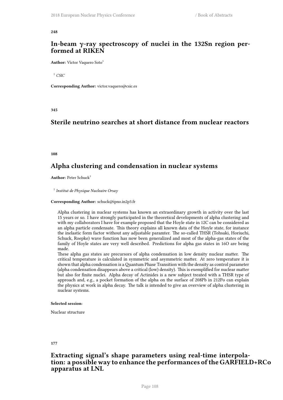### **In-beam γ-ray spectroscopy of nuclei in the 132Sn region performed at RIKEN**

**Author:** Víctor Vaquero Soto<sup>1</sup>

<sup>1</sup> *CSIC*

**Corresponding Author:** victor.vaquero@csic.es

**345**

# **Sterile neutrino searches at short distance from nuclear reactors**

**108**

# **Alpha clustering and condensation in nuclear systems**

**Author:** Peter Schuck<sup>1</sup>

1 *Institut de Physique Nucleaire Orsay*

#### **Corresponding Author:** schuck@ipno.in2p3.fr

Alpha clustering in nuclear systems has known an extraordinary growth in activity over the last 15 years or so. I have strongly participated in the theoretical developments of alpha clustering and with my collaborators I have for example proposed that the Hoyle state in 12C can be considered as an alpha particle condensate. This theory explains all known data of the Hoyle state, for instance the inelastic form factor without any adjustable paramter. The so-called THSR (Tohsaki, Horiuchi, Schuck, Roepke) wave function has now been generalized and most of the alpha-gas states of the family of Hoyle states are very well described. Predictions for alpha gas states in 16O are being made.

These alpha gas states are precursors of alpha condensation in low density nuclear matter. The critical temperature is calculated in symmetric and asymmetric matter. At zero temperature it is shown that alpha condensation is aQuantum Phase Transition with the density as control parameter (alpha condensation disappears above a critical (low) density). This is exemplified for nuclear matter but also for finite nuclei. Alpha decay of Actinides is a new subject treated with a THSR type of approach and, e.g., a pocket formation of the alpha on the surface of 208Pb in 212Po can explain the physics at work in alpha decay. The talk is intended to give an overview of alpha clustering in nuclear systems.

#### **Selected session**:

Nuclear structure

**177**

### **Extracting signal's shape parameters using real-time interpolation: a possible way to enhance the performances of the GARFIELD+RCo apparatus at LNL**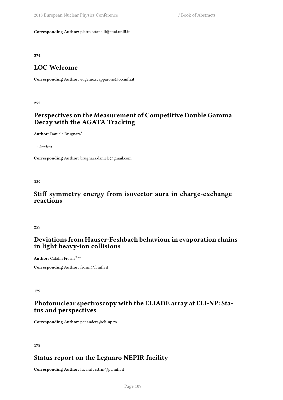**Corresponding Author:** pietro.ottanelli@stud.unifi.it

**374**

# **LOC Welcome**

**Corresponding Author:** eugenio.scapparone@bo.infn.it

**252**

# **Perspectives on the Measurement of Competitive Double Gamma Decay with the AGATA Tracking**

Author: Daniele Brugnara<sup>1</sup>

1 *Student*

**Corresponding Author:** brugnara.daniele@gmail.com

**339**

### **Stiff symmetry energy from isovector aura in charge-exchange reactions**

**259**

# **Deviations from Hauser-Feshbach behaviour in evaporation chains in light heavy-ion collisions**

**Author:** Catalin Frosin<sup>None</sup>

**Corresponding Author:** frosin@fi.infn.it

**179**

# **Photonuclear spectroscopy with the ELIADE array at ELI-NP: Status and perspectives**

**Corresponding Author:** par.anders@eli-np.ro

**178**

# **Status report on the Legnaro NEPIR facility**

**Corresponding Author:** luca.silvestrin@pd.infn.it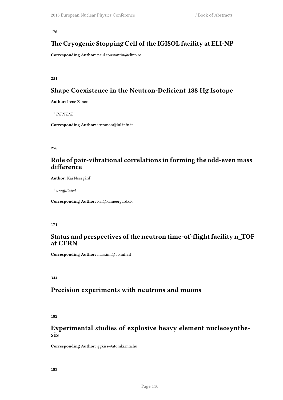# **The Cryogenic Stopping Cell of the IGISOL facility at ELI-NP**

**Corresponding Author:** paul.constantin@elinp.ro

**251**

# **Shape Coexistence in the Neutron-Deficient 188 Hg Isotope**

**Author:** Irene Zanon<sup>1</sup>

1 *INFN LNL*

**Corresponding Author:** irnzanon@lnl.infn.it

**256**

## **Role of pair-vibrational correlations in forming the odd-even mass difference**

Author: Kai Neergård<sup>1</sup>

1 *unaffiliated*

**Corresponding Author:** kai@kaineergard.dk

#### **171**

### **Status and perspectives of the neutron time-of-flight facility n\_TOF at CERN**

**Corresponding Author:** massimi@bo.infn.it

**344**

#### **Precision experiments with neutrons and muons**

**182**

## **Experimental studies of explosive heavy element nucleosynthesis**

**Corresponding Author:** ggkiss@atomki.mta.hu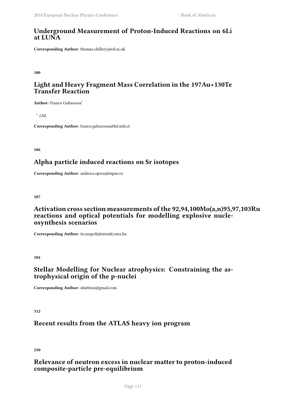## **Underground Measurement of Proton-Induced Reactions on 6Li at LUNA**

**Corresponding Author:** thomas.chillery@ed.ac.uk

**180**

# **Light and Heavy Fragment Mass Correlation in the 197Au+130Te Transfer Reaction**

**Author:** Franco Galtarossa<sup>1</sup>

1 *LNL*

**Corresponding Author:** franco.galtarossa@lnl.infn.it

**186**

# **Alpha particle induced reactions on Sr isotopes**

**Corresponding Author:** andreea.oprea@nipne.ro

**187**

# **Activation cross section measurements of the 92,94,100Mo(a,n)95,97,103Ru reactions and optical potentials for modelling explosive nucleosynthesis scenarios**

**Corresponding Author:** tn.szegedi@atomki.mta.hu

**184**

# **Stellar Modelling for Nuclear atrophysics: Constraining the astrophysical origin of the p-nuclei**

**Corresponding Author:** ubattino@gmail.com

**312**

# **Recent results from the ATLAS heavy ion program**

**250**

# **Relevance of neutron excess in nuclear matter to proton-induced composite-particle pre-equilibrium**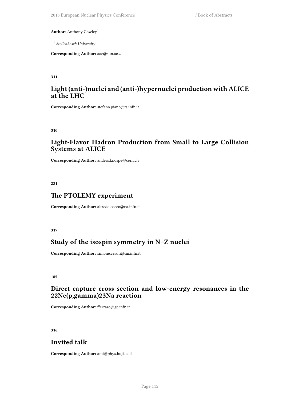Author: Anthony Cowley<sup>1</sup>

1 *Stellenbosch University*

**Corresponding Author:** aac@sun.ac.za

**311**

## **Light (anti-)nuclei and (anti-)hypernuclei production with ALICE at the LHC**

**Corresponding Author:** stefano.piano@ts.infn.it

**310**

### **Light-Flavor Hadron Production from Small to Large Collision Systems at ALICE**

**Corresponding Author:** anders.knospe@cern.ch

**221**

#### **The PTOLEMY experiment**

**Corresponding Author:** alfredo.cocco@na.infn.it

**317**

## **Study of the isospin symmetry in N=Z nuclei**

**Corresponding Author:** simone.ceruti@mi.infn.it

**185**

## **Direct capture cross section and low-energy resonances in the 22Ne(p,gamma)23Na reaction**

**Corresponding Author:** fferraro@ge.infn.it

**316**

# **Invited talk**

**Corresponding Author:** ami@phys.huji.ac.il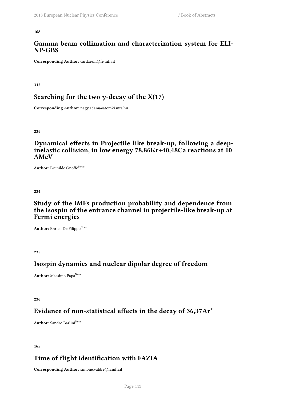### **Gamma beam collimation and characterization system for ELI-NP-GBS**

**Corresponding Author:** cardarelli@fe.infn.it

**315**

## **Searching for the two γ-decay of the X(17)**

**Corresponding Author:** nagy.adam@atomki.mta.hu

**239**

## **Dynamical effects in Projectile like break-up, following a deepinelastic collision, in low energy 78,86Kr+40,48Ca reactions at 10 AMeV**

Author: Brunilde Gnoffo<sup>None</sup>

**234**

## **Study of the IMFs production probability and dependence from the Isospin of the entrance channel in projectile-like break-up at Fermi energies**

Author: Enrico De FilippoNone

**235**

# **Isospin dynamics and nuclear dipolar degree of freedom**

**Author:** Massimo Papa<sup>None</sup>

**236**

# **Evidence of non-statistical effects in the decay of 36,37Ar\***

**Author:** Sandro Barlini<sup>None</sup>

**165**

# **Time of flight identification with FAZIA**

**Corresponding Author:** simone.valdre@fi.infn.it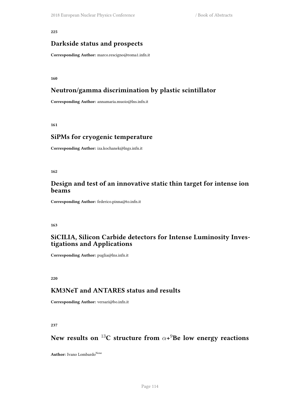### **Darkside status and prospects**

**Corresponding Author:** marco.rescigno@roma1.infn.it

**160**

## **Neutron/gamma discrimination by plastic scintillator**

**Corresponding Author:** annamaria.muoio@lns.infn.it

**161**

### **SiPMs for cryogenic temperature**

**Corresponding Author:** iza.kochanek@lngs.infn.it

**162**

## **Design and test of an innovative static thin target for intense ion beams**

**Corresponding Author:** federico.pinna@to.infn.it

**163**

# **SiCILIA, Silicon Carbide detectors for Intense Luminosity Investigations and Applications**

**Corresponding Author:** puglia@lns.infn.it

**220**

### **KM3NeT and ANTARES status and results**

**Corresponding Author:** versari@bo.infn.it

**237**

# **New results on** <sup>13</sup>**C structure from** *α***+** <sup>9</sup>**Be low energy reactions**

Author: Ivano Lombardo<sup>None</sup>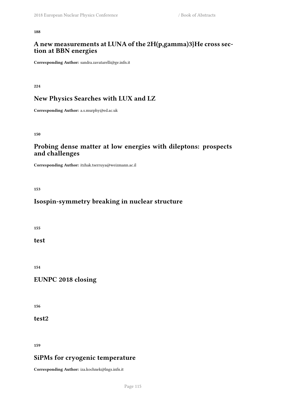### **A new measurements at LUNA of the 2H(p,gamma)3}He cross section at BBN energies**

**Corresponding Author:** sandra.zavatarelli@ge.infn.it

**224**

# **New Physics Searches with LUX and LZ**

**Corresponding Author:** a.s.murphy@ed.ac.uk

**150**

# **Probing dense matter at low energies with dileptons: prospects and challenges**

**Corresponding Author:** itzhak.tserruya@weizmann.ac.il

**153**

# **Isospin-symmetry breaking in nuclear structure**

**155**

**test**

**154**

## **EUNPC 2018 closing**

**156**

**test2**

**159**

# **SiPMs for cryogenic temperature**

**Corresponding Author:** iza.kochnek@lngs.infn.it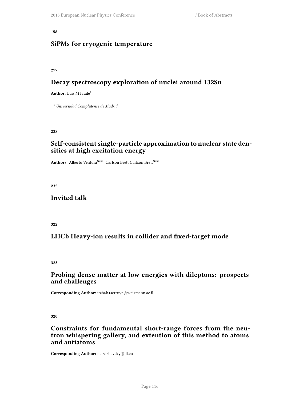## **SiPMs for cryogenic temperature**

**277**

# **Decay spectroscopy exploration of nuclei around 132Sn**

**Author:** Luis M Fraile<sup>1</sup>

<sup>1</sup> *Universidad Complutense de Madrid*

**238**

## **Self-consistent single-particle approximation to nuclear state densities at high excitation energy**

Authors: Alberto Ventura<sup>None</sup>; Carlson Brett Carlson Brett<sup>None</sup>

**232**

## **Invited talk**

**322**

# **LHCb Heavy-ion results in collider and fixed-target mode**

**323**

## **Probing dense matter at low energies with dileptons: prospects and challenges**

**Corresponding Author:** itzhak.tserruya@weizmann.ac.il

**320**

## **Constraints for fundamental short-range forces from the neutron whispering gallery, and extention of this method to atoms and antiatoms**

**Corresponding Author:** nesvizhevsky@ill.eu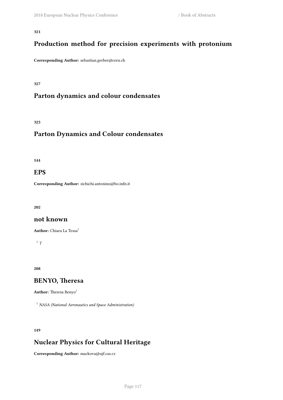# **Production method for precision experiments with protonium**

**Corresponding Author:** sebastian.gerber@cern.ch

#### **327**

# **Parton dynamics and colour condensates**

**325**

# **Parton Dynamics and Colour condensates**

**144**

#### **EPS**

**Corresponding Author:** zichichi.antonino@bo.infn.it

**202**

#### **not known**

**Author:** Chiara La Tessa<sup>1</sup>

1 *T*

**208**

# **BENYO, Theresa**

Author: Theresa Benyo<sup>1</sup>

<sup>1</sup> *NASA (National Aeronautics and Space Administration)*

**149**

# **Nuclear Physics for Cultural Heritage**

**Corresponding Author:** mackova@ujf.cas.cz